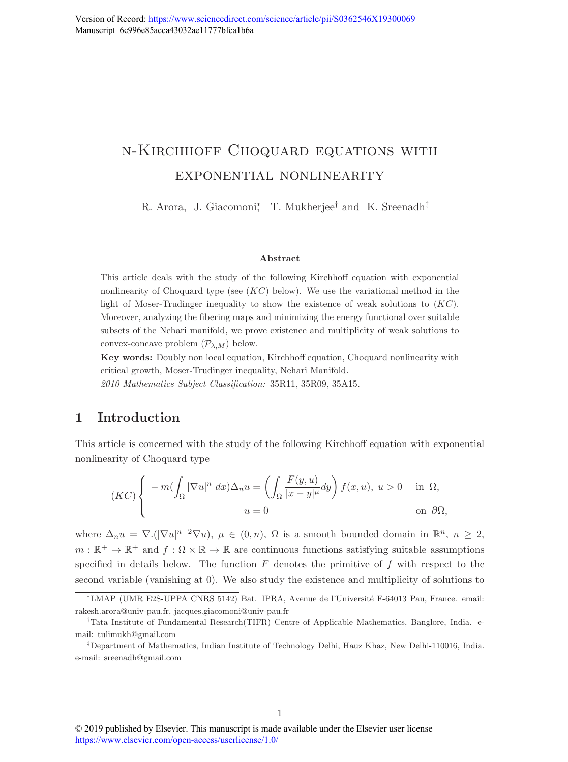# n-Kirchhoff Choquard equations with exponential nonlinearity

R. Arora, J. Giacomoni<sup>\*</sup>, T. Mukherjee<sup>†</sup> and K. Sreenadh<sup>‡</sup>

#### Abstract

This article deals with the study of the following Kirchhoff equation with exponential nonlinearity of Choquard type (see  $(KC)$  below). We use the variational method in the light of Moser-Trudinger inequality to show the existence of weak solutions to  $(KC)$ . Moreover, analyzing the fibering maps and minimizing the energy functional over suitable subsets of the Nehari manifold, we prove existence and multiplicity of weak solutions to convex-concave problem  $(\mathcal{P}_{\lambda,M})$  below.

Key words: Doubly non local equation, Kirchhoff equation, Choquard nonlinearity with critical growth, Moser-Trudinger inequality, Nehari Manifold.

2010 Mathematics Subject Classification: 35R11, 35R09, 35A15.

## 1 Introduction

This article is concerned with the study of the following Kirchhoff equation with exponential nonlinearity of Choquard type

$$
(KC)\begin{cases}\n-m(\int_{\Omega}|\nabla u|^n dx)\Delta_n u = \left(\int_{\Omega}\frac{F(y,u)}{|x-y|^{\mu}}dy\right)f(x,u), \ u > 0 & \text{in } \Omega, \\
u = 0 & \text{on } \partial\Omega,\n\end{cases}
$$

where  $\Delta_n u = \nabla \cdot (|\nabla u|^{n-2} \nabla u)$ ,  $\mu \in (0, n)$ ,  $\Omega$  is a smooth bounded domain in  $\mathbb{R}^n$ ,  $n \geq 2$ ,  $m : \mathbb{R}^+ \to \mathbb{R}^+$  and  $f : \Omega \times \mathbb{R} \to \mathbb{R}$  are continuous functions satisfying suitable assumptions specified in details below. The function  $F$  denotes the primitive of  $f$  with respect to the second variable (vanishing at 0). We also study the existence and multiplicity of solutions to

<sup>∗</sup>LMAP (UMR E2S-UPPA CNRS 5142) Bat. IPRA, Avenue de l'Universit´e F-64013 Pau, France. email: rakesh.arora@univ-pau.fr, jacques.giacomoni@univ-pau.fr

<sup>†</sup>Tata Institute of Fundamental Research(TIFR) Centre of Applicable Mathematics, Banglore, India. email: tulimukh@gmail.com

<sup>‡</sup>Department of Mathematics, Indian Institute of Technology Delhi, Hauz Khaz, New Delhi-110016, India. e-mail: sreenadh@gmail.com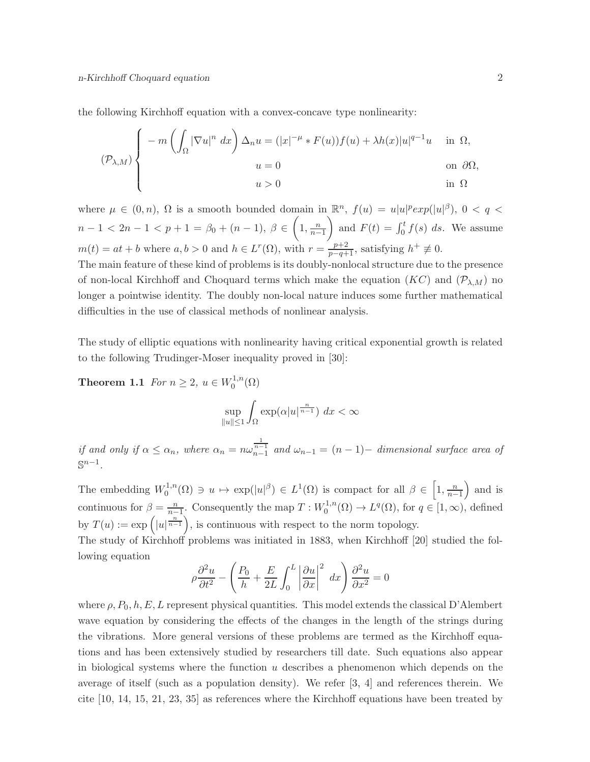the following Kirchhoff equation with a convex-concave type nonlinearity:

$$
(\mathcal{P}_{\lambda,M}) \begin{cases} -m\left(\int_{\Omega} |\nabla u|^n \ dx\right) \Delta_n u = (|x|^{-\mu} * F(u))f(u) + \lambda h(x)|u|^{q-1}u & \text{in } \Omega, \\ u = 0 & \text{on } \partial\Omega, \\ u > 0 & \text{in } \Omega \end{cases}
$$

where  $\mu \in (0, n)$ ,  $\Omega$  is a smooth bounded domain in  $\mathbb{R}^n$ ,  $f(u) = u|u|^p exp(|u|^{\beta})$ ,  $0 < q <$  $n-1 < 2n-1 < p+1 = \beta_0 + (n-1), \ \beta \in \left(1, \frac{n}{n-1}\right)$ and  $F(t) = \int_0^t f(s) ds$ . We assume  $m(t) = at + b$  where  $a, b > 0$  and  $h \in L^{r}(\Omega)$ , with  $r = \frac{p+2}{p-q+1}$ , satisfying  $h^{+} \neq 0$ .

The main feature of these kind of problems is its doubly-nonlocal structure due to the presence of non-local Kirchhoff and Choquard terms which make the equation  $(KC)$  and  $(\mathcal{P}_{\lambda,M})$  no longer a pointwise identity. The doubly non-local nature induces some further mathematical difficulties in the use of classical methods of nonlinear analysis.

The study of elliptic equations with nonlinearity having critical exponential growth is related to the following Trudinger-Moser inequality proved in [30]:

**Theorem 1.1** For  $n \ge 2$ ,  $u \in W_0^{1,n}$  $\binom{1,n}{0}$ 

$$
\sup_{\|u\|\le 1} \int_{\Omega} \exp(\alpha |u|^{\frac{n}{n-1}}) \ dx < \infty
$$

if and only if  $\alpha \leq \alpha_n$ , where  $\alpha_n = n\omega_{n-1}^{\frac{1}{n-1}}$  and  $\omega_{n-1} = (n-1)$ - dimensional surface area of  $\mathbb{S}^{n-1}$ .

The embedding  $W_0^{1,n}$  $L_0^{1,n}(\Omega) \ni u \mapsto \exp(|u|^{\beta}) \in L^1(\Omega)$  is compact for all  $\beta \in \left[1, \frac{n}{n-1}\right)$  and is continuous for  $\beta = \frac{n}{n-1}$ . Consequently the map  $T : W_0^{1,n}$  $L^{1,n}(\Omega) \to L^q(\Omega)$ , for  $q \in [1,\infty)$ , defined by  $T(u) := \exp\left(|u|^{\frac{n}{n-1}}\right)$ , is continuous with respect to the norm topology. The study of Kirchhoff problems was initiated in 1883, when Kirchhoff [20] studied the fol-

lowing equation

$$
\rho \frac{\partial^2 u}{\partial t^2} - \left( \frac{P_0}{h} + \frac{E}{2L} \int_0^L \left| \frac{\partial u}{\partial x} \right|^2 dx \right) \frac{\partial^2 u}{\partial x^2} = 0
$$

where  $\rho$ ,  $P_0$ ,  $h$ ,  $E$ , L represent physical quantities. This model extends the classical D'Alembert wave equation by considering the effects of the changes in the length of the strings during the vibrations. More general versions of these problems are termed as the Kirchhoff equations and has been extensively studied by researchers till date. Such equations also appear in biological systems where the function  $u$  describes a phenomenon which depends on the average of itself (such as a population density). We refer [3, 4] and references therein. We cite [10, 14, 15, 21, 23, 35] as references where the Kirchhoff equations have been treated by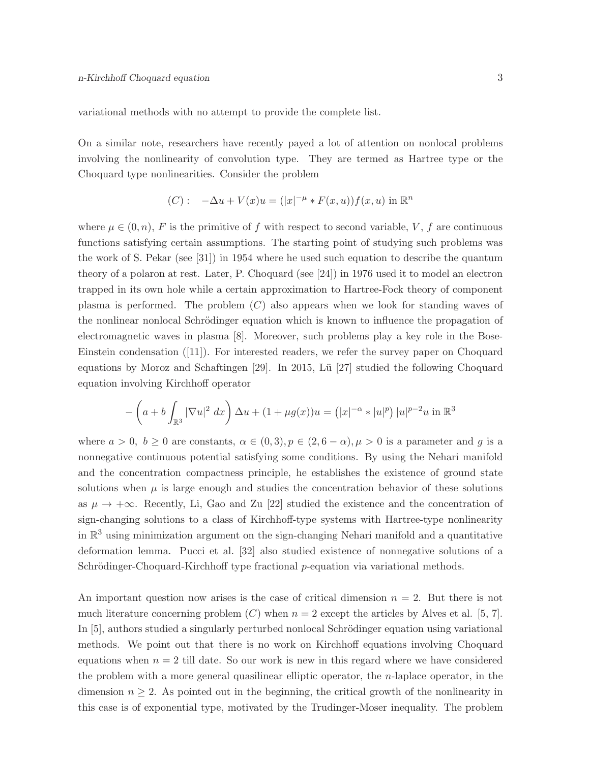variational methods with no attempt to provide the complete list.

On a similar note, researchers have recently payed a lot of attention on nonlocal problems involving the nonlinearity of convolution type. They are termed as Hartree type or the Choquard type nonlinearities. Consider the problem

(C): 
$$
-\Delta u + V(x)u = (|x|^{-\mu} * F(x, u))f(x, u)
$$
 in  $\mathbb{R}^n$ 

where  $\mu \in (0, n)$ , F is the primitive of f with respect to second variable, V, f are continuous functions satisfying certain assumptions. The starting point of studying such problems was the work of S. Pekar (see [31]) in 1954 where he used such equation to describe the quantum theory of a polaron at rest. Later, P. Choquard (see [24]) in 1976 used it to model an electron trapped in its own hole while a certain approximation to Hartree-Fock theory of component plasma is performed. The problem  $(C)$  also appears when we look for standing waves of the nonlinear nonlocal Schrödinger equation which is known to influence the propagation of electromagnetic waves in plasma [8]. Moreover, such problems play a key role in the Bose-Einstein condensation ([11]). For interested readers, we refer the survey paper on Choquard equations by Moroz and Schaftingen [29]. In 2015, Lü [27] studied the following Choquard equation involving Kirchhoff operator

$$
- \left( a + b \int_{\mathbb{R}^3} |\nabla u|^2 \, dx \right) \Delta u + (1 + \mu g(x)) u = (|x|^{-\alpha} * |u|^p) |u|^{p-2} u \text{ in } \mathbb{R}^3
$$

where  $a > 0$ ,  $b \ge 0$  are constants,  $\alpha \in (0, 3), p \in (2, 6 - \alpha), \mu > 0$  is a parameter and g is a nonnegative continuous potential satisfying some conditions. By using the Nehari manifold and the concentration compactness principle, he establishes the existence of ground state solutions when  $\mu$  is large enough and studies the concentration behavior of these solutions as  $\mu \to +\infty$ . Recently, Li, Gao and Zu [22] studied the existence and the concentration of sign-changing solutions to a class of Kirchhoff-type systems with Hartree-type nonlinearity in  $\mathbb{R}^3$  using minimization argument on the sign-changing Nehari manifold and a quantitative deformation lemma. Pucci et al. [32] also studied existence of nonnegative solutions of a Schrödinger-Choquard-Kirchhoff type fractional p-equation via variational methods.

An important question now arises is the case of critical dimension  $n = 2$ . But there is not much literature concerning problem  $(C)$  when  $n = 2$  except the articles by Alves et al. [5, 7]. In [5], authors studied a singularly perturbed nonlocal Schrödinger equation using variational methods. We point out that there is no work on Kirchhoff equations involving Choquard equations when  $n = 2$  till date. So our work is new in this regard where we have considered the problem with a more general quasilinear elliptic operator, the  $n$ -laplace operator, in the dimension  $n \geq 2$ . As pointed out in the beginning, the critical growth of the nonlinearity in this case is of exponential type, motivated by the Trudinger-Moser inequality. The problem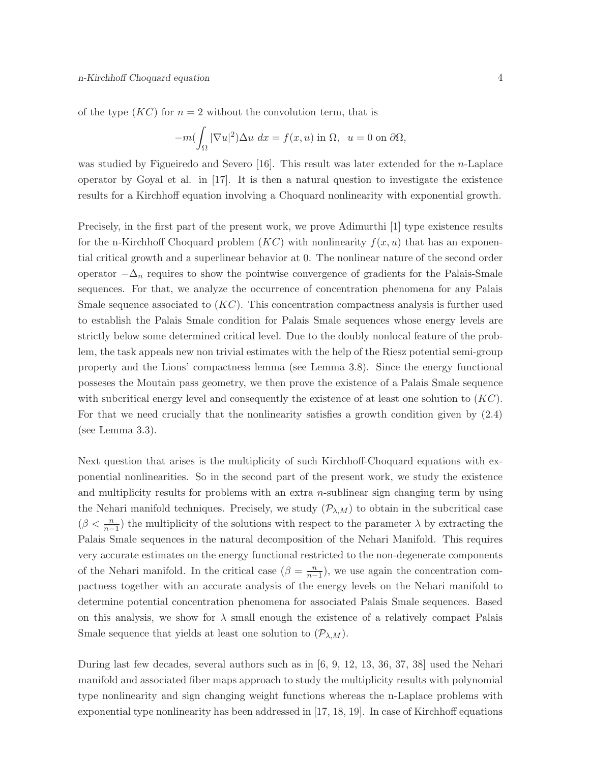of the type  $(KC)$  for  $n = 2$  without the convolution term, that is

$$
-m(\int_{\Omega} |\nabla u|^2) \Delta u \, dx = f(x, u) \text{ in } \Omega, \ u = 0 \text{ on } \partial \Omega,
$$

was studied by Figueiredo and Severo [16]. This result was later extended for the *n*-Laplace operator by Goyal et al. in [17]. It is then a natural question to investigate the existence results for a Kirchhoff equation involving a Choquard nonlinearity with exponential growth.

Precisely, in the first part of the present work, we prove Adimurthi [1] type existence results for the n-Kirchhoff Choquard problem  $(KC)$  with nonlinearity  $f(x, u)$  that has an exponential critical growth and a superlinear behavior at 0. The nonlinear nature of the second order operator  $-\Delta_n$  requires to show the pointwise convergence of gradients for the Palais-Smale sequences. For that, we analyze the occurrence of concentration phenomena for any Palais Smale sequence associated to  $(KC)$ . This concentration compactness analysis is further used to establish the Palais Smale condition for Palais Smale sequences whose energy levels are strictly below some determined critical level. Due to the doubly nonlocal feature of the problem, the task appeals new non trivial estimates with the help of the Riesz potential semi-group property and the Lions' compactness lemma (see Lemma 3.8). Since the energy functional posseses the Moutain pass geometry, we then prove the existence of a Palais Smale sequence with subcritical energy level and consequently the existence of at least one solution to  $(KC)$ . For that we need crucially that the nonlinearity satisfies a growth condition given by (2.4) (see Lemma 3.3).

Next question that arises is the multiplicity of such Kirchhoff-Choquard equations with exponential nonlinearities. So in the second part of the present work, we study the existence and multiplicity results for problems with an extra  $n$ -sublinear sign changing term by using the Nehari manifold techniques. Precisely, we study  $(\mathcal{P}_{\lambda,M})$  to obtain in the subcritical case  $(\beta < \frac{n}{n-1})$  the multiplicity of the solutions with respect to the parameter  $\lambda$  by extracting the Palais Smale sequences in the natural decomposition of the Nehari Manifold. This requires very accurate estimates on the energy functional restricted to the non-degenerate components of the Nehari manifold. In the critical case  $(\beta = \frac{n}{n-1})$ , we use again the concentration compactness together with an accurate analysis of the energy levels on the Nehari manifold to determine potential concentration phenomena for associated Palais Smale sequences. Based on this analysis, we show for  $\lambda$  small enough the existence of a relatively compact Palais Smale sequence that yields at least one solution to  $(\mathcal{P}_{\lambda,M})$ .

During last few decades, several authors such as in [6, 9, 12, 13, 36, 37, 38] used the Nehari manifold and associated fiber maps approach to study the multiplicity results with polynomial type nonlinearity and sign changing weight functions whereas the n-Laplace problems with exponential type nonlinearity has been addressed in [17, 18, 19]. In case of Kirchhoff equations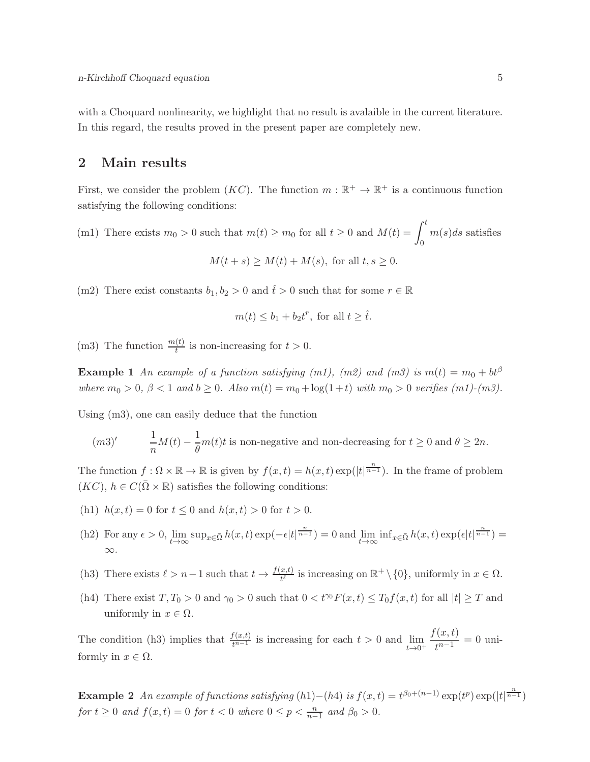with a Choquard nonlinearity, we highlight that no result is avalaible in the current literature. In this regard, the results proved in the present paper are completely new.

## 2 Main results

First, we consider the problem  $(KC)$ . The function  $m : \mathbb{R}^+ \to \mathbb{R}^+$  is a continuous function satisfying the following conditions:

- (m1) There exists  $m_0 > 0$  such that  $m(t) \ge m_0$  for all  $t \ge 0$  and  $M(t) = \int_0^t$  $m(s)ds$  satisfies  $M(t + s) > M(t) + M(s)$ , for all  $t, s > 0$ .
- (m2) There exist constants  $b_1, b_2 > 0$  and  $\hat{t} > 0$  such that for some  $r \in \mathbb{R}$

$$
m(t) \leq b_1 + b_2 t^r
$$
, for all  $t \geq \hat{t}$ .

(m3) The function  $\frac{m(t)}{t}$  is non-increasing for  $t > 0$ .

**Example 1** An example of a function satisfying (m1), (m2) and (m3) is  $m(t) = m_0 + bt^{\beta}$ where  $m_0 > 0$ ,  $\beta < 1$  and  $b \ge 0$ . Also  $m(t) = m_0 + \log(1+t)$  with  $m_0 > 0$  verifies  $(m_1)$ - $(m_3)$ .

Using (m3), one can easily deduce that the function

$$
(m3)' \qquad \frac{1}{n}M(t) - \frac{1}{\theta}m(t)t
$$
 is non-negative and non-decreasing for  $t \ge 0$  and  $\theta \ge 2n$ .

The function  $f: \Omega \times \mathbb{R} \to \mathbb{R}$  is given by  $f(x,t) = h(x,t) \exp(|t|^{\frac{n}{n-1}})$ . In the frame of problem  $(KC), h \in C(\overline{\Omega} \times \mathbb{R})$  satisfies the following conditions:

- (h1)  $h(x,t) = 0$  for  $t \le 0$  and  $h(x,t) > 0$  for  $t > 0$ .
- (h2) For any  $\epsilon > 0$ ,  $\lim_{t \to \infty} \sup_{x \in \bar{\Omega}} h(x, t) \exp(-\epsilon |t|^{\frac{n}{n-1}}) = 0$  and  $\lim_{t \to \infty} \inf_{x \in \bar{\Omega}} h(x, t) \exp(\epsilon |t|^{\frac{n}{n-1}}) =$ ∞.
- (h3) There exists  $\ell > n-1$  such that  $t \to \frac{f(x,t)}{t^{\ell}}$  is increasing on  $\mathbb{R}^+ \setminus \{0\}$ , uniformly in  $x \in \Omega$ .
- (h4) There exist  $T, T_0 > 0$  and  $\gamma_0 > 0$  such that  $0 < t^{\gamma_0} F(x, t) \leq T_0 f(x, t)$  for all  $|t| \geq T$  and uniformly in  $x \in \Omega$ .

The condition (h3) implies that  $\frac{f(x,t)}{t^{n-1}}$  is increasing for each  $t > 0$  and  $\lim_{t \to 0^+}$  $f(x,t)$  $\frac{f^{(u, v)}(u, v)}{t^{n-1}} = 0$  uniformly in  $x \in \Omega$ .

Example 2 An example of functions satisfying  $(h1) - (h4)$  is  $f(x,t) = t^{\beta_0 + (n-1)} \exp(t^p) \exp(|t|^{\frac{n}{n-1}})$ for  $t \geq 0$  and  $f(x,t) = 0$  for  $t < 0$  where  $0 \leq p < \frac{n}{n-1}$  and  $\beta_0 > 0$ .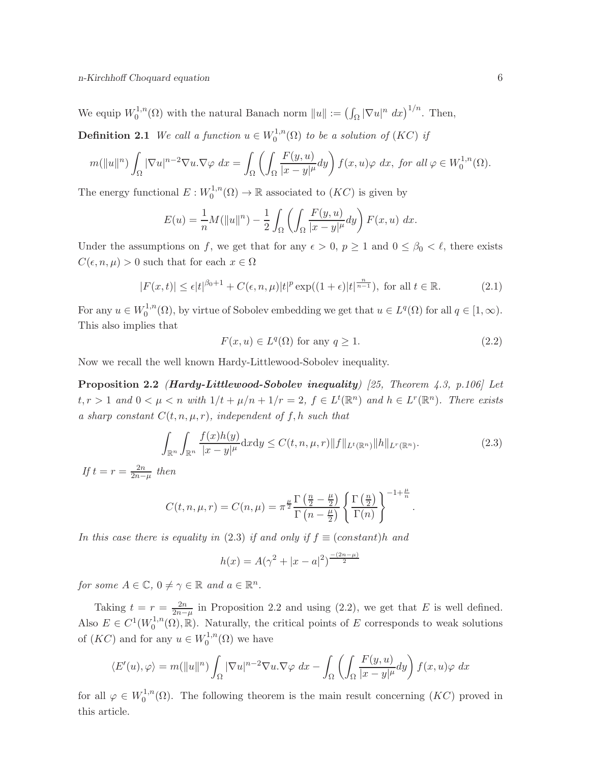n-Kirchhoff Choquard equation 6

We equip  $W_0^{1,n}$  $\int_0^{1,n}(\Omega)$  with the natural Banach norm  $||u|| := (\int_{\Omega} |\nabla u|^n dx)^{1/n}$ . Then,

**Definition 2.1** We call a function  $u \in W_0^{1,n}$  $\mathcal{O}_0^{1,n}(\Omega)$  to be a solution of  $(KC)$  if

$$
m(\|u\|^n)\int_{\Omega}|\nabla u|^{n-2}\nabla u.\nabla\varphi\ dx=\int_{\Omega}\left(\int_{\Omega}\frac{F(y,u)}{|x-y|^{\mu}}dy\right)f(x,u)\varphi\ dx,\ for\ all\ \varphi\in W^{1,n}_0(\Omega).
$$

The energy functional  $E: W_0^{1,n}$  $0^{1,n}(\Omega) \to \mathbb{R}$  associated to  $(KC)$  is given by

$$
E(u) = \frac{1}{n}M(||u||^n) - \frac{1}{2}\int_{\Omega} \left(\int_{\Omega} \frac{F(y, u)}{|x - y|^{\mu}} dy\right) F(x, u) dx.
$$

Under the assumptions on f, we get that for any  $\epsilon > 0$ ,  $p \ge 1$  and  $0 \le \beta_0 < \ell$ , there exists  $C(\epsilon, n, \mu) > 0$  such that for each  $x \in \Omega$ 

$$
|F(x,t)| \le \epsilon |t|^{\beta_0 + 1} + C(\epsilon, n, \mu)|t|^p \exp((1+\epsilon)|t|^{\frac{n}{n-1}}), \text{ for all } t \in \mathbb{R}.
$$
 (2.1)

For any  $u \in W_0^{1,n}$  $L_0^{1,n}(\Omega)$ , by virtue of Sobolev embedding we get that  $u \in L^q(\Omega)$  for all  $q \in [1,\infty)$ . This also implies that

$$
F(x, u) \in L^{q}(\Omega) \text{ for any } q \ge 1.
$$
 (2.2)

.

Now we recall the well known Hardy-Littlewood-Sobolev inequality.

**Proposition 2.2** (Hardy-Littlewood-Sobolev inequality) [25, Theorem 4.3, p.106] Let  $t, r > 1$  and  $0 < \mu < n$  with  $1/t + \mu/n + 1/r = 2$ ,  $f \in L^t(\mathbb{R}^n)$  and  $h \in L^r(\mathbb{R}^n)$ . There exists a sharp constant  $C(t, n, \mu, r)$ , independent of f, h such that

$$
\int_{\mathbb{R}^n} \int_{\mathbb{R}^n} \frac{f(x)h(y)}{|x-y|^{\mu}} dx dy \le C(t, n, \mu, r) \|f\|_{L^t(\mathbb{R}^n)} \|h\|_{L^r(\mathbb{R}^n)}.
$$
\n(2.3)

If  $t = r = \frac{2n}{2n-\mu}$  then

$$
C(t, n, \mu, r) = C(n, \mu) = \pi^{\frac{\mu}{2}} \frac{\Gamma(\frac{n}{2} - \frac{\mu}{2})}{\Gamma(n - \frac{\mu}{2})} \left\{ \frac{\Gamma(\frac{n}{2})}{\Gamma(n)} \right\}^{-1 + \frac{\mu}{n}}
$$

In this case there is equality in (2.3) if and only if  $f \equiv (constant)h$  and

$$
h(x) = A(\gamma^2 + |x - a|^2)^{\frac{-(2n-\mu)}{2}}
$$

for some  $A \in \mathbb{C}$ ,  $0 \neq \gamma \in \mathbb{R}$  and  $a \in \mathbb{R}^n$ .

Taking  $t = r = \frac{2n}{2n-\mu}$  in Proposition 2.2 and using (2.2), we get that E is well defined. Also  $E \in C^1(W_0^{1,n})$  $\mathcal{O}_0^{1,n}(\Omega),\mathbb{R}$ . Naturally, the critical points of E corresponds to weak solutions of  $(KC)$  and for any  $u \in W_0^{1,n}$  $_{0}^{\cdot 1,n}(\Omega)$  we have

$$
\langle E'(u), \varphi \rangle = m(||u||^n) \int_{\Omega} |\nabla u|^{n-2} \nabla u \cdot \nabla \varphi \, dx - \int_{\Omega} \left( \int_{\Omega} \frac{F(y, u)}{|x - y|^{\mu}} dy \right) f(x, u) \varphi \, dx
$$

for all  $\varphi \in W_0^{1,n}$  $\int_0^{1,n}(\Omega)$ . The following theorem is the main result concerning  $(KC)$  proved in this article.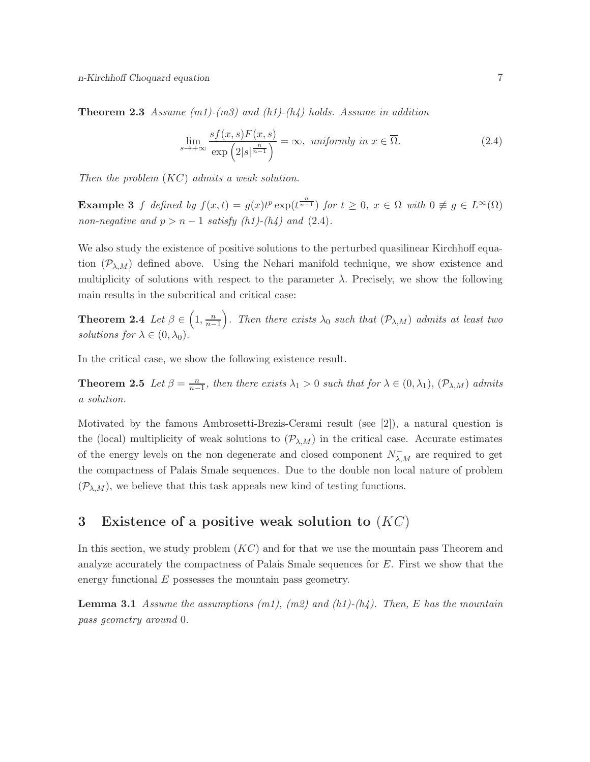**Theorem 2.3** Assume  $(m1)-(m3)$  and  $(h1)-(h4)$  holds. Assume in addition

$$
\lim_{s \to +\infty} \frac{sf(x,s)F(x,s)}{\exp\left(2|s|^{\frac{n}{n-1}}\right)} = \infty, \text{ uniformly in } x \in \overline{\Omega}.
$$
\n(2.4)

Then the problem (KC) admits a weak solution.

**Example 3** f defined by  $f(x,t) = g(x)t^p \exp(t^{\frac{n}{n-1}})$  for  $t \ge 0$ ,  $x \in \Omega$  with  $0 \ne g \in L^{\infty}(\Omega)$ non-negative and  $p > n - 1$  satisfy (h1)-(h4) and (2.4).

We also study the existence of positive solutions to the perturbed quasilinear Kirchhoff equation  $(\mathcal{P}_{\lambda,M})$  defined above. Using the Nehari manifold technique, we show existence and multiplicity of solutions with respect to the parameter  $\lambda$ . Precisely, we show the following main results in the subcritical and critical case:

**Theorem 2.4** Let  $\beta \in \left(1, \frac{n}{n-1}\right)$ . Then there exists  $\lambda_0$  such that  $(\mathcal{P}_{\lambda,M})$  admits at least two solutions for  $\lambda \in (0, \lambda_0)$ .

In the critical case, we show the following existence result.

**Theorem 2.5** Let  $\beta = \frac{n}{n-1}$ , then there exists  $\lambda_1 > 0$  such that for  $\lambda \in (0, \lambda_1)$ ,  $(\mathcal{P}_{\lambda,M})$  admits a solution.

Motivated by the famous Ambrosetti-Brezis-Cerami result (see [2]), a natural question is the (local) multiplicity of weak solutions to  $(\mathcal{P}_{\lambda,M})$  in the critical case. Accurate estimates of the energy levels on the non degenerate and closed component  $N_{\lambda,M}^-$  are required to get the compactness of Palais Smale sequences. Due to the double non local nature of problem  $(\mathcal{P}_{\lambda,M})$ , we believe that this task appeals new kind of testing functions.

## 3 Existence of a positive weak solution to  $(KC)$

In this section, we study problem  $(KC)$  and for that we use the mountain pass Theorem and analyze accurately the compactness of Palais Smale sequences for E. First we show that the energy functional  $E$  possesses the mountain pass geometry.

**Lemma 3.1** Assume the assumptions  $(m1)$ ,  $(m2)$  and  $(h1)$ - $(h4)$ . Then, E has the mountain pass geometry around 0.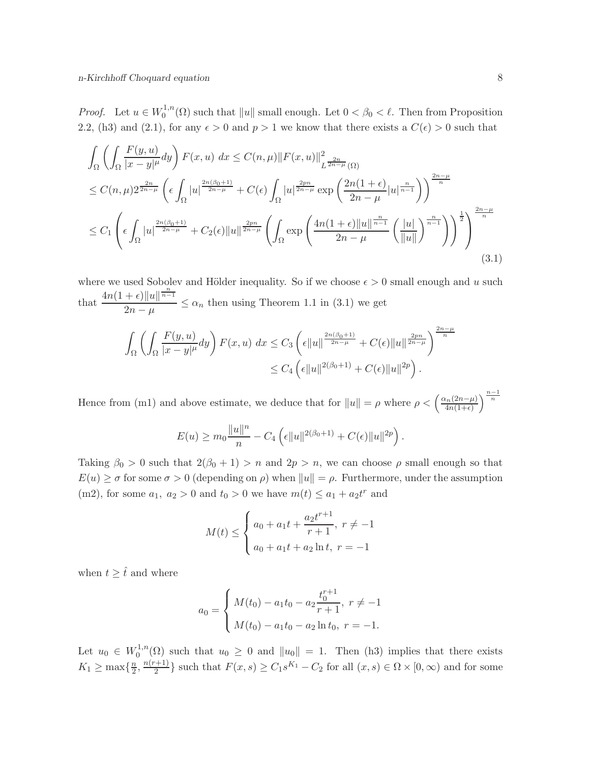*Proof.* Let  $u \in W_0^{1,n}$  $\int_0^{1,n}(\Omega)$  such that  $||u||$  small enough. Let  $0 < \beta_0 < \ell$ . Then from Proposition 2.2, (h3) and (2.1), for any  $\epsilon > 0$  and  $p > 1$  we know that there exists a  $C(\epsilon) > 0$  such that

$$
\int_{\Omega} \left( \int_{\Omega} \frac{F(y, u)}{|x - y|^{\mu}} dy \right) F(x, u) dx \leq C(n, \mu) \|F(x, u)\|_{L^{\frac{2n}{2n - \mu}}(\Omega)}^2
$$
\n
$$
\leq C(n, \mu) 2^{\frac{2n}{2n - \mu}} \left( \epsilon \int_{\Omega} |u|^{\frac{2n(\beta_0 + 1)}{2n - \mu}} + C(\epsilon) \int_{\Omega} |u|^{\frac{2pn}{2n - \mu}} \exp\left( \frac{2n(1 + \epsilon)}{2n - \mu} |u|^{\frac{n}{n - 1}} \right) \right)^{\frac{2n - \mu}{n}}
$$
\n
$$
\leq C_1 \left( \epsilon \int_{\Omega} |u|^{\frac{2n(\beta_0 + 1)}{2n - \mu}} + C_2(\epsilon) \|u\|_{\frac{2pn}{2n - \mu}} \left( \int_{\Omega} \exp\left( \frac{4n(1 + \epsilon) \|u\|_{\frac{n}{n - 1}}}{2n - \mu} \left( \frac{|u|}{\|u\|} \right)^{\frac{n}{n - 1}} \right) \right)^{\frac{1}{2}} \right)^{\frac{2n - \mu}{n}}
$$
\n(3.1)

where we used Sobolev and Hölder inequality. So if we choose  $\epsilon > 0$  small enough and u such that  $\frac{4n(1+\epsilon)\|u\|^{\frac{n}{n-1}}}{2}$  $\frac{1}{2n - \mu} \le \alpha_n$  then using Theorem 1.1 in (3.1) we get

$$
\int_{\Omega} \left( \int_{\Omega} \frac{F(y, u)}{|x - y|^{\mu}} dy \right) F(x, u) dx \leq C_{3} \left( \epsilon ||u||^{\frac{2n(\beta_{0} + 1)}{2n - \mu}} + C(\epsilon) ||u||^{\frac{2pn}{2n - \mu}} \right)^{\frac{2n - \mu}{n}}
$$
  

$$
\leq C_{4} \left( \epsilon ||u||^{2(\beta_{0} + 1)} + C(\epsilon) ||u||^{2p} \right).
$$

Hence from (m1) and above estimate, we deduce that for  $||u|| = \rho$  where  $\rho < \left(\frac{\alpha_n(2n-\mu)}{4n(1+\epsilon)}\right)$  $\frac{\mu_n(2n-\mu)}{4n(1+\epsilon)}\right)^{\frac{n-1}{n}}$ 

$$
E(u) \ge m_0 \frac{\|u\|^n}{n} - C_4 \left( \epsilon \|u\|^{2(\beta_0+1)} + C(\epsilon) \|u\|^{2p} \right).
$$

Taking  $\beta_0 > 0$  such that  $2(\beta_0 + 1) > n$  and  $2p > n$ , we can choose  $\rho$  small enough so that  $E(u) \geq \sigma$  for some  $\sigma > 0$  (depending on  $\rho$ ) when  $||u|| = \rho$ . Furthermore, under the assumption (m2), for some  $a_1, a_2 > 0$  and  $t_0 > 0$  we have  $m(t) \le a_1 + a_2 t^r$  and

$$
M(t) \le \begin{cases} a_0 + a_1 t + \frac{a_2 t^{r+1}}{r+1}, \ r \ne -1 \\ a_0 + a_1 t + a_2 \ln t, \ r = -1 \end{cases}
$$

when  $t \geq \hat{t}$  and where

$$
a_0 = \begin{cases} M(t_0) - a_1 t_0 - a_2 \frac{t_0^{r+1}}{r+1}, \ r \neq -1 \\ M(t_0) - a_1 t_0 - a_2 \ln t_0, \ r = -1. \end{cases}
$$

Let  $u_0 \in W_0^{1,n}$  $\int_0^{1,n}(\Omega)$  such that  $u_0 \geq 0$  and  $||u_0|| = 1$ . Then (h3) implies that there exists  $K_1 \geq \max\{\frac{n}{2}\}$  $\frac{n}{2}, \frac{n(r+1)}{2}$  $\frac{(-1)}{2}$  such that  $F(x, s) \ge C_1 s^{K_1} - C_2$  for all  $(x, s) \in \Omega \times [0, \infty)$  and for some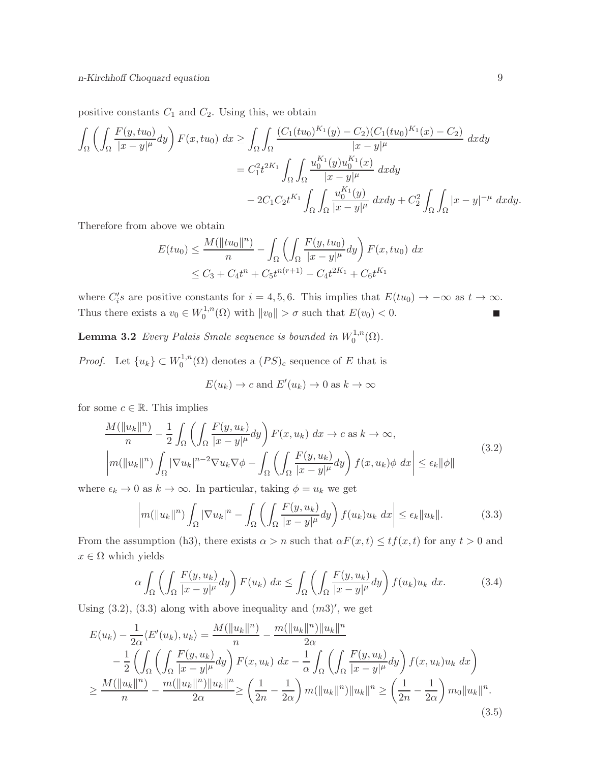positive constants  $C_1$  and  $C_2$ . Using this, we obtain

$$
\int_{\Omega} \left( \int_{\Omega} \frac{F(y, tu_0)}{|x - y|^{\mu}} dy \right) F(x, tu_0) dx \ge \int_{\Omega} \int_{\Omega} \frac{(C_1(tu_0)^{K_1}(y) - C_2)(C_1(tu_0)^{K_1}(x) - C_2)}{|x - y|^{\mu}} dx dy
$$
  
\n
$$
= C_1^2 t^{2K_1} \int_{\Omega} \int_{\Omega} \frac{u_0^{K_1}(y)u_0^{K_1}(x)}{|x - y|^{\mu}} dx dy
$$
  
\n
$$
-2C_1 C_2 t^{K_1} \int_{\Omega} \int_{\Omega} \frac{u_0^{K_1}(y)}{|x - y|^{\mu}} dx dy + C_2^2 \int_{\Omega} \int_{\Omega} |x - y|^{-\mu} dx dy.
$$

Therefore from above we obtain

$$
E(tu_0) \le \frac{M(||tu_0||^n)}{n} - \int_{\Omega} \left( \int_{\Omega} \frac{F(y, tu_0)}{|x - y|^{\mu}} dy \right) F(x, tu_0) dx
$$
  
 
$$
\le C_3 + C_4 t^n + C_5 t^{n(r+1)} - C_4 t^{2K_1} + C_6 t^{K_1}
$$

where  $C_i$ 's are positive constants for  $i = 4, 5, 6$ . This implies that  $E(tu_0) \to -\infty$  as  $t \to \infty$ . Thus there exists a  $v_0 \in W_0^{1,n}$  $\int_0^{1,n}(\Omega)$  with  $||v_0|| > \sigma$  such that  $E(v_0) < 0$ . L.

**Lemma 3.2** Every Palais Smale sequence is bounded in  $W_0^{1,n}$  $\mathcal{O}^{1,n}(\Omega).$ 

*Proof.* Let  $\{u_k\} \subset W_0^{1,n}$  $0^{1,n}(\Omega)$  denotes a  $(PS)_c$  sequence of E that is

$$
E(u_k) \to c
$$
 and  $E'(u_k) \to 0$  as  $k \to \infty$ 

for some  $c \in \mathbb{R}$ . This implies

$$
\frac{M(\|u_k\|^n)}{n} - \frac{1}{2} \int_{\Omega} \left( \int_{\Omega} \frac{F(y, u_k)}{|x - y|^{\mu}} dy \right) F(x, u_k) dx \to c \text{ as } k \to \infty,
$$
\n
$$
\left| m(\|u_k\|^n) \int_{\Omega} |\nabla u_k|^{n-2} \nabla u_k \nabla \phi - \int_{\Omega} \left( \int_{\Omega} \frac{F(y, u_k)}{|x - y|^{\mu}} dy \right) f(x, u_k) \phi dx \right| \le \epsilon_k \|\phi\|
$$
\n(3.2)

where  $\epsilon_k \to 0$  as  $k \to \infty$ . In particular, taking  $\phi = u_k$  we get

$$
\left| m(\|u_k\|^n) \int_{\Omega} |\nabla u_k|^n - \int_{\Omega} \left( \int_{\Omega} \frac{F(y, u_k)}{|x - y|^{\mu}} dy \right) f(u_k) u_k dx \right| \le \epsilon_k \|u_k\|.
$$
 (3.3)

From the assumption (h3), there exists  $\alpha > n$  such that  $\alpha F(x,t) \leq tf(x,t)$  for any  $t > 0$  and  $x \in \Omega$  which yields

$$
\alpha \int_{\Omega} \left( \int_{\Omega} \frac{F(y, u_k)}{|x - y|^{\mu}} dy \right) F(u_k) dx \le \int_{\Omega} \left( \int_{\Omega} \frac{F(y, u_k)}{|x - y|^{\mu}} dy \right) f(u_k) u_k dx. \tag{3.4}
$$

Using  $(3.2)$ ,  $(3.3)$  along with above inequality and  $(m3)'$ , we get

$$
E(u_k) - \frac{1}{2\alpha} \langle E'(u_k), u_k \rangle = \frac{M(||u_k||^n)}{n} - \frac{m(||u_k||^n) ||u_k||^n}{2\alpha}
$$
  

$$
- \frac{1}{2} \left( \int_{\Omega} \left( \int_{\Omega} \frac{F(y, u_k)}{|x - y|^{\mu}} dy \right) F(x, u_k) dx - \frac{1}{\alpha} \int_{\Omega} \left( \int_{\Omega} \frac{F(y, u_k)}{|x - y|^{\mu}} dy \right) f(x, u_k) u_k dx \right)
$$
  

$$
\geq \frac{M(||u_k||^n)}{n} - \frac{m(||u_k||^n) ||u_k||^n}{2\alpha} \geq \left( \frac{1}{2n} - \frac{1}{2\alpha} \right) m(||u_k||^n) ||u_k||^n \geq \left( \frac{1}{2n} - \frac{1}{2\alpha} \right) m_0 ||u_k||^n.
$$
(3.5)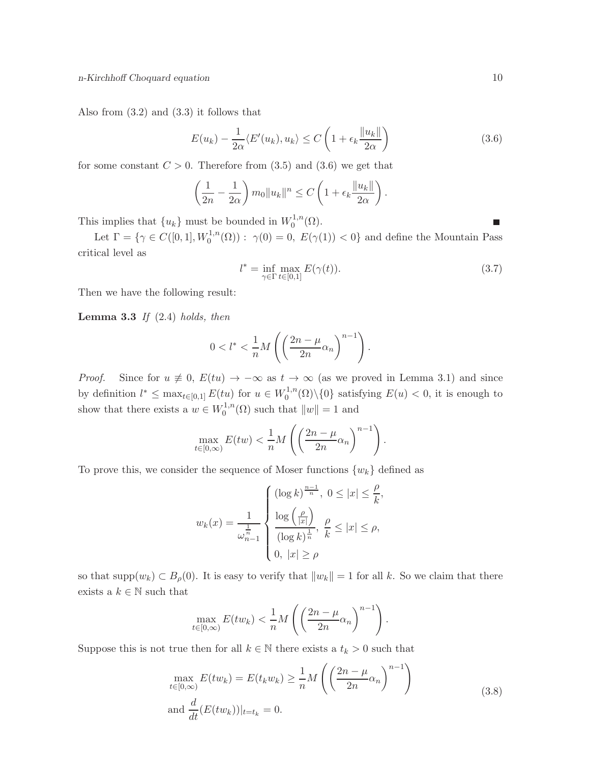Also from (3.2) and (3.3) it follows that

$$
E(u_k) - \frac{1}{2\alpha} \langle E'(u_k), u_k \rangle \le C \left( 1 + \epsilon_k \frac{\|u_k\|}{2\alpha} \right)
$$
 (3.6)

for some constant  $C > 0$ . Therefore from (3.5) and (3.6) we get that

$$
\left(\frac{1}{2n} - \frac{1}{2\alpha}\right) m_0 \|u_k\|^n \le C \left(1 + \epsilon_k \frac{\|u_k\|}{2\alpha}\right).
$$

This implies that  $\{u_k\}$  must be bounded in  $W_0^{1,n}$  $\mathcal{O}^{1,n}(\Omega).$ 

Let  $\Gamma = \{ \gamma \in C([0,1], W_0^{1,n}(\Omega)) : \gamma(0) = 0, E(\gamma(1)) < 0 \}$  and define the Mountain Pass critical level as

$$
l^* = \inf_{\gamma \in \Gamma} \max_{t \in [0,1]} E(\gamma(t)). \tag{3.7}
$$

Then we have the following result:

**Lemma 3.3** If  $(2.4)$  holds, then

$$
0 < l^* < \frac{1}{n}M\left(\left(\frac{2n-\mu}{2n}\alpha_n\right)^{n-1}\right).
$$

*Proof.* Since for  $u \neq 0$ ,  $E(tu) \rightarrow -\infty$  as  $t \rightarrow \infty$  (as we proved in Lemma 3.1) and since by definition  $l^* \leq \max_{t \in [0,1]} E(tu)$  for  $u \in W_0^{1,n}$  $\binom{0}{0}$  (0) satisfying  $E(u) < 0$ , it is enough to show that there exists a  $w \in W_0^{1,n}$  $\binom{1}{0}$  such that  $||w|| = 1$  and

$$
\max_{t \in [0,\infty)} E(tw) < \frac{1}{n} M\left(\left(\frac{2n-\mu}{2n}\alpha_n\right)^{n-1}\right).
$$

To prove this, we consider the sequence of Moser functions  $\{w_k\}$  defined as

$$
w_k(x) = \frac{1}{\omega_{n-1}^{\frac{1}{n}}} \begin{cases} (\log k)^{\frac{n-1}{n}}, & 0 \le |x| \le \frac{\rho}{k}, \\ \frac{\log \left(\frac{\rho}{|x|}\right)}{(\log k)^{\frac{1}{n}}}, & \frac{\rho}{k} \le |x| \le \rho, \\ 0, & |x| \ge \rho \end{cases}
$$

so that supp $(w_k) \subset B_\rho(0)$ . It is easy to verify that  $||w_k|| = 1$  for all k. So we claim that there exists a  $k\in\mathbb{N}$  such that

$$
\max_{t \in [0,\infty)} E(tw_k) < \frac{1}{n} M\left( \left(\frac{2n-\mu}{2n} \alpha_n\right)^{n-1} \right).
$$

Suppose this is not true then for all  $k \in \mathbb{N}$  there exists a  $t_k > 0$  such that

$$
\max_{t \in [0,\infty)} E(tw_k) = E(t_k w_k) \ge \frac{1}{n} M \left( \left( \frac{2n - \mu}{2n} \alpha_n \right)^{n-1} \right)
$$
\n
$$
\text{and } \frac{d}{dt} (E(tw_k))|_{t=t_k} = 0. \tag{3.8}
$$

 $\overline{\phantom{a}}$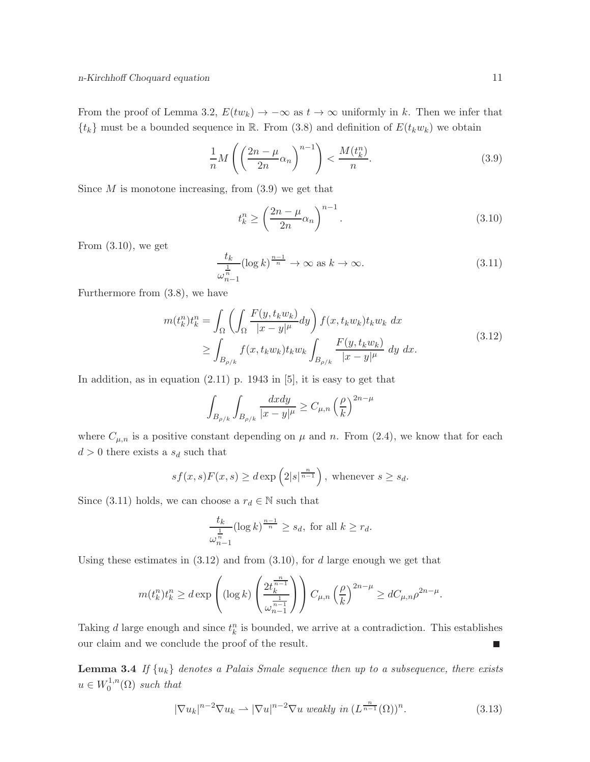From the proof of Lemma 3.2,  $E(tw_k) \to -\infty$  as  $t \to \infty$  uniformly in k. Then we infer that  ${t_k}$  must be a bounded sequence in R. From (3.8) and definition of  $E(t_k w_k)$  we obtain

$$
\frac{1}{n}M\left(\left(\frac{2n-\mu}{2n}\alpha_n\right)^{n-1}\right) < \frac{M(t_k^n)}{n}.\tag{3.9}
$$

Since  $M$  is monotone increasing, from  $(3.9)$  we get that

$$
t_k^n \ge \left(\frac{2n-\mu}{2n}\alpha_n\right)^{n-1}.\tag{3.10}
$$

From  $(3.10)$ , we get

$$
\frac{t_k}{\omega_{n-1}^{\frac{1}{n}}} (\log k)^{\frac{n-1}{n}} \to \infty \text{ as } k \to \infty.
$$
 (3.11)

Furthermore from (3.8), we have

$$
m(t_k^n)t_k^n = \int_{\Omega} \left( \int_{\Omega} \frac{F(y, t_k w_k)}{|x - y|^{\mu}} dy \right) f(x, t_k w_k) t_k w_k dx
$$
  
\n
$$
\geq \int_{B_{\rho/k}} f(x, t_k w_k) t_k w_k \int_{B_{\rho/k}} \frac{F(y, t_k w_k)}{|x - y|^{\mu}} dy dx.
$$
\n(3.12)

In addition, as in equation (2.11) p. 1943 in [5], it is easy to get that

$$
\int_{B_{\rho/k}} \int_{B_{\rho/k}} \frac{dx dy}{|x - y|^{\mu}} \ge C_{\mu,n} \left(\frac{\rho}{k}\right)^{2n - \mu}
$$

where  $C_{\mu,n}$  is a positive constant depending on  $\mu$  and n. From (2.4), we know that for each  $d > 0$  there exists a  $s_d$  such that

$$
sf(x,s)F(x,s) \ge d \exp\left(2|s|^{\frac{n}{n-1}}\right), \text{ whenever } s \ge s_d.
$$

Since (3.11) holds, we can choose a  $r_d \in \mathbb{N}$  such that

$$
\frac{t_k}{\omega_{n-1}^{\frac{1}{n}}} (\log k)^{\frac{n-1}{n}} \ge s_d, \text{ for all } k \ge r_d.
$$

Using these estimates in  $(3.12)$  and from  $(3.10)$ , for d large enough we get that

$$
m(t_k^n)t_k^n \ge d \exp\left( (\log k) \left( \frac{2t_k^{\frac{n}{n-1}}}{\omega_{n-1}^{\frac{1}{n-1}}} \right) \right) C_{\mu,n} \left( \frac{\rho}{k} \right)^{2n-\mu} \ge d C_{\mu,n} \rho^{2n-\mu}.
$$

Taking d large enough and since  $t_k^n$  is bounded, we arrive at a contradiction. This establishes our claim and we conclude the proof of the result.  $\Box$ 

**Lemma 3.4** If  $\{u_k\}$  denotes a Palais Smale sequence then up to a subsequence, there exists  $u \in W_0^{1,n}$  $C_0^{1,n}(\Omega)$  such that

$$
|\nabla u_k|^{n-2} \nabla u_k \rightharpoonup |\nabla u|^{n-2} \nabla u \ weakly in \left( L^{\frac{n}{n-1}}(\Omega) \right)^n. \tag{3.13}
$$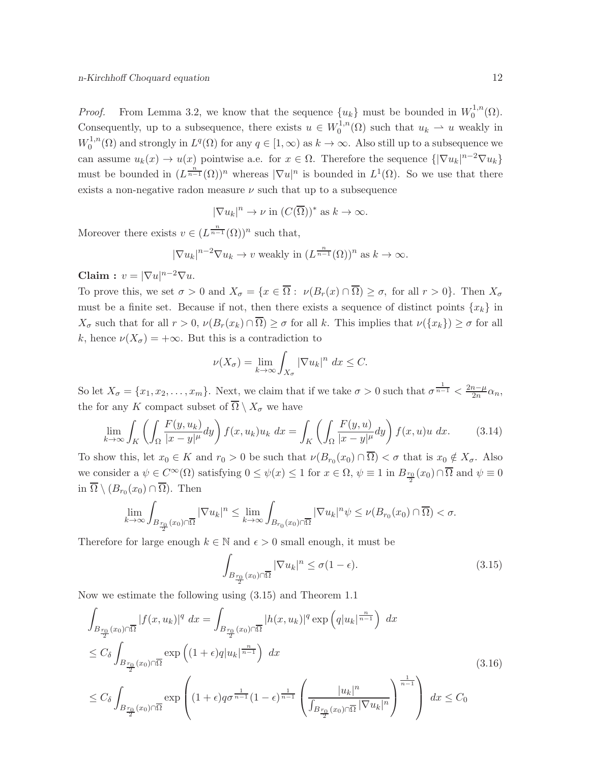*Proof.* From Lemma 3.2, we know that the sequence  $\{u_k\}$  must be bounded in  $W_0^{1,n}$  $_{0}^{\cdot 1,n}(\Omega).$ Consequently, up to a subsequence, there exists  $u \in W_0^{1,n}$  $u_0^{1,n}(\Omega)$  such that  $u_k \rightharpoonup u$  weakly in  $W_0^{1,n}$  $Q_0^{1,n}(\Omega)$  and strongly in  $L^q(\Omega)$  for any  $q \in [1,\infty)$  as  $k \to \infty$ . Also still up to a subsequence we can assume  $u_k(x) \to u(x)$  pointwise a.e. for  $x \in \Omega$ . Therefore the sequence  $\{|\nabla u_k|^{n-2} \nabla u_k\}$ must be bounded in  $(L^{\frac{n}{n-1}}(\Omega))^n$  whereas  $|\nabla u|^n$  is bounded in  $L^1(\Omega)$ . So we use that there exists a non-negative radon measure  $\nu$  such that up to a subsequence

$$
|\nabla u_k|^n \to \nu
$$
 in  $(C(\overline{\Omega}))^*$  as  $k \to \infty$ .

Moreover there exists  $v \in (L^{\frac{n}{n-1}}(\Omega))^n$  such that,

$$
|\nabla u_k|^{n-2} \nabla u_k \to v
$$
 weakly in  $(L^{\frac{n}{n-1}}(\Omega))^n$  as  $k \to \infty$ .

Claim :  $v = |\nabla u|^{n-2} \nabla u$ .

To prove this, we set  $\sigma > 0$  and  $X_{\sigma} = \{x \in \overline{\Omega} : \nu(B_r(x) \cap \overline{\Omega}) \ge \sigma \}$ , for all  $r > 0\}$ . Then  $X_{\sigma}$ must be a finite set. Because if not, then there exists a sequence of distinct points  $\{x_k\}$  in  $X_{\sigma}$  such that for all  $r > 0$ ,  $\nu(B_r(x_k) \cap \overline{\Omega}) \geq \sigma$  for all k. This implies that  $\nu(\lbrace x_k \rbrace) \geq \sigma$  for all k, hence  $\nu(X_{\sigma}) = +\infty$ . But this is a contradiction to

$$
\nu(X_{\sigma}) = \lim_{k \to \infty} \int_{X_{\sigma}} |\nabla u_k|^n \ dx \leq C.
$$

So let  $X_{\sigma} = \{x_1, x_2, \ldots, x_m\}$ . Next, we claim that if we take  $\sigma > 0$  such that  $\sigma^{\frac{1}{n-1}} < \frac{2n-\mu}{2n}$  $rac{n-\mu}{2n}\alpha_n,$ the for any K compact subset of  $\overline{\Omega} \setminus X_{\sigma}$  we have

$$
\lim_{k \to \infty} \int_{K} \left( \int_{\Omega} \frac{F(y, u_k)}{|x - y|^{\mu}} dy \right) f(x, u_k) u_k dx = \int_{K} \left( \int_{\Omega} \frac{F(y, u)}{|x - y|^{\mu}} dy \right) f(x, u) u dx. \tag{3.14}
$$

To show this, let  $x_0 \in K$  and  $r_0 > 0$  be such that  $\nu(B_{r_0}(x_0) \cap \Omega) < \sigma$  that is  $x_0 \notin X_{\sigma}$ . Also we consider a  $\psi \in C^{\infty}(\Omega)$  satisfying  $0 \leq \psi(x) \leq 1$  for  $x \in \Omega$ ,  $\psi \equiv 1$  in  $B_{\frac{r_0}{2}}(x_0) \cap \overline{\Omega}$  and  $\psi \equiv 0$ in  $\Omega \setminus (B_{r_0}(x_0) \cap \Omega)$ . Then

$$
\lim_{k \to \infty} \int_{B_{\frac{r_0}{2}}(x_0) \cap \overline{\Omega}} |\nabla u_k|^n \le \lim_{k \to \infty} \int_{B_{r_0}(x_0) \cap \overline{\Omega}} |\nabla u_k|^n \psi \le \nu(B_{r_0}(x_0) \cap \overline{\Omega}) < \sigma.
$$

Therefore for large enough  $k \in \mathbb{N}$  and  $\epsilon > 0$  small enough, it must be

$$
\int_{B_{\frac{r_0}{2}}(x_0)\cap\overline{\Omega}} |\nabla u_k|^n \le \sigma(1-\epsilon). \tag{3.15}
$$

Now we estimate the following using (3.15) and Theorem 1.1

$$
\int_{B_{\frac{r_0}{2}}(x_0)\cap\overline{\Omega}} |f(x,u_k)|^q dx = \int_{B_{\frac{r_0}{2}}(x_0)\cap\overline{\Omega}} |h(x,u_k)|^q \exp\left(q|u_k|^{\frac{n}{n-1}}\right) dx
$$
\n
$$
\leq C_{\delta} \int_{B_{\frac{r_0}{2}}(x_0)\cap\overline{\Omega}} \exp\left((1+\epsilon)q|u_k|^{\frac{n}{n-1}}\right) dx
$$
\n
$$
\leq C_{\delta} \int_{B_{\frac{r_0}{2}}(x_0)\cap\overline{\Omega}} \exp\left((1+\epsilon)q\sigma^{\frac{1}{n-1}}(1-\epsilon)^{\frac{1}{n-1}}\left(\frac{|u_k|^n}{\int_{B_{\frac{r_0}{2}}(x_0)\cap\overline{\Omega}}|\nabla u_k|^n}\right)^{\frac{1}{n-1}}\right) dx \leq C_0
$$
\n(3.16)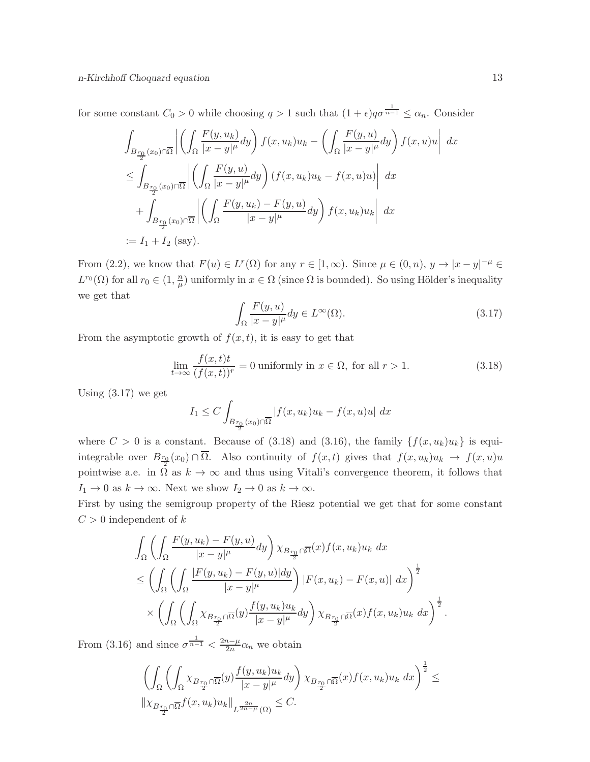for some constant  $C_0 > 0$  while choosing  $q > 1$  such that  $(1 + \epsilon)q\sigma^{\frac{1}{n-1}} \leq \alpha_n$ . Consider

$$
\int_{B_{\frac{r_0}{2}}(x_0)\cap\overline{\Omega}} \left| \left( \int_{\Omega} \frac{F(y, u_k)}{|x - y|^{\mu}} dy \right) f(x, u_k) u_k - \left( \int_{\Omega} \frac{F(y, u)}{|x - y|^{\mu}} dy \right) f(x, u) u \right| dx
$$
  
\n
$$
\leq \int_{B_{\frac{r_0}{2}}(x_0)\cap\overline{\Omega}} \left| \left( \int_{\Omega} \frac{F(y, u)}{|x - y|^{\mu}} dy \right) (f(x, u_k) u_k - f(x, u) u) \right| dx
$$
  
\n
$$
+ \int_{B_{\frac{r_0}{2}}(x_0)\cap\overline{\Omega}} \left| \left( \int_{\Omega} \frac{F(y, u_k) - F(y, u)}{|x - y|^{\mu}} dy \right) f(x, u_k) u_k \right| dx
$$
  
\n
$$
:= I_1 + I_2 \text{ (say)}.
$$

From (2.2), we know that  $F(u) \in L^r(\Omega)$  for any  $r \in [1,\infty)$ . Since  $\mu \in (0,n)$ ,  $y \to |x-y|^{-\mu} \in$  $L^{r_0}(\Omega)$  for all  $r_0 \in (1, \frac{n}{\mu})$  $\frac{n}{\mu}$ ) uniformly in  $x \in \Omega$  (since  $\Omega$  is bounded). So using Hölder's inequality we get that

$$
\int_{\Omega} \frac{F(y, u)}{|x - y|^{\mu}} dy \in L^{\infty}(\Omega). \tag{3.17}
$$

From the asymptotic growth of  $f(x, t)$ , it is easy to get that

$$
\lim_{t \to \infty} \frac{f(x,t)t}{(f(x,t))^r} = 0
$$
 uniformly in  $x \in \Omega$ , for all  $r > 1$ . (3.18)

Using  $(3.17)$  we get

$$
I_1 \leq C \int_{B_{\frac{r_0}{2}}(x_0)\cap\overline{\Omega}} |f(x,u_k)u_k - f(x,u)u| \ dx
$$

where  $C > 0$  is a constant. Because of (3.18) and (3.16), the family  $\{f(x, u_k)u_k\}$  is equiintegrable over  $B_{\frac{r_0}{2}}(x_0) \cap \Omega$ . Also continuity of  $f(x,t)$  gives that  $f(x,u_k)u_k \to f(x,u)u_k$ pointwise a.e. in  $\Omega$  as  $k \to \infty$  and thus using Vitali's convergence theorem, it follows that  $I_1 \to 0$  as  $k \to \infty$ . Next we show  $I_2 \to 0$  as  $k \to \infty$ .

First by using the semigroup property of the Riesz potential we get that for some constant  $C > 0$  independent of k

$$
\int_{\Omega} \left( \int_{\Omega} \frac{F(y, u_k) - F(y, u)}{|x - y|^{\mu}} dy \right) \chi_{B_{\frac{r_0}{2}} \cap \overline{\Omega}}(x) f(x, u_k) u_k dx
$$
\n
$$
\leq \left( \int_{\Omega} \left( \int_{\Omega} \frac{|F(y, u_k) - F(y, u)| dy}{|x - y|^{\mu}} \right) |F(x, u_k) - F(x, u)| dx \right)^{\frac{1}{2}}
$$
\n
$$
\times \left( \int_{\Omega} \left( \int_{\Omega} \chi_{B_{\frac{r_0}{2}} \cap \overline{\Omega}}(y) \frac{f(y, u_k) u_k}{|x - y|^{\mu}} dy \right) \chi_{B_{\frac{r_0}{2}} \cap \overline{\Omega}}(x) f(x, u_k) u_k dx \right)^{\frac{1}{2}}.
$$

From (3.16) and since  $\sigma^{\frac{1}{n-1}} < \frac{2n-\mu}{2n}$  $\frac{n-\mu}{2n}\alpha_n$  we obtain

$$
\left(\int_{\Omega}\left(\int_{\Omega}\chi_{B_{\frac{r_0}{2}}\cap\overline{\Omega}}(y)\frac{f(y,u_k)u_k}{|x-y|^{\mu}}dy\right)\chi_{B_{\frac{r_0}{2}}\cap\overline{\Omega}}(x)f(x,u_k)u_k\ dx\right)^{\frac{1}{2}}\leq \|\chi_{B_{\frac{r_0}{2}}\cap\overline{\Omega}}f(x,u_k)u_k\|_{L^{\frac{2n}{2n-\mu}}(\Omega)}\leq C.
$$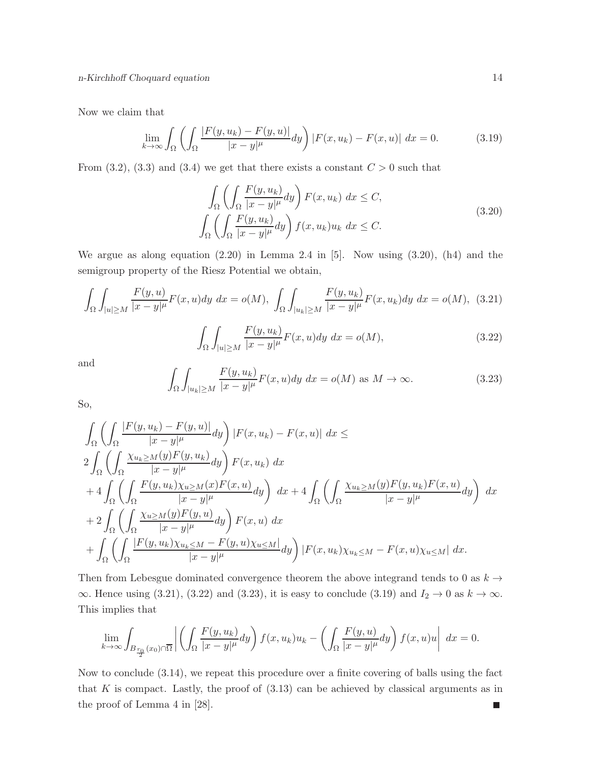Now we claim that

$$
\lim_{k \to \infty} \int_{\Omega} \left( \int_{\Omega} \frac{|F(y, u_k) - F(y, u)|}{|x - y|^{\mu}} dy \right) |F(x, u_k) - F(x, u)| dx = 0.
$$
 (3.19)

From  $(3.2)$ ,  $(3.3)$  and  $(3.4)$  we get that there exists a constant  $C > 0$  such that

$$
\int_{\Omega} \left( \int_{\Omega} \frac{F(y, u_k)}{|x - y|^{\mu}} dy \right) F(x, u_k) dx \le C,
$$
\n
$$
\int_{\Omega} \left( \int_{\Omega} \frac{F(y, u_k)}{|x - y|^{\mu}} dy \right) f(x, u_k) u_k dx \le C.
$$
\n(3.20)

We argue as along equation (2.20) in Lemma 2.4 in [5]. Now using (3.20), (h4) and the semigroup property of the Riesz Potential we obtain,

$$
\int_{\Omega} \int_{|u| \ge M} \frac{F(y, u)}{|x - y|^{\mu}} F(x, u) dy dx = o(M), \int_{\Omega} \int_{|u_k| \ge M} \frac{F(y, u_k)}{|x - y|^{\mu}} F(x, u_k) dy dx = o(M), (3.21)
$$

$$
\int_{\Omega} \int_{|u| \ge M} \frac{F(y, u_k)}{|x - y|^{\mu}} F(x, u) dy dx = o(M),
$$
\n(3.22)

and

$$
\int_{\Omega} \int_{|u_k| \ge M} \frac{F(y, u_k)}{|x - y|^{\mu}} F(x, u) dy dx = o(M) \text{ as } M \to \infty.
$$
 (3.23)

So,

$$
\int_{\Omega} \left( \int_{\Omega} \frac{|F(y, u_k) - F(y, u)|}{|x - y|^{\mu}} dy \right) |F(x, u_k) - F(x, u)| dx \le
$$
\n
$$
2 \int_{\Omega} \left( \int_{\Omega} \frac{\chi_{u_k \ge M}(y) F(y, u_k)}{|x - y|^{\mu}} dy \right) F(x, u_k) dx
$$
\n
$$
+ 4 \int_{\Omega} \left( \int_{\Omega} \frac{F(y, u_k) \chi_{u \ge M}(x) F(x, u)}{|x - y|^{\mu}} dy \right) dx + 4 \int_{\Omega} \left( \int_{\Omega} \frac{\chi_{u_k \ge M}(y) F(y, u_k) F(x, u)}{|x - y|^{\mu}} dy \right) dx
$$
\n
$$
+ 2 \int_{\Omega} \left( \int_{\Omega} \frac{\chi_{u \ge M}(y) F(y, u)}{|x - y|^{\mu}} dy \right) F(x, u) dx
$$
\n
$$
+ \int_{\Omega} \left( \int_{\Omega} \frac{|F(y, u_k) \chi_{u_k \le M} - F(y, u) \chi_{u \le M}|}{|x - y|^{\mu}} dy \right) |F(x, u_k) \chi_{u_k \le M} - F(x, u) \chi_{u \le M}| dx.
$$

Then from Lebesgue dominated convergence theorem the above integrand tends to 0 as  $k\to$ ∞. Hence using (3.21), (3.22) and (3.23), it is easy to conclude (3.19) and  $I_2 \to 0$  as  $k \to \infty$ . This implies that

$$
\lim_{k \to \infty} \int_{B_{\frac{r_0}{2}}(x_0) \cap \overline{\Omega}} \left| \left( \int_{\Omega} \frac{F(y, u_k)}{|x - y|^{\mu}} dy \right) f(x, u_k) u_k - \left( \int_{\Omega} \frac{F(y, u)}{|x - y|^{\mu}} dy \right) f(x, u) u \right| dx = 0.
$$

Now to conclude (3.14), we repeat this procedure over a finite covering of balls using the fact that  $K$  is compact. Lastly, the proof of  $(3.13)$  can be achieved by classical arguments as in the proof of Lemma 4 in [28]. $\blacksquare$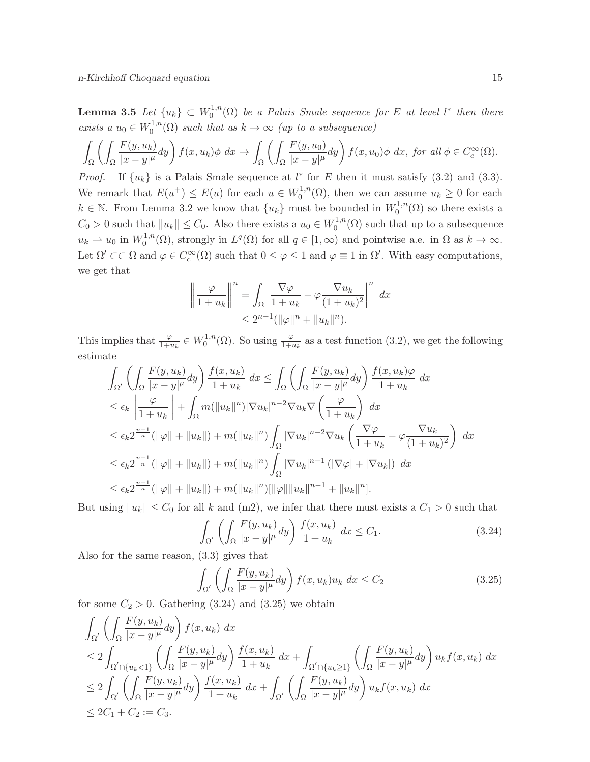Lemma 3.5 Let  $\{u_k\} \subset W_0^{1,n}$  $\mathcal{L}_0^{1,n}(\Omega)$  be a Palais Smale sequence for E at level  $l^*$  then there exists a  $u_0 \in W_0^{1,n}$  $\mathcal{O}_0^{1,n}(\Omega)$  such that as  $k \to \infty$  (up to a subsequence)

$$
\int_{\Omega} \left( \int_{\Omega} \frac{F(y, u_k)}{|x - y|^{\mu}} dy \right) f(x, u_k) \phi \, dx \to \int_{\Omega} \left( \int_{\Omega} \frac{F(y, u_0)}{|x - y|^{\mu}} dy \right) f(x, u_0) \phi \, dx, \text{ for all } \phi \in C_c^{\infty}(\Omega).
$$

*Proof.* If  $\{u_k\}$  is a Palais Smale sequence at  $l^*$  for E then it must satisfy (3.2) and (3.3). We remark that  $E(u^+) \leq E(u)$  for each  $u \in W_0^{1,n}$  $u_0^{1,n}(\Omega)$ , then we can assume  $u_k \geq 0$  for each  $k \in \mathbb{N}$ . From Lemma 3.2 we know that  $\{u_k\}$  must be bounded in  $W_0^{1,n}$  $C_0^{1,n}(\Omega)$  so there exists a  $C_0 > 0$  such that  $||u_k|| \leq C_0$ . Also there exists a  $u_0 \in W_0^{1,n}$  $\mathcal{O}_0^{1,n}(\Omega)$  such that up to a subsequence  $u_k \rightharpoonup u_0$  in  $W_0^{1,n}$  $L^{1,n}(\Omega)$ , strongly in  $L^q(\Omega)$  for all  $q \in [1,\infty)$  and pointwise a.e. in  $\Omega$  as  $k \to \infty$ . Let  $\Omega' \subset\subset \Omega$  and  $\varphi \in C_c^{\infty}(\Omega)$  such that  $0 \leq \varphi \leq 1$  and  $\varphi \equiv 1$  in  $\Omega'$ . With easy computations, we get that

$$
\left\| \frac{\varphi}{1+u_k} \right\|^n = \int_{\Omega} \left| \frac{\nabla \varphi}{1+u_k} - \varphi \frac{\nabla u_k}{(1+u_k)^2} \right|^n dx
$$
  

$$
\leq 2^{n-1} (\|\varphi\|^n + \|u_k\|^n).
$$

This implies that  $\frac{\varphi}{1+u_k} \in W_0^{1,n}$  $v_0^{1,n}(\Omega)$ . So using  $\frac{\varphi}{1+u_k}$  as a test function (3.2), we get the following estimate

$$
\int_{\Omega'} \left( \int_{\Omega} \frac{F(y, u_k)}{|x - y|^{\mu}} dy \right) \frac{f(x, u_k)}{1 + u_k} dx \le \int_{\Omega} \left( \int_{\Omega} \frac{F(y, u_k)}{|x - y|^{\mu}} dy \right) \frac{f(x, u_k)\varphi}{1 + u_k} dx
$$
\n
$$
\le \epsilon_k \left\| \frac{\varphi}{1 + u_k} \right\| + \int_{\Omega} m(\|u_k\|^n) |\nabla u_k|^{n-2} \nabla u_k \nabla \left( \frac{\varphi}{1 + u_k} \right) dx
$$
\n
$$
\le \epsilon_k 2^{\frac{n-1}{n}} (\|\varphi\| + \|u_k\|) + m(\|u_k\|^n) \int_{\Omega} |\nabla u_k|^{n-2} \nabla u_k \left( \frac{\nabla \varphi}{1 + u_k} - \varphi \frac{\nabla u_k}{(1 + u_k)^2} \right) dx
$$
\n
$$
\le \epsilon_k 2^{\frac{n-1}{n}} (\|\varphi\| + \|u_k\|) + m(\|u_k\|^n) \int_{\Omega} |\nabla u_k|^{n-1} (\|\nabla \varphi\| + \|\nabla u_k\|) dx
$$
\n
$$
\le \epsilon_k 2^{\frac{n-1}{n}} (\|\varphi\| + \|u_k\|) + m(\|u_k\|^n) [\|\varphi\|] \|u_k\|^{n-1} + \|u_k\|^n].
$$

But using  $||u_k|| \leq C_0$  for all k and (m2), we infer that there must exists a  $C_1 > 0$  such that

$$
\int_{\Omega'} \left( \int_{\Omega} \frac{F(y, u_k)}{|x - y|^{\mu}} dy \right) \frac{f(x, u_k)}{1 + u_k} dx \le C_1.
$$
\n(3.24)

Also for the same reason, (3.3) gives that

$$
\int_{\Omega'} \left( \int_{\Omega} \frac{F(y, u_k)}{|x - y|^{\mu}} dy \right) f(x, u_k) u_k dx \le C_2
$$
\n(3.25)

for some  $C_2 > 0$ . Gathering (3.24) and (3.25) we obtain

$$
\int_{\Omega'} \left( \int_{\Omega} \frac{F(y, u_k)}{|x - y|^{\mu}} dy \right) f(x, u_k) dx
$$
\n
$$
\leq 2 \int_{\Omega' \cap \{u_k < 1\}} \left( \int_{\Omega} \frac{F(y, u_k)}{|x - y|^{\mu}} dy \right) \frac{f(x, u_k)}{1 + u_k} dx + \int_{\Omega' \cap \{u_k \ge 1\}} \left( \int_{\Omega} \frac{F(y, u_k)}{|x - y|^{\mu}} dy \right) u_k f(x, u_k) dx
$$
\n
$$
\leq 2 \int_{\Omega'} \left( \int_{\Omega} \frac{F(y, u_k)}{|x - y|^{\mu}} dy \right) \frac{f(x, u_k)}{1 + u_k} dx + \int_{\Omega'} \left( \int_{\Omega} \frac{F(y, u_k)}{|x - y|^{\mu}} dy \right) u_k f(x, u_k) dx
$$
\n
$$
\leq 2C_1 + C_2 := C_3.
$$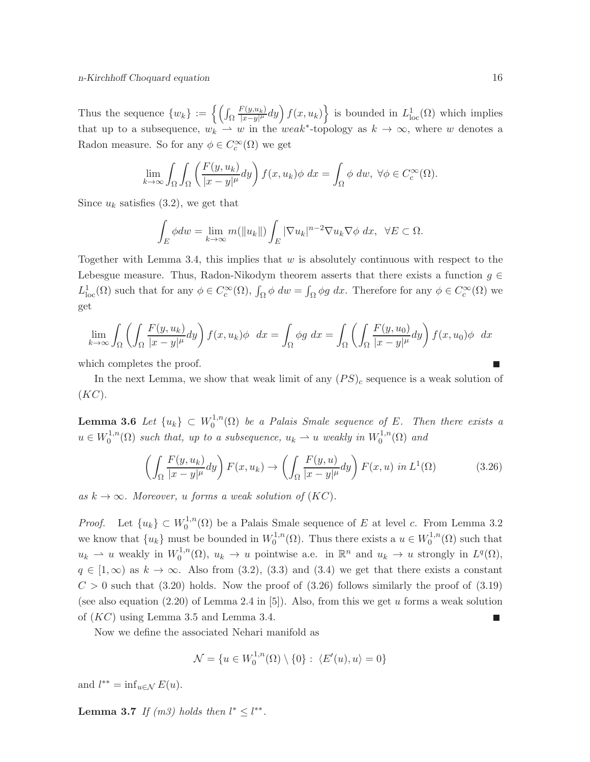Thus the sequence  $\{w_k\} := \left\{ \int_{\Omega}$  $F(y,u_k)$  $\left\{\frac{F(y,u_k)}{|x-y|^{\mu}}dy\right\}$   $f(x,u_k)\big\}$  is bounded in  $L^1_{\text{loc}}(\Omega)$  which implies that up to a subsequence,  $w_k \rightharpoonup w$  in the weak<sup>\*</sup>-topology as  $k \to \infty$ , where w denotes a Radon measure. So for any  $\phi \in C_c^{\infty}(\Omega)$  we get

$$
\lim_{k \to \infty} \int_{\Omega} \int_{\Omega} \left( \frac{F(y, u_k)}{|x - y|^{\mu}} dy \right) f(x, u_k) \phi \, dx = \int_{\Omega} \phi \, dw, \ \forall \phi \in C_c^{\infty}(\Omega).
$$

Since  $u_k$  satisfies (3.2), we get that

$$
\int_{E} \phi dw = \lim_{k \to \infty} m(||u_k||) \int_{E} |\nabla u_k|^{n-2} \nabla u_k \nabla \phi dx, \ \ \forall E \subset \Omega.
$$

Together with Lemma 3.4, this implies that  $w$  is absolutely continuous with respect to the Lebesgue measure. Thus, Radon-Nikodym theorem asserts that there exists a function  $g \in$  $L^1_{loc}(\Omega)$  such that for any  $\phi \in C_c^{\infty}(\Omega)$ ,  $\int_{\Omega} \phi \, dw = \int_{\Omega} \phi g \, dx$ . Therefore for any  $\phi \in C_c^{\infty}(\Omega)$  we get

$$
\lim_{k \to \infty} \int_{\Omega} \left( \int_{\Omega} \frac{F(y, u_k)}{|x - y|^{\mu}} dy \right) f(x, u_k) \phi \ dx = \int_{\Omega} \phi g \ dx = \int_{\Omega} \left( \int_{\Omega} \frac{F(y, u_0)}{|x - y|^{\mu}} dy \right) f(x, u_0) \phi \ dx
$$

which completes the proof.

In the next Lemma, we show that weak limit of any  $(PS)_c$  sequence is a weak solution of  $(KC).$ 

Lemma 3.6 Let  $\{u_k\} \subset W_0^{1,n}$  $\mathcal{O}_0^{1,n}(\Omega)$  be a Palais Smale sequence of E. Then there exists a  $u \in W_0^{1,n}$  $v_0^{1,n}(\Omega)$  such that, up to a subsequence,  $u_k \rightharpoonup u$  weakly in  $W_0^{1,n}$  $i_0^{1,n}(\Omega)$  and

$$
\left(\int_{\Omega} \frac{F(y, u_k)}{|x - y|^{\mu}} dy\right) F(x, u_k) \to \left(\int_{\Omega} \frac{F(y, u)}{|x - y|^{\mu}} dy\right) F(x, u) \text{ in } L^1(\Omega) \tag{3.26}
$$

as  $k \to \infty$ . Moreover, u forms a weak solution of  $(KC)$ .

*Proof.* Let  $\{u_k\} \subset W_0^{1,n}$  $\mathcal{O}_0^{1,n}(\Omega)$  be a Palais Smale sequence of E at level c. From Lemma 3.2 we know that  ${u_k}$  must be bounded in  $W_0^{1,n}$  $v_0^{1,n}(\Omega)$ . Thus there exists a  $u \in W_0^{1,n}$  $n_0^{1,n}(\Omega)$  such that  $u_k \rightharpoonup u$  weakly in  $W_0^{1,n}$  $u_k^{1,n}(\Omega)$ ,  $u_k \to u$  pointwise a.e. in  $\mathbb{R}^n$  and  $u_k \to u$  strongly in  $L^q(\Omega)$ ,  $q \in [1,\infty)$  as  $k \to \infty$ . Also from (3.2), (3.3) and (3.4) we get that there exists a constant  $C > 0$  such that (3.20) holds. Now the proof of (3.26) follows similarly the proof of (3.19) (see also equation  $(2.20)$  of Lemma 2.4 in [5]). Also, from this we get u forms a weak solution of  $(KC)$  using Lemma 3.5 and Lemma 3.4.

Now we define the associated Nehari manifold as

$$
\mathcal{N} = \{u \in W_0^{1,n}(\Omega) \setminus \{0\} : \langle E'(u), u \rangle = 0\}
$$

and  $l^{**} = \inf_{u \in \mathcal{N}} E(u)$ .

**Lemma 3.7** If  $(m3)$  holds then  $l^* \leq l^{**}$ .

П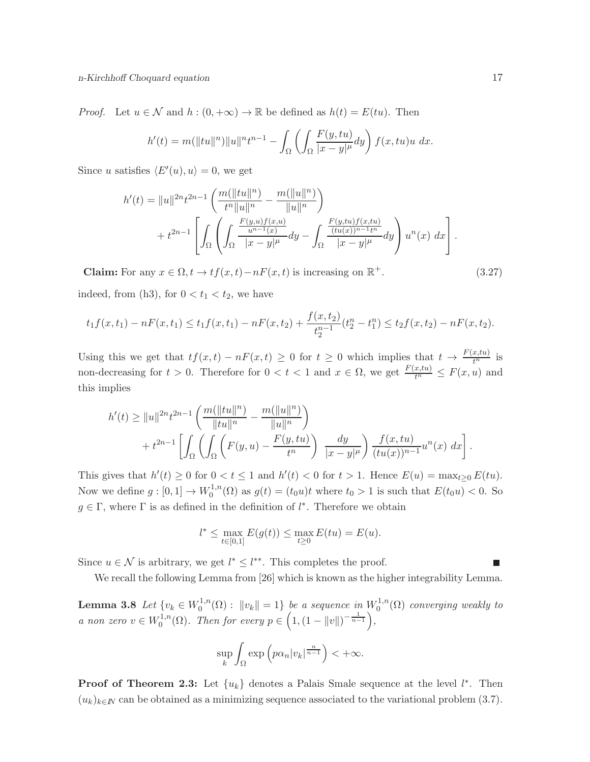*Proof.* Let  $u \in \mathcal{N}$  and  $h : (0, +\infty) \to \mathbb{R}$  be defined as  $h(t) = E(tu)$ . Then

$$
h'(t) = m(||tu||n)||u||ntn-1 - \int_{\Omega} \left( \int_{\Omega} \frac{F(y, tu)}{|x - y|^{\mu}} dy \right) f(x, tu)u dx.
$$

Since u satisfies  $\langle E'(u), u \rangle = 0$ , we get

$$
h'(t) = ||u||^{2n} t^{2n-1} \left( \frac{m(||tu||^n)}{t^n ||u||^n} - \frac{m(||u||^n)}{||u||^n} \right) + t^{2n-1} \left[ \int_{\Omega} \left( \int_{\Omega} \frac{F(y,u)f(x,u)}{|x-y|^{\mu}} dy - \int_{\Omega} \frac{F(y,tu)f(x,tu)}{|x-y|^{\mu}} dy \right) u^n(x) dx \right].
$$

**Claim:** For any  $x \in \Omega$ ,  $t \to tf(x, t) - nF(x, t)$  is increasing on  $\mathbb{R}^+$ .

indeed, from (h3), for  $0 < t_1 < t_2$ , we have

$$
t_1 f(x, t_1) - nF(x, t_1) \le t_1 f(x, t_1) - nF(x, t_2) + \frac{f(x, t_2)}{t_2^{n-1}} (t_2^n - t_1^n) \le t_2 f(x, t_2) - nF(x, t_2).
$$

Using this we get that  $tf(x,t) - nF(x,t) \geq 0$  for  $t \geq 0$  which implies that  $t \to \frac{F(x,tu)}{t^n}$  is non-decreasing for  $t > 0$ . Therefore for  $0 < t < 1$  and  $x \in \Omega$ , we get  $\frac{F(x,tu)}{t^n} \leq F(x,u)$  and this implies

$$
h'(t) \ge ||u||^{2n} t^{2n-1} \left( \frac{m(||tu||^n)}{||tu||^n} - \frac{m(||u||^n)}{||u||^n} \right) + t^{2n-1} \left[ \int_{\Omega} \left( \int_{\Omega} \left( F(y, u) - \frac{F(y, tu)}{t^n} \right) \frac{dy}{|x - y|^{\mu}} \right) \frac{f(x, tu)}{(tu(x))^{n-1}} u^n(x) dx \right].
$$

This gives that  $h'(t) \geq 0$  for  $0 < t \leq 1$  and  $h'(t) < 0$  for  $t > 1$ . Hence  $E(u) = \max_{t \geq 0} E(tu)$ . Now we define  $g: [0,1] \to W_0^{1,n}$  $S_0^{1,n}(\Omega)$  as  $g(t) = (t_0 u)t$  where  $t_0 > 1$  is such that  $E(t_0 u) < 0$ . So  $g \in \Gamma$ , where  $\Gamma$  is as defined in the definition of  $l^*$ . Therefore we obtain

$$
l^* \le \max_{t \in [0,1]} E(g(t)) \le \max_{t \ge 0} E(tu) = E(u).
$$

Since  $u \in \mathcal{N}$  is arbitrary, we get  $l^* \leq l^{**}$ . This completes the proof.

We recall the following Lemma from [26] which is known as the higher integrability Lemma.

**Lemma 3.8** Let  $\{v_k \in W_0^{1,n}\}$  $\int_0^{1,n}(\Omega) : \|v_k\| = 1$  be a sequence in  $W_0^{1,n}$  $\mathcal{O}_0^{1,n}(\Omega)$  converging weakly to a non zero  $v \in W_0^{1,n}$  $C_0^{1,n}(\Omega)$ . Then for every  $p \in \left(1, (1 - ||v||)^{-\frac{1}{n-1}}\right)$ ,

$$
\sup_{k} \int_{\Omega} \exp \left( p \alpha_n |v_k|^{\frac{n}{n-1}} \right) < +\infty.
$$

**Proof of Theorem 2.3:** Let  $\{u_k\}$  denotes a Palais Smale sequence at the level  $l^*$ . Then  $(u_k)_{k\in\mathbb{N}}$  can be obtained as a minimizing sequence associated to the variational problem (3.7).

 $(3.27)$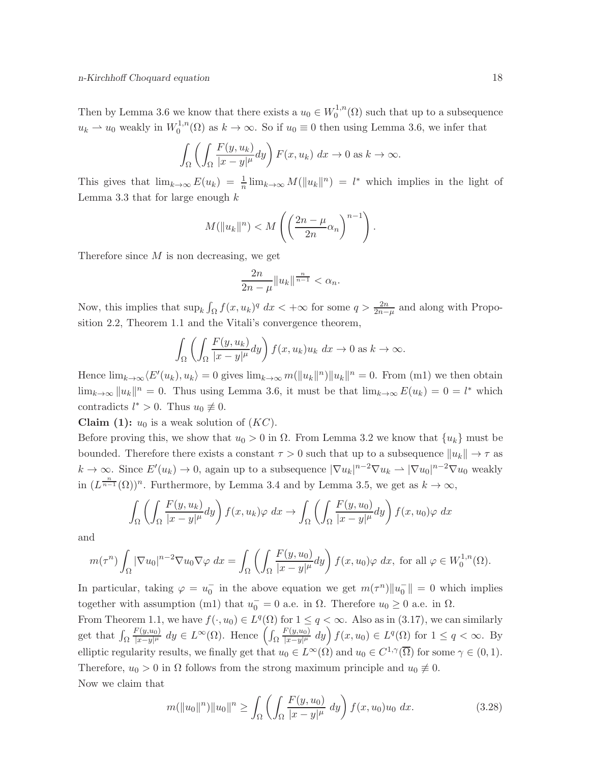Then by Lemma 3.6 we know that there exists a  $u_0 \in W_0^{1,n}$  $\mathcal{O}_0^{1,n}(\Omega)$  such that up to a subsequence  $u_k \rightharpoonup u_0$  weakly in  $W_0^{1,n}$  $0^{1,n}(\Omega)$  as  $k \to \infty$ . So if  $u_0 \equiv 0$  then using Lemma 3.6, we infer that

$$
\int_{\Omega} \left( \int_{\Omega} \frac{F(y, u_k)}{|x - y|^{\mu}} dy \right) F(x, u_k) dx \to 0 \text{ as } k \to \infty.
$$

This gives that  $\lim_{k\to\infty} E(u_k) = \frac{1}{n} \lim_{k\to\infty} M(||u_k||^n) = l^*$  which implies in the light of Lemma 3.3 that for large enough  $k$ 

$$
M(\|u_k\|^n) < M\left(\left(\frac{2n-\mu}{2n}\alpha_n\right)^{n-1}\right).
$$

Therefore since  $M$  is non decreasing, we get

$$
\frac{2n}{2n-\mu}||u_k||^{\frac{n}{n-1}} < \alpha_n.
$$

Now, this implies that  $\sup_k \int_{\Omega} f(x, u_k)^q dx < +\infty$  for some  $q > \frac{2n}{2n-\mu}$  and along with Proposition 2.2, Theorem 1.1 and the Vitali's convergence theorem,

$$
\int_{\Omega} \left( \int_{\Omega} \frac{F(y, u_k)}{|x - y|^{\mu}} dy \right) f(x, u_k) u_k dx \to 0 \text{ as } k \to \infty.
$$

Hence  $\lim_{k\to\infty} \langle E'(u_k), u_k \rangle = 0$  gives  $\lim_{k\to\infty} m(||u_k||^2) ||u_k||^2 = 0$ . From (m1) we then obtain  $\lim_{k\to\infty} ||u_k||^n = 0$ . Thus using Lemma 3.6, it must be that  $\lim_{k\to\infty} E(u_k) = 0 = l^*$  which contradicts  $l^* > 0$ . Thus  $u_0 \not\equiv 0$ .

**Claim (1):**  $u_0$  is a weak solution of  $(KC)$ .

Before proving this, we show that  $u_0 > 0$  in  $\Omega$ . From Lemma 3.2 we know that  $\{u_k\}$  must be bounded. Therefore there exists a constant  $\tau > 0$  such that up to a subsequence  $||u_k|| \to \tau$  as  $k \to \infty$ . Since  $E'(u_k) \to 0$ , again up to a subsequence  $|\nabla u_k|^{n-2} \nabla u_k \to |\nabla u_0|^{n-2} \nabla u_0$  weakly in  $(L^{\frac{n}{n-1}}(\Omega))^n$ . Furthermore, by Lemma 3.4 and by Lemma 3.5, we get as  $k \to \infty$ ,

$$
\int_{\Omega} \left( \int_{\Omega} \frac{F(y, u_k)}{|x - y|^{\mu}} dy \right) f(x, u_k) \varphi dx \to \int_{\Omega} \left( \int_{\Omega} \frac{F(y, u_0)}{|x - y|^{\mu}} dy \right) f(x, u_0) \varphi dx
$$

and

$$
m(\tau^n) \int_{\Omega} |\nabla u_0|^{n-2} \nabla u_0 \nabla \varphi \, dx = \int_{\Omega} \left( \int_{\Omega} \frac{F(y, u_0)}{|x - y|^{\mu}} dy \right) f(x, u_0) \varphi \, dx, \text{ for all } \varphi \in W_0^{1,n}(\Omega).
$$

In particular, taking  $\varphi = u_0^-$  in the above equation we get  $m(\tau^n) \|u_0^-\| = 0$  which implies together with assumption (m1) that  $u_0^- = 0$  a.e. in  $\Omega$ . Therefore  $u_0 \ge 0$  a.e. in  $\Omega$ .

From Theorem 1.1, we have  $f(\cdot, u_0) \in L^q(\Omega)$  for  $1 \le q < \infty$ . Also as in (3.17), we can similarly get that  $\int_{\Omega}$  $F(y,u_0)$  $\frac{F(y,u_0)}{|x-y|^{\mu}}$  dy ∈  $L^{\infty}(\Omega)$ . Hence  $\left(\int_{\Omega}$  $F(y,u_0)$  $\frac{F(y, u_0)}{|x-y|^{\mu}} dy$   $f(x, u_0) \in L^q(\Omega)$  for  $1 \leq q < \infty$ . By elliptic regularity results, we finally get that  $u_0 \in L^{\infty}(\Omega)$  and  $u_0 \in C^{1,\gamma}(\overline{\Omega})$  for some  $\gamma \in (0,1)$ . Therefore,  $u_0 > 0$  in  $\Omega$  follows from the strong maximum principle and  $u_0 \neq 0$ . Now we claim that

$$
m(\|u_0\|^n)\|u_0\|^n \ge \int_{\Omega} \left( \int_{\Omega} \frac{F(y, u_0)}{|x - y|^{\mu}} dy \right) f(x, u_0) u_0 dx. \tag{3.28}
$$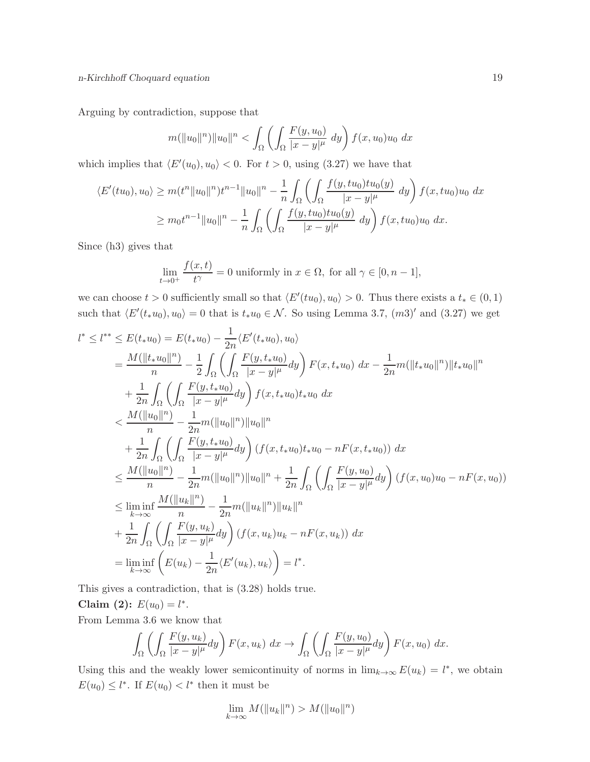Arguing by contradiction, suppose that

$$
m(\|u_0\|^n)\|u_0\|^n < \int_{\Omega} \left( \int_{\Omega} \frac{F(y, u_0)}{|x - y|^{\mu}} dy \right) f(x, u_0) u_0 dx
$$

which implies that  $\langle E'(u_0), u_0 \rangle < 0$ . For  $t > 0$ , using (3.27) we have that

$$
\langle E'(tu_0), u_0 \rangle \ge m(t^n \|u_0\|^n) t^{n-1} \|u_0\|^n - \frac{1}{n} \int_{\Omega} \left( \int_{\Omega} \frac{f(y, tu_0)tu_0(y)}{|x - y|^{\mu}} dy \right) f(x, tu_0)u_0 dx
$$
  

$$
\ge m_0 t^{n-1} \|u_0\|^n - \frac{1}{n} \int_{\Omega} \left( \int_{\Omega} \frac{f(y, tu_0)tu_0(y)}{|x - y|^{\mu}} dy \right) f(x, tu_0)u_0 dx.
$$

Since (h3) gives that

$$
\lim_{t \to 0^+} \frac{f(x,t)}{t^{\gamma}} = 0
$$
 uniformly in  $x \in \Omega$ , for all  $\gamma \in [0, n-1]$ ,

we can choose  $t > 0$  sufficiently small so that  $\langle E'(tu_0), u_0 \rangle > 0$ . Thus there exists a  $t_* \in (0, 1)$ such that  $\langle E'(t_*u_0), u_0 \rangle = 0$  that is  $t_*u_0 \in \mathcal{N}$ . So using Lemma 3.7,  $(m3)'$  and  $(3.27)$  we get

$$
l^* \leq l^{**} \leq E(t_* u_0) = E(t_* u_0) - \frac{1}{2n} \langle E'(t_* u_0), u_0 \rangle
$$
  
\n
$$
= \frac{M(||t_* u_0||^n)}{n} - \frac{1}{2} \int_{\Omega} \left( \int_{\Omega} \frac{F(y, t_* u_0)}{|x - y|^{\mu}} dy \right) F(x, t_* u_0) dx - \frac{1}{2n} m(||t_* u_0||^n) ||t_* u_0||^n
$$
  
\n
$$
+ \frac{1}{2n} \int_{\Omega} \left( \int_{\Omega} \frac{F(y, t_* u_0)}{|x - y|^{\mu}} dy \right) f(x, t_* u_0) t_* u_0 dx
$$
  
\n
$$
< \frac{M(||u_0||^n)}{n} - \frac{1}{2n} m(||u_0||^n) ||u_0||^n
$$
  
\n
$$
+ \frac{1}{2n} \int_{\Omega} \left( \int_{\Omega} \frac{F(y, t_* u_0)}{|x - y|^{\mu}} dy \right) (f(x, t_* u_0) t_* u_0 - nF(x, t_* u_0)) dx
$$
  
\n
$$
\leq \frac{M(||u_0||^n)}{n} - \frac{1}{2n} m(||u_0||^n) ||u_0||^n + \frac{1}{2n} \int_{\Omega} \left( \int_{\Omega} \frac{F(y, u_0)}{|x - y|^{\mu}} dy \right) (f(x, u_0) u_0 - nF(x, u_0))
$$
  
\n
$$
\leq \liminf_{k \to \infty} \frac{M(||u_k||^n)}{n} - \frac{1}{2n} m(||u_k||^n) ||u_k||^n
$$
  
\n
$$
+ \frac{1}{2n} \int_{\Omega} \left( \int_{\Omega} \frac{F(y, u_k)}{|x - y|^{\mu}} dy \right) (f(x, u_k) u_k - nF(x, u_k)) dx
$$
  
\n
$$
= \liminf_{k \to \infty} \left( E(u_k) - \frac{1}{2n} \langle E'(u_k), u_k \rangle \right) = l^*.
$$

This gives a contradiction, that is (3.28) holds true.

Claim (2):  $E(u_0) = l^*$ .

From Lemma 3.6 we know that

$$
\int_{\Omega} \left( \int_{\Omega} \frac{F(y, u_k)}{|x - y|^{\mu}} dy \right) F(x, u_k) dx \to \int_{\Omega} \left( \int_{\Omega} \frac{F(y, u_0)}{|x - y|^{\mu}} dy \right) F(x, u_0) dx.
$$

Using this and the weakly lower semicontinuity of norms in  $\lim_{k\to\infty} E(u_k) = l^*$ , we obtain  $E(u_0) \le l^*$ . If  $E(u_0) < l^*$  then it must be

$$
\lim_{k \to \infty} M(||u_k||^n) > M(||u_0||^n)
$$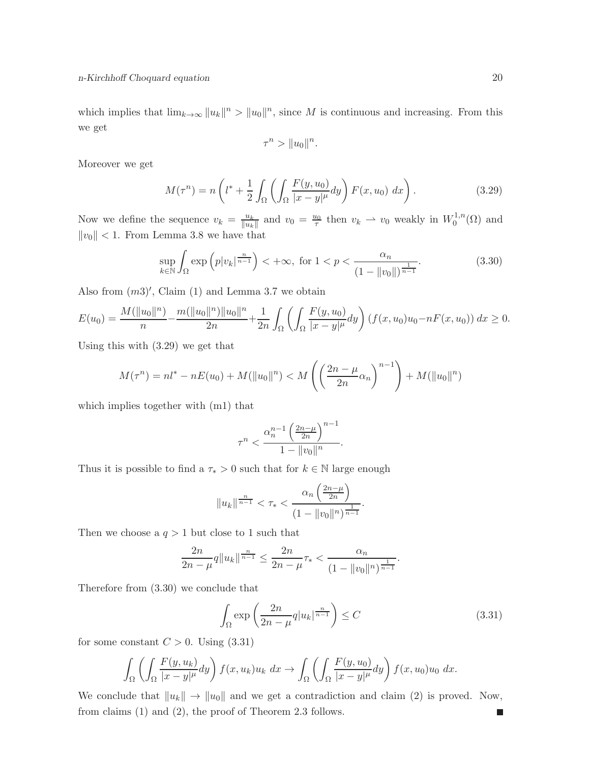which implies that  $\lim_{k\to\infty} ||u_k||^n > ||u_0||^n$ , since M is continuous and increasing. From this we get

$$
\tau^n > \|u_0\|^n.
$$

Moreover we get

$$
M(\tau^n) = n\left(l^* + \frac{1}{2} \int_{\Omega} \left( \int_{\Omega} \frac{F(y, u_0)}{|x - y|^{\mu}} dy \right) F(x, u_0) dx \right). \tag{3.29}
$$

Now we define the sequence  $v_k = \frac{u_k}{\|u_k\|}$  $\frac{u_k}{\|u_k\|}$  and  $v_0 = \frac{u_0}{\tau}$  then  $v_k \to v_0$  weakly in  $W_0^{1,n}$  $\mathcal{O}^{1,n}(\Omega)$  and  $||v_0|| < 1$ . From Lemma 3.8 we have that

$$
\sup_{k \in \mathbb{N}} \int_{\Omega} \exp\left(p|v_k|^{\frac{n}{n-1}}\right) < +\infty, \text{ for } 1 < p < \frac{\alpha_n}{\left(1 - \|v_0\|\right)^{\frac{1}{n-1}}}.\tag{3.30}
$$

Also from  $(m3)'$ , Claim  $(1)$  and Lemma 3.7 we obtain

$$
E(u_0) = \frac{M(\|u_0\|^n)}{n} - \frac{m(\|u_0\|^n)\|u_0\|^n}{2n} + \frac{1}{2n} \int_{\Omega} \left( \int_{\Omega} \frac{F(y, u_0)}{|x - y|^{\mu}} dy \right) (f(x, u_0)u_0 - nF(x, u_0)) dx \ge 0.
$$

Using this with (3.29) we get that

$$
M(\tau^n) = nl^* - nE(u_0) + M(||u_0||^n) < M\left(\left(\frac{2n-\mu}{2n}\alpha_n\right)^{n-1}\right) + M(||u_0||^n)
$$

which implies together with (m1) that

$$
\tau^n < \frac{\alpha_n^{n-1} \left(\frac{2n-\mu}{2n}\right)^{n-1}}{1 - \|v_0\|^n}.
$$

Thus it is possible to find a  $\tau_* > 0$  such that for  $k \in \mathbb{N}$  large enough

$$
||u_k||^{\frac{n}{n-1}} < \tau_* < \frac{\alpha_n \left(\frac{2n-\mu}{2n}\right)}{(1 - ||v_0||^n)^{\frac{1}{n-1}}}.
$$

Then we choose a  $q > 1$  but close to 1 such that

$$
\frac{2n}{2n-\mu}q||u_k||^{\frac{n}{n-1}} \le \frac{2n}{2n-\mu}\tau_* < \frac{\alpha_n}{\left(1 - ||v_0||^n\right)^{\frac{1}{n-1}}}.
$$

Therefore from (3.30) we conclude that

$$
\int_{\Omega} \exp\left(\frac{2n}{2n-\mu} q |u_k|^{\frac{n}{n-1}}\right) \le C \tag{3.31}
$$

for some constant  $C > 0$ . Using  $(3.31)$ 

$$
\int_{\Omega} \left( \int_{\Omega} \frac{F(y, u_k)}{|x - y|^{\mu}} dy \right) f(x, u_k) u_k dx \to \int_{\Omega} \left( \int_{\Omega} \frac{F(y, u_0)}{|x - y|^{\mu}} dy \right) f(x, u_0) u_0 dx.
$$

We conclude that  $||u_k|| \to ||u_0||$  and we get a contradiction and claim (2) is proved. Now, from claims (1) and (2), the proof of Theorem 2.3 follows.П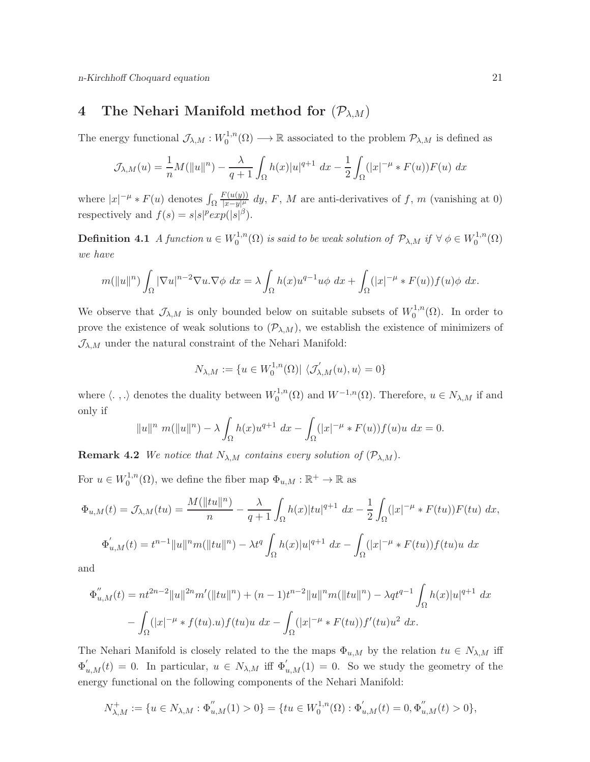## 4 The Nehari Manifold method for  $(\mathcal{P}_{\lambda,M})$

The energy functional  $\mathcal{J}_{\lambda,M}:W_0^{1,n}$  $\mathcal{O}_0^{1,n}(\Omega) \longrightarrow \mathbb{R}$  associated to the problem  $\mathcal{P}_{\lambda,M}$  is defined as

$$
\mathcal{J}_{\lambda,M}(u) = \frac{1}{n}M(||u||^n) - \frac{\lambda}{q+1} \int_{\Omega} h(x)|u|^{q+1} dx - \frac{1}{2} \int_{\Omega} (|x|^{-\mu} * F(u))F(u) dx
$$

where  $|x|^{-\mu} * F(u)$  denotes  $\int_{\Omega}$  $F(u(y))$  $\frac{\int f(u(y))}{|x-y|^{\mu}} dy$ , F, M are anti-derivatives of f, m (vanishing at 0) respectively and  $f(s) = s|s|^p exp(|s|^{\beta}).$ 

**Definition 4.1** A function  $u \in W_0^{1,n}$  $\chi_0^{1,n}(\Omega)$  is said to be weak solution of  $\mathcal{P}_{\lambda,M}$  if  $\forall \phi \in W_0^{1,n}$  $\zeta_0^{1,n}(\Omega)$ we have

$$
m(||u||^n)\int_{\Omega} |\nabla u|^{n-2} \nabla u \cdot \nabla \phi \, dx = \lambda \int_{\Omega} h(x) u^{q-1} u \phi \, dx + \int_{\Omega} (|x|^{-\mu} * F(u)) f(u) \phi \, dx.
$$

We observe that  $\mathcal{J}_{\lambda,M}$  is only bounded below on suitable subsets of  $W_0^{1,n}$  $_{0}^{\cdot 1,n}(\Omega)$ . In order to prove the existence of weak solutions to  $(\mathcal{P}_{\lambda,M})$ , we establish the existence of minimizers of  $\mathcal{J}_{\lambda,M}$  under the natural constraint of the Nehari Manifold:

$$
N_{\lambda,M} := \{ u \in W_0^{1,n}(\Omega) | \langle \mathcal{J}'_{\lambda,M}(u), u \rangle = 0 \}
$$

where  $\langle .\ , .\rangle$  denotes the duality between  $W_0^{1,n}$  $\mathcal{O}_0^{1,n}(\Omega)$  and  $W^{-1,n}(\Omega)$ . Therefore,  $u \in \mathbb{N}_{\lambda,M}$  if and only if

$$
||u||^{n} m(||u||^{n}) - \lambda \int_{\Omega} h(x)u^{q+1} dx - \int_{\Omega} (|x|^{-\mu} * F(u))f(u)u dx = 0.
$$

**Remark 4.2** We notice that  $N_{\lambda,M}$  contains every solution of  $(\mathcal{P}_{\lambda,M})$ .

For  $u \in W_0^{1,n}$  $\Phi_0^{1,n}(\Omega)$ , we define the fiber map  $\Phi_{u,M} : \mathbb{R}^+ \to \mathbb{R}$  as

$$
\Phi_{u,M}(t) = \mathcal{J}_{\lambda,M}(tu) = \frac{M(||tu||^n)}{n} - \frac{\lambda}{q+1} \int_{\Omega} h(x)|tu|^{q+1} dx - \frac{1}{2} \int_{\Omega} (|x|^{-\mu} * F(tu))F(tu) dx,
$$
  

$$
\Phi'_{u,M}(t) = t^{n-1} ||u||^n m(||tu||^n) - \lambda t^q \int_{\Omega} h(x) |u|^{q+1} dx - \int_{\Omega} (|x|^{-\mu} * F(tu))f(tu)u dx
$$

and

$$
\Phi_{u,M}''(t) = nt^{2n-2}||u||^{2n}m'(||tu||^n) + (n-1)t^{n-2}||u||^nm(||tu||^n) - \lambda qt^{q-1} \int_{\Omega} h(x)|u|^{q+1} dx
$$

$$
- \int_{\Omega} (|x|^{-\mu} * f(tu).u) f(tu)u dx - \int_{\Omega} (|x|^{-\mu} * F(tu)) f'(tu)u^2 dx.
$$

The Nehari Manifold is closely related to the the maps  $\Phi_{u,M}$  by the relation  $tu \in N_{\lambda,M}$  iff  $\Phi'_{u,M}(t) = 0$ . In particular,  $u \in N_{\lambda,M}$  iff  $\Phi'_{u,M}(1) = 0$ . So we study the geometry of the energy functional on the following components of the Nehari Manifold:

$$
N_{\lambda,M}^+ := \{ u \in N_{\lambda,M} : \Phi_{u,M}''(1) > 0 \} = \{ tu \in W_0^{1,n}(\Omega) : \Phi_{u,M}'(t) = 0, \Phi_{u,M}''(t) > 0 \},
$$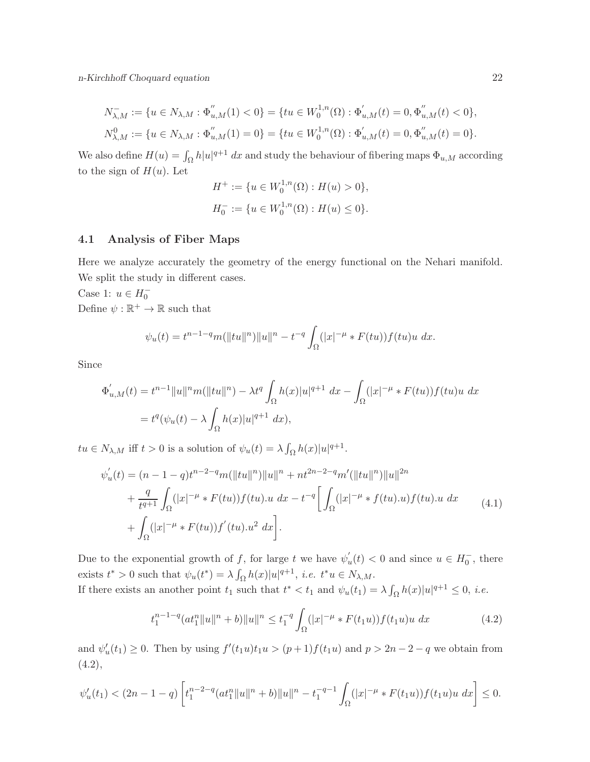n-Kirchhoff Choquard equation 22

$$
N_{\lambda,M}^- := \{ u \in N_{\lambda,M} : \Phi_{u,M}''(1) < 0 \} = \{ tu \in W_0^{1,n}(\Omega) : \Phi_{u,M}'(t) = 0, \Phi_{u,M}''(t) < 0 \},
$$
\n
$$
N_{\lambda,M}^0 := \{ u \in N_{\lambda,M} : \Phi_{u,M}''(1) = 0 \} = \{ tu \in W_0^{1,n}(\Omega) : \Phi_{u,M}'(t) = 0, \Phi_{u,M}''(t) = 0 \}.
$$

We also define  $H(u) = \int_{\Omega} h|u|^{q+1} dx$  and study the behaviour of fibering maps  $\Phi_{u,M}$  according to the sign of  $H(u)$ . Let

$$
H^{+} := \{ u \in W_0^{1,n}(\Omega) : H(u) > 0 \},
$$
  

$$
H_0^{-} := \{ u \in W_0^{1,n}(\Omega) : H(u) \le 0 \}.
$$

#### 4.1 Analysis of Fiber Maps

Here we analyze accurately the geometry of the energy functional on the Nehari manifold. We split the study in different cases.

Case 1:  $u\in H_0^-$ Define  $\psi : \mathbb{R}^+ \to \mathbb{R}$  such that

$$
\psi_u(t) = t^{n-1-q} m(||tu||^n) ||u||^n - t^{-q} \int_{\Omega} (|x|^{-\mu} * F(tu)) f(tu)u dx.
$$

Since

$$
\Phi'_{u,M}(t) = t^{n-1} ||u||^n m(||tu||^n) - \lambda t^q \int_{\Omega} h(x) |u|^{q+1} dx - \int_{\Omega} (|x|^{-\mu} * F(tu)) f(tu) u dx
$$
  
=  $t^q(\psi_u(t) - \lambda \int_{\Omega} h(x) |u|^{q+1} dx),$ 

 $tu \in N_{\lambda,M}$  iff  $t > 0$  is a solution of  $\psi_u(t) = \lambda \int_{\Omega} h(x)|u|^{q+1}$ .

$$
\psi'_u(t) = (n-1-q)t^{n-2-q}m(||tu||^n)||u||^n + nt^{2n-2-q}m'(||tu||^n)||u||^{2n}
$$
  
+ 
$$
\frac{q}{t^{q+1}} \int_{\Omega} (|x|^{-\mu} * F(tu))f(tu).u \, dx - t^{-q} \Big[ \int_{\Omega} (|x|^{-\mu} * f(tu).u) f(tu).u \, dx \Big]
$$
  
+ 
$$
\int_{\Omega} (|x|^{-\mu} * F(tu))f'(tu).u^2 \, dx \Big].
$$
 (4.1)

Due to the exponential growth of f, for large t we have  $\psi'_i$  $u'_u(t) < 0$  and since  $u \in H_0^-$ , there exists  $t^* > 0$  such that  $\psi_u(t^*) = \lambda \int_{\Omega} h(x)|u|^{q+1}$ , *i.e.*  $t^*u \in N_{\lambda,M}$ . If there exists an another point  $t_1$  such that  $t^* < t_1$  and  $\psi_u(t_1) = \lambda \int_{\Omega} h(x)|u|^{q+1} \leq 0$ , *i.e.* 

$$
t_1^{n-1-q}(at_1^n||u||^n+b)||u||^n \le t_1^{-q} \int_{\Omega} (|x|^{-\mu} * F(t_1u))f(t_1u)u \ dx \tag{4.2}
$$

and  $\psi'_u(t_1) \geq 0$ . Then by using  $f'(t_1u)t_1u > (p+1)f(t_1u)$  and  $p > 2n-2-q$  we obtain from  $(4.2),$ 

$$
\psi'_u(t_1) < (2n - 1 - q) \left[ t_1^{n-2-q} (at_1^n \|u\|^n + b) \|u\|^n - t_1^{-q-1} \int_{\Omega} (|x|^{-\mu} * F(t_1 u)) f(t_1 u) u \, dx \right] \le 0.
$$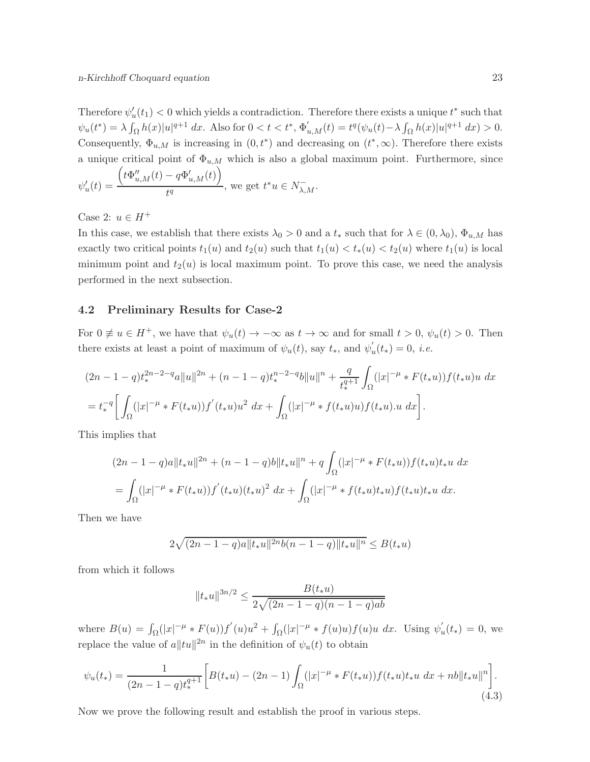Therefore  $\psi'_u(t_1) < 0$  which yields a contradiction. Therefore there exists a unique  $t^*$  such that  $\psi_u(t^*) = \lambda \int_{\Omega} h(x)|u|^{q+1} dx$ . Also for  $0 < t < t^*$ ,  $\Phi'_{u,M}(t) = t^q(\psi_u(t) - \lambda \int_{\Omega} h(x)|u|^{q+1} dx) > 0$ . Consequently,  $\Phi_{u,M}$  is increasing in  $(0,t^*)$  and decreasing on  $(t^*,\infty)$ . Therefore there exists a unique critical point of  $\Phi_{u,M}$  which is also a global maximum point. Furthermore, since

$$
\psi_u'(t) = \frac{\left(t\Phi_{u,M}''(t) - q\Phi_{u,M}'(t)\right)}{t^q}, \text{ we get } t^*u \in N_{\lambda,M}^-.
$$

Case 2:  $u \in H^+$ 

In this case, we establish that there exists  $\lambda_0 > 0$  and a  $t_*$  such that for  $\lambda \in (0, \lambda_0)$ ,  $\Phi_{u,M}$  has exactly two critical points  $t_1(u)$  and  $t_2(u)$  such that  $t_1(u) < t_*(u) < t_2(u)$  where  $t_1(u)$  is local minimum point and  $t_2(u)$  is local maximum point. To prove this case, we need the analysis performed in the next subsection.

#### 4.2 Preliminary Results for Case-2

For  $0 \neq u \in H^+$ , we have that  $\psi_u(t) \to -\infty$  as  $t \to \infty$  and for small  $t > 0$ ,  $\psi_u(t) > 0$ . Then there exists at least a point of maximum of  $\psi_u(t)$ , say  $t_*$ , and  $\psi'_i$  $u(t_*) = 0, i.e.$ 

$$
(2n - 1 - q)t_*^{2n - 2 - q}a||u||^{2n} + (n - 1 - q)t_*^{n - 2 - q}b||u||^n + \frac{q}{t_*^{q+1}}\int_{\Omega}(|x|^{-\mu} * F(t_*u))f(t_*u)u \, dx
$$
  
=  $t_*^{-q} \bigg[\int_{\Omega}(|x|^{-\mu} * F(t_*u))f'(t_*u)u^2 \, dx + \int_{\Omega}(|x|^{-\mu} * f(t_*u)u)f(t_*u)u \, dx\bigg].$ 

This implies that

$$
(2n - 1 - q)a||t_*u||^{2n} + (n - 1 - q)b||t_*u||^n + q \int_{\Omega} (|x|^{-\mu} * F(t_*u))f(t_*u)t_*u \, dx
$$
  
= 
$$
\int_{\Omega} (|x|^{-\mu} * F(t_*u))f'(t_*u)(t_*u)^2 \, dx + \int_{\Omega} (|x|^{-\mu} * f(t_*u)t_*u)f(t_*u)t_*u \, dx.
$$

Then we have

$$
2\sqrt{(2n-1-q)a||t_*u||^{2n}b(n-1-q)||t_*u||^n} \leq B(t_*u)
$$

from which it follows

$$
||t_*u||^{3n/2} \le \frac{B(t_*u)}{2\sqrt{(2n-1-q)(n-1-q)ab}}
$$

where  $B(u) = \int_{\Omega} (|x|^{-\mu} * F(u)) f'(u) u^2 + \int_{\Omega} (|x|^{-\mu} * f(u)u) f(u) u dx$ . Using  $\psi'_i$  $u'(t_*) = 0$ , we replace the value of  $a||tu||^{2n}$  in the definition of  $\psi_u(t)$  to obtain

$$
\psi_u(t_*) = \frac{1}{(2n-1-q)t_*^{q+1}} \bigg[ B(t_*u) - (2n-1) \int_{\Omega} (|x|^{-\mu} * F(t_*u)) f(t_*u) t_*u \, dx + nb \|t_*u\|^n \bigg]. \tag{4.3}
$$

Now we prove the following result and establish the proof in various steps.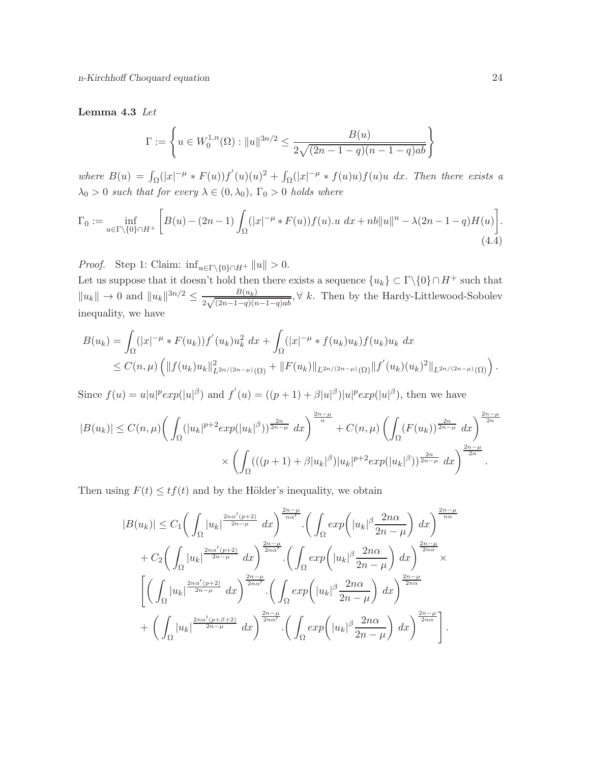#### Lemma 4.3 Let

$$
\Gamma := \left\{ u \in W_0^{1,n}(\Omega) : ||u||^{3n/2} \le \frac{B(u)}{2\sqrt{(2n-1-q)(n-1-q)ab}} \right\}
$$

where  $B(u) = \int_{\Omega} (|x|^{-\mu} * F(u)) f'(u)(u)^2 + \int_{\Omega} (|x|^{-\mu} * f(u)u) f(u)u dx$ . Then there exists a  $\lambda_0 > 0$  such that for every  $\lambda \in (0, \lambda_0)$ ,  $\Gamma_0 > 0$  holds where

$$
\Gamma_0 := \inf_{u \in \Gamma \backslash \{0\} \cap H^+} \left[ B(u) - (2n - 1) \int_{\Omega} (|x|^{-\mu} * F(u)) f(u) \cdot u \, dx + nb \|u\|^n - \lambda (2n - 1 - q) H(u) \right].
$$
\n(4.4)

*Proof.* Step 1: Claim:  $\inf_{u \in \Gamma \backslash \{0\} \cap H^+} ||u|| > 0.$ 

Let us suppose that it doesn't hold then there exists a sequence  $\{u_k\} \subset \Gamma \backslash \{0\} \cap H^+$  such that  $||u_k|| \to 0$  and  $||u_k||^{3n/2} \leq \frac{B(u_k)}{2\sqrt{(2n-1-a)(n-1)}}$  $\frac{B(u_k)}{2\sqrt{(2n-1-q)(n-1-q)ab}}$ ,  $\forall k$ . Then by the Hardy-Littlewood-Sobolev inequality, we have

$$
B(u_k) = \int_{\Omega} (|x|^{-\mu} * F(u_k)) f'(u_k) u_k^2 dx + \int_{\Omega} (|x|^{-\mu} * f(u_k) u_k) f(u_k) u_k dx
$$
  
\n
$$
\leq C(n,\mu) \left( \|f(u_k) u_k\|_{L^{2n/(2n-\mu)}(\Omega)}^2 + \|F(u_k)\|_{L^{2n/(2n-\mu)}(\Omega)} \|f'(u_k)(u_k)^2\|_{L^{2n/(2n-\mu)}(\Omega)} \right).
$$

Since  $f(u) = u|u|^p exp(|u|^{\beta})$  and  $f'(u) = ((p+1) + \beta |u|^{\beta}) |u|^p exp(|u|^{\beta})$ , then we have

$$
|B(u_k)| \le C(n,\mu) \left( \int_{\Omega} (|u_k|^{p+2} exp(|u_k|^{\beta}))^{\frac{2n}{2n-\mu}} dx \right)^{\frac{2n-\mu}{n}} + C(n,\mu) \left( \int_{\Omega} (F(u_k))^{\frac{2n}{2n-\mu}} dx \right)^{\frac{2n-\mu}{2n}} \times \left( \int_{\Omega} ((p+1) + \beta |u_k|^{\beta}) |u_k|^{p+2} exp(|u_k|^{\beta}))^{\frac{2n}{2n-\mu}} dx \right)^{\frac{2n-\mu}{2n}}.
$$

Then using  $F(t) \leq tf(t)$  and by the Hölder's inequality, we obtain

$$
|B(u_k)| \leq C_1 \left( \int_{\Omega} |u_k|^{\frac{2n\alpha'(p+2)}{2n-\mu}} dx \right)^{\frac{2n-\mu}{n\alpha'}} \cdot \left( \int_{\Omega} exp\left( |u_k|^{\beta} \frac{2n\alpha}{2n-\mu} \right) dx \right)^{\frac{2n-\mu}{n\alpha}} + C_2 \left( \int_{\Omega} |u_k|^{\frac{2n\alpha'(p+2)}{2n-\mu}} dx \right)^{\frac{2n-\mu}{2n\alpha'}} \cdot \left( \int_{\Omega} exp\left( |u_k|^{\beta} \frac{2n\alpha}{2n-\mu} \right) dx \right)^{\frac{2n-\mu}{2n\alpha}} \times \left[ \left( \int_{\Omega} |u_k|^{\frac{2n\alpha'(p+2)}{2n-\mu}} dx \right)^{\frac{2n-\mu}{2n\alpha'}} \cdot \left( \int_{\Omega} exp\left( |u_k|^{\beta} \frac{2n\alpha}{2n-\mu} \right) dx \right)^{\frac{2n-\mu}{2n\alpha}} + \left( \int_{\Omega} |u_k|^{\frac{2n\alpha'(p+\beta+2)}{2n-\mu}} dx \right)^{\frac{2n-\mu}{2n\alpha'}} \cdot \left( \int_{\Omega} exp\left( |u_k|^{\beta} \frac{2n\alpha}{2n-\mu} \right) dx \right)^{\frac{2n-\mu}{2n\alpha}} \right].
$$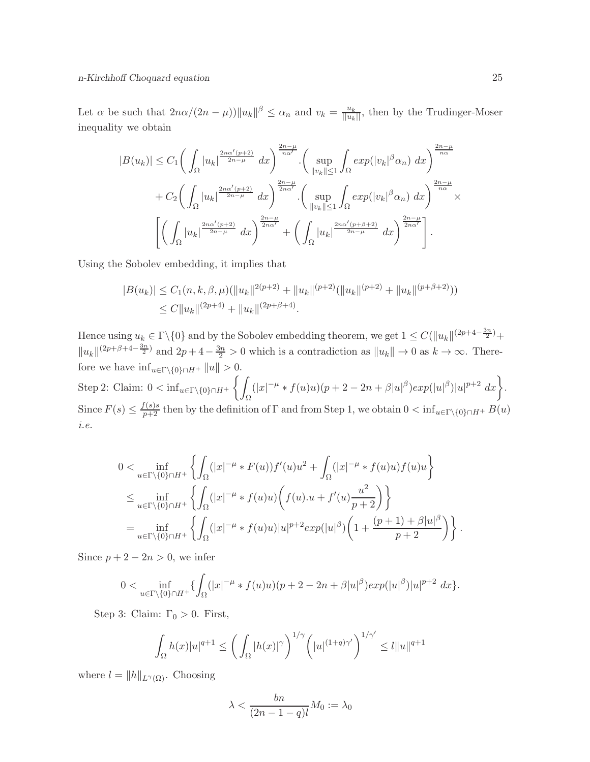Let  $\alpha$  be such that  $2n\alpha/(2n-\mu)$ ) $||u_k||^{\beta} \leq \alpha_n$  and  $v_k = \frac{u_k}{||u_k||}$ , then by the Trudinger-Moser inequality we obtain

$$
|B(u_k)| \leq C_1 \bigg(\int_{\Omega} |u_k|^{\frac{2n\alpha'(p+2)}{2n-\mu}} dx\bigg)^{\frac{2n-\mu}{n\alpha'}} \cdot \bigg(\sup_{\|v_k\| \leq 1} \int_{\Omega} exp(|v_k|^{\beta} \alpha_n) dx\bigg)^{\frac{2n-\mu}{n\alpha}} + C_2 \bigg(\int_{\Omega} |u_k|^{\frac{2n\alpha'(p+2)}{2n-\mu}} dx\bigg)^{\frac{2n-\mu}{2n\alpha'}} \cdot \bigg(\sup_{\|v_k\| \leq 1} \int_{\Omega} exp(|v_k|^{\beta} \alpha_n) dx\bigg)^{\frac{2n-\mu}{n\alpha}} \times \bigg[\bigg(\int_{\Omega} |u_k|^{\frac{2n\alpha'(p+2)}{2n-\mu}} dx\bigg)^{\frac{2n-\mu}{2n\alpha'}} + \bigg(\int_{\Omega} |u_k|^{\frac{2n\alpha'(p+\beta+2)}{2n-\mu}} dx\bigg)^{\frac{2n-\mu}{2n\alpha'}}\bigg].
$$

Using the Sobolev embedding, it implies that

$$
|B(u_k)| \le C_1(n, k, \beta, \mu) \left( \|u_k\|^{2(p+2)} + \|u_k\|^{(p+2)} \right) \left( \|u_k\|^{(p+2)} + \|u_k\|^{(p+\beta+2)} \right) \le C \|u_k\|^{(2p+4)} + \|u_k\|^{(2p+\beta+4)}.
$$

Hence using  $u_k \in \Gamma \setminus \{0\}$  and by the Sobolev embedding theorem, we get  $1 \leq C(||u_k||^{(2p+4-\frac{3n}{2})}+$  $||u_k||^{(2p+\beta+4-\frac{3n}{2})}$  and  $2p+4-\frac{3n}{2}>0$  which is a contradiction as  $||u_k|| \to 0$  as  $k \to \infty$ . Therefore we have  $\inf_{u \in \Gamma \backslash \{0\} \cap H^+} ||u|| > 0.$ Step 2: Claim:  $0 < \inf_{u \in \Gamma \backslash \{0\} \cap H^+} \left\{ \right.$  $\int_{\Omega} (|x|^{-\mu} * f(u)u)(p+2-2n+\beta|u|^{\beta})exp(|u|^{\beta})|u|^{p+2} dx\bigg\}.$ Since  $F(s) \leq \frac{f(s)s}{p+2}$  then by the definition of  $\Gamma$  and from Step 1, we obtain  $0 < \inf_{u \in \Gamma \setminus \{0\} \cap H^+} B(u)$ i.e.

$$
0 < \inf_{u \in \Gamma \backslash \{0\} \cap H^{+}} \left\{ \int_{\Omega} (|x|^{-\mu} * F(u)) f'(u) u^{2} + \int_{\Omega} (|x|^{-\mu} * f(u) u) f(u) u \right\}
$$
  
\n
$$
\leq \inf_{u \in \Gamma \backslash \{0\} \cap H^{+}} \left\{ \int_{\Omega} (|x|^{-\mu} * f(u) u) \left( f(u) . u + f'(u) \frac{u^{2}}{p+2} \right) \right\}
$$
  
\n
$$
= \inf_{u \in \Gamma \backslash \{0\} \cap H^{+}} \left\{ \int_{\Omega} (|x|^{-\mu} * f(u) u) |u|^{p+2} exp(|u|^{\beta}) \left( 1 + \frac{(p+1) + \beta |u|^{\beta}}{p+2} \right) \right\}.
$$

Since  $p + 2 - 2n > 0$ , we infer

$$
0 < \inf_{u \in \Gamma \backslash \{0\} \cap H^+} \{ \int_{\Omega} (|x|^{-\mu} * f(u)u)(p+2-2n+\beta |u|^{\beta}) exp(|u|^{\beta}) |u|^{p+2} dx \}.
$$

Step 3: Claim:  $\Gamma_0 > 0$ . First,

$$
\int_{\Omega} h(x)|u|^{q+1} \leq \bigg(\int_{\Omega} |h(x)|^{\gamma}\bigg)^{1/\gamma} \bigg(|u|^{(1+q)\gamma'}\bigg)^{1/\gamma'} \leq l||u||^{q+1}
$$

where  $l = ||h||_{L^{\gamma}(\Omega)}$ . Choosing

$$
\lambda < \frac{bn}{(2n-1-q)l} M_0 := \lambda_0
$$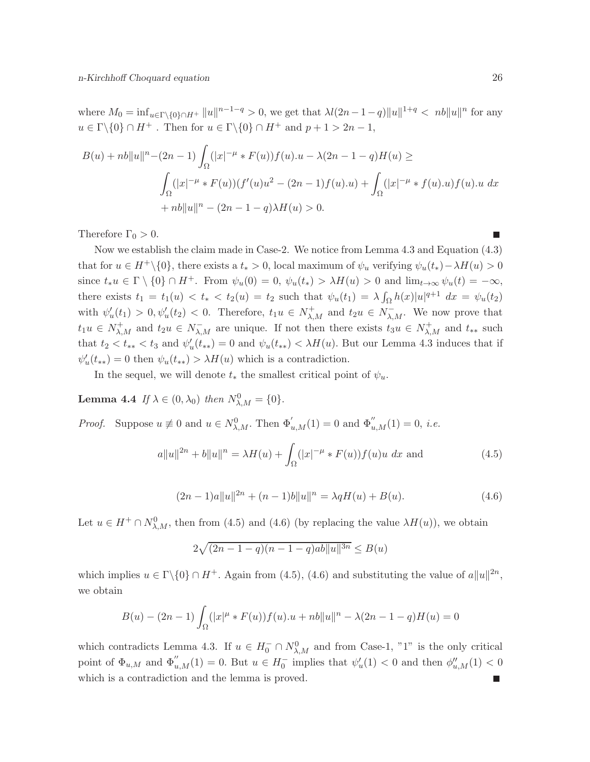where  $M_0 = \inf_{u \in \Gamma \backslash \{0\} \cap H^+} ||u||^{n-1-q} > 0$ , we get that  $\lambda l(2n-1-q)||u||^{1+q} < nb||u||^n$  for any  $u \in \Gamma \backslash \{0\} \cap H^+$ . Then for  $u \in \Gamma \backslash \{0\} \cap H^+$  and  $p+1 > 2n-1$ ,

$$
B(u) + nb\|u\|^n - (2n - 1)\int_{\Omega} (|x|^{-\mu} * F(u))f(u).u - \lambda(2n - 1 - q)H(u) \ge
$$
  

$$
\int_{\Omega} (|x|^{-\mu} * F(u))(f'(u)u^2 - (2n - 1)f(u).u) + \int_{\Omega} (|x|^{-\mu} * f(u).u)f(u).u dx
$$
  
+ 
$$
nb\|u\|^n - (2n - 1 - q)\lambda H(u) > 0.
$$

Therefore  $\Gamma_0 > 0$ .

Now we establish the claim made in Case-2. We notice from Lemma 4.3 and Equation (4.3) that for  $u \in H^+\backslash\{0\}$ , there exists a  $t_* > 0$ , local maximum of  $\psi_u$  verifying  $\psi_u(t_*) - \lambda H(u) > 0$ since  $t_*u \in \Gamma \setminus \{0\} \cap H^+$ . From  $\psi_u(0) = 0$ ,  $\psi_u(t_*) > \lambda H(u) > 0$  and  $\lim_{t \to \infty} \psi_u(t) = -\infty$ , there exists  $t_1 = t_1(u) < t_* < t_2(u) = t_2$  such that  $\psi_u(t_1) = \lambda \int_{\Omega} h(x) |u|^{q+1} dx = \psi_u(t_2)$ with  $\psi'_u(t_1) > 0, \psi'_u(t_2) < 0$ . Therefore,  $t_1u \in N^+_{\lambda,M}$  and  $t_2u \in N^-_{\lambda,M}$ . We now prove that  $t_1u \in N^+_{\lambda,M}$  and  $t_2u \in N^-_{\lambda,M}$  are unique. If not then there exists  $t_3u \in N^+_{\lambda,M}$  and  $t_{**}$  such that  $t_2 < t_{**} < t_3$  and  $\psi'_u(t_{**}) = 0$  and  $\psi_u(t_{**}) < \lambda H(u)$ . But our Lemma 4.3 induces that if  $\psi'_u(t_{**}) = 0$  then  $\psi_u(t_{**}) > \lambda H(u)$  which is a contradiction.

In the sequel, we will denote  $t_*$  the smallest critical point of  $\psi_u$ .

**Lemma 4.4** If  $\lambda \in (0, \lambda_0)$  then  $N^0_{\lambda, M} = \{0\}.$ 

*Proof.* Suppose  $u \not\equiv 0$  and  $u \in N^0_{\lambda,M}$ . Then  $\Phi'_{u,M}(1) = 0$  and  $\Phi''_{u,M}(1) = 0$ , *i.e.* 

$$
a||u||^{2n} + b||u||^{n} = \lambda H(u) + \int_{\Omega} (|x|^{-\mu} * F(u))f(u)u \, dx
$$
 and (4.5)

$$
(2n-1)a||u||^{2n} + (n-1)b||u||^{n} = \lambda qH(u) + B(u).
$$
\n(4.6)

Let  $u \in H^+ \cap N^0_{\lambda,M}$ , then from (4.5) and (4.6) (by replacing the value  $\lambda H(u)$ ), we obtain

$$
2\sqrt{(2n-1-q)(n-1-q)ab||u||^{3n}} \le B(u)
$$

which implies  $u \in \Gamma \backslash \{0\} \cap H^+$ . Again from (4.5), (4.6) and substituting the value of  $a||u||^{2n}$ , we obtain

$$
B(u) - (2n - 1) \int_{\Omega} (|x|^{\mu} * F(u)) f(u) \cdot u + nb ||u||^2 - \lambda (2n - 1 - q) H(u) = 0
$$

which contradicts Lemma 4.3. If  $u \in H_0^- \cap N_{\lambda,M}^0$  and from Case-1, "1" is the only critical point of  $\Phi_{u,M}$  and  $\Phi''_{u,M}(1) = 0$ . But  $u \in H_0^-$  implies that  $\psi'_u(1) < 0$  and then  $\phi''_{u,M}(1) < 0$ which is a contradiction and the lemma is proved.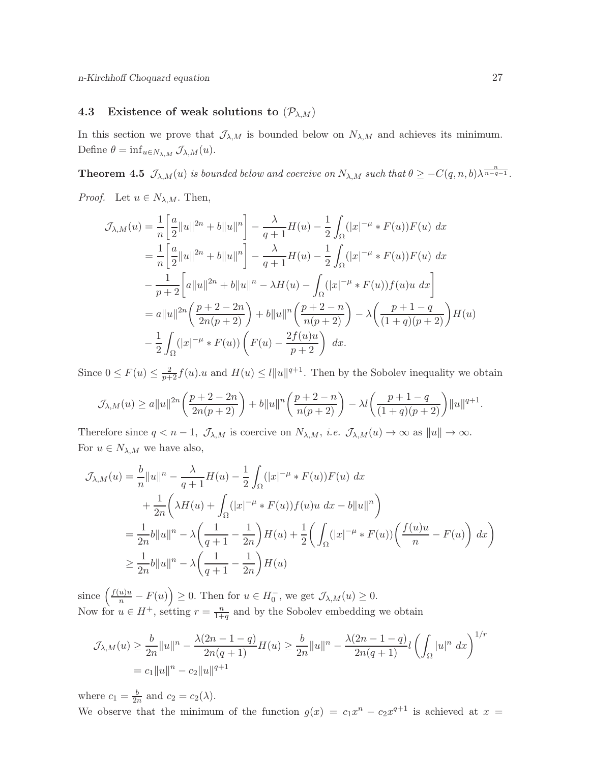## 4.3 Existence of weak solutions to  $(\mathcal{P}_{\lambda,M})$

In this section we prove that  $\mathcal{J}_{\lambda,M}$  is bounded below on  $N_{\lambda,M}$  and achieves its minimum. Define  $\theta = \inf_{u \in N_{\lambda,M}} \mathcal{J}_{\lambda,M}(u)$ .

**Theorem 4.5**  $\mathcal{J}_{\lambda,M}(u)$  is bounded below and coercive on  $N_{\lambda,M}$  such that  $\theta \geq -C(q,n,b)\lambda^{\frac{n}{n-q-1}}$ .

*Proof.* Let  $u \in N_{\lambda,M}$ . Then,

$$
\mathcal{J}_{\lambda,M}(u) = \frac{1}{n} \left[ \frac{a}{2} ||u||^{2n} + b ||u||^{n} \right] - \frac{\lambda}{q+1} H(u) - \frac{1}{2} \int_{\Omega} (|x|^{-\mu} * F(u)) F(u) dx
$$
  
\n
$$
= \frac{1}{n} \left[ \frac{a}{2} ||u||^{2n} + b ||u||^{n} \right] - \frac{\lambda}{q+1} H(u) - \frac{1}{2} \int_{\Omega} (|x|^{-\mu} * F(u)) F(u) dx
$$
  
\n
$$
- \frac{1}{p+2} \left[ a ||u||^{2n} + b ||u||^{n} - \lambda H(u) - \int_{\Omega} (|x|^{-\mu} * F(u)) f(u) u dx \right]
$$
  
\n
$$
= a ||u||^{2n} \left( \frac{p+2-2n}{2n(p+2)} \right) + b ||u||^{n} \left( \frac{p+2-n}{n(p+2)} \right) - \lambda \left( \frac{p+1-q}{(1+q)(p+2)} \right) H(u)
$$
  
\n
$$
- \frac{1}{2} \int_{\Omega} (|x|^{-\mu} * F(u)) \left( F(u) - \frac{2f(u)u}{p+2} \right) dx.
$$

Since  $0 \le F(u) \le \frac{2}{p+2}f(u) \cdot u$  and  $H(u) \le l||u||^{q+1}$ . Then by the Sobolev inequality we obtain

$$
\mathcal{J}_{\lambda,M}(u) \ge a||u||^{2n} \left(\frac{p+2-2n}{2n(p+2)}\right) + b||u||^n \left(\frac{p+2-n}{n(p+2)}\right) - \lambda l \left(\frac{p+1-q}{(1+q)(p+2)}\right)||u||^{q+1}.
$$

Therefore since  $q < n - 1$ ,  $\mathcal{J}_{\lambda,M}$  is coercive on  $N_{\lambda,M}$ , *i.e.*  $\mathcal{J}_{\lambda,M}(u) \to \infty$  as  $||u|| \to \infty$ . For  $u \in N_{\lambda,M}$  we have also,

$$
\mathcal{J}_{\lambda,M}(u) = \frac{b}{n} ||u||^n - \frac{\lambda}{q+1} H(u) - \frac{1}{2} \int_{\Omega} (|x|^{-\mu} * F(u)) F(u) dx
$$
  
+ 
$$
\frac{1}{2n} \left( \lambda H(u) + \int_{\Omega} (|x|^{-\mu} * F(u)) f(u) u dx - b||u||^n \right)
$$
  
= 
$$
\frac{1}{2n} b ||u||^n - \lambda \left( \frac{1}{q+1} - \frac{1}{2n} \right) H(u) + \frac{1}{2} \left( \int_{\Omega} (|x|^{-\mu} * F(u)) \left( \frac{f(u)u}{n} - F(u) \right) dx \right)
$$
  

$$
\geq \frac{1}{2n} b ||u||^n - \lambda \left( \frac{1}{q+1} - \frac{1}{2n} \right) H(u)
$$

since  $\left(\frac{f(u)u}{n} - F(u)\right) \ge 0$ . Then for  $u \in H_0^-$ , we get  $\mathcal{J}_{\lambda,M}(u) \ge 0$ . Now for  $u \in H^+$ , setting  $r = \frac{n}{1+r}$  $\frac{n}{1+q}$  and by the Sobolev embedding we obtain

$$
\mathcal{J}_{\lambda,M}(u) \ge \frac{b}{2n} ||u||^n - \frac{\lambda(2n-1-q)}{2n(q+1)} H(u) \ge \frac{b}{2n} ||u||^n - \frac{\lambda(2n-1-q)}{2n(q+1)} l \left( \int_{\Omega} |u|^n dx \right)^{1/r}
$$
  
=  $c_1 ||u||^n - c_2 ||u||^{q+1}$ 

where  $c_1 = \frac{b}{2i}$  $\frac{b}{2n}$  and  $c_2 = c_2(\lambda)$ .

We observe that the minimum of the function  $g(x) = c_1 x^n - c_2 x^{q+1}$  is achieved at  $x =$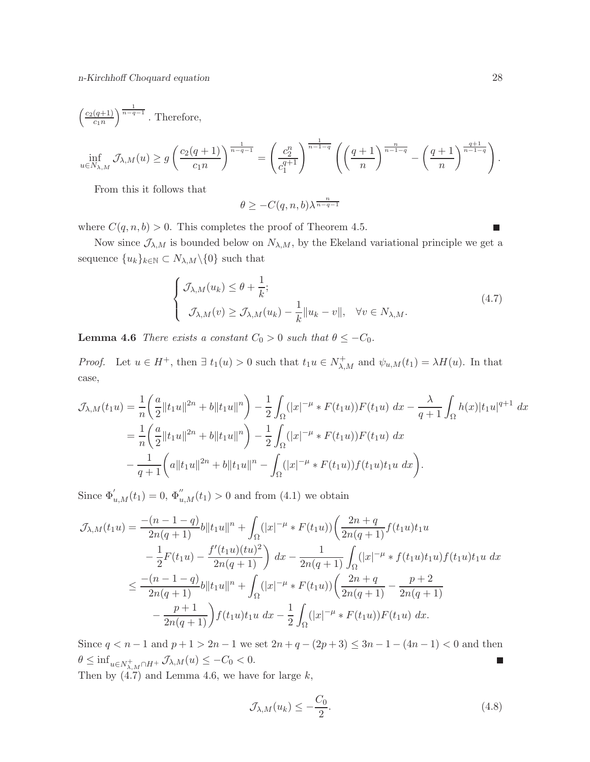$$
\begin{aligned} &\left(\tfrac{c_2(q+1)}{c_1n}\right)^{\frac{1}{n-q-1}}. \text{ Therefore,}\\ &\inf_{u\in N_{\lambda,M}}\mathcal{J}_{\lambda,M}(u)\geq g\left(\tfrac{c_2(q+1)}{c_1n}\right)^{\frac{1}{n-q-1}}=\left(\tfrac{c_2^n}{c_1^{q+1}}\right)^{\frac{1}{n-1-q}}\left(\left(\frac{q+1}{n}\right)^{\frac{n}{n-1-q}}-\left(\frac{q+1}{n}\right)^{\frac{q+1}{n-1-q}}\right). \end{aligned}
$$

From this it follows that

$$
\theta \geq -C(q,n,b)\lambda^{\frac{n}{n-q-1}}
$$

where  $C(q, n, b) > 0$ . This completes the proof of Theorem 4.5.

Now since  $\mathcal{J}_{\lambda,M}$  is bounded below on  $N_{\lambda,M}$ , by the Ekeland variational principle we get a sequence  ${u_k}_{k \in \mathbb{N}} \subset N_{\lambda,M} \backslash \{0\}$  such that

$$
\begin{cases}\n\mathcal{J}_{\lambda,M}(u_k) \leq \theta + \frac{1}{k}; \\
\mathcal{J}_{\lambda,M}(v) \geq \mathcal{J}_{\lambda,M}(u_k) - \frac{1}{k} ||u_k - v||, \quad \forall v \in N_{\lambda,M}.\n\end{cases}
$$
\n(4.7)

**Lemma 4.6** There exists a constant  $C_0 > 0$  such that  $\theta \leq -C_0$ .

*Proof.* Let  $u \in H^+$ , then  $\exists t_1(u) > 0$  such that  $t_1u \in N^+_{\lambda,M}$  and  $\psi_{u,M}(t_1) = \lambda H(u)$ . In that case,

$$
\mathcal{J}_{\lambda,M}(t_1u) = \frac{1}{n} \left( \frac{a}{2} \| t_1 u \|^{2n} + b \| t_1 u \|^{n} \right) - \frac{1}{2} \int_{\Omega} (|x|^{-\mu} * F(t_1u)) F(t_1u) \, dx - \frac{\lambda}{q+1} \int_{\Omega} h(x) |t_1 u|^{q+1} \, dx
$$
  
\n
$$
= \frac{1}{n} \left( \frac{a}{2} \| t_1 u \|^{2n} + b \| t_1 u \|^{n} \right) - \frac{1}{2} \int_{\Omega} (|x|^{-\mu} * F(t_1u)) F(t_1u) \, dx
$$
  
\n
$$
- \frac{1}{q+1} \left( a \| t_1 u \|^{2n} + b \| t_1 u \|^{n} - \int_{\Omega} (|x|^{-\mu} * F(t_1u)) f(t_1u) t_1 u \, dx \right).
$$

Since  $\Phi'_{u,M}(t_1) = 0, \, \Phi''_{u,M}(t_1) > 0$  and from (4.1) we obtain

$$
\mathcal{J}_{\lambda,M}(t_1u) = \frac{-(n-1-q)}{2n(q+1)}b||t_1u||^n + \int_{\Omega} (|x|^{-\mu} * F(t_1u)) \left(\frac{2n+q}{2n(q+1)} f(t_1u)t_1u\right. \left. - \frac{1}{2}F(t_1u) - \frac{f'(t_1u)(tu)^2}{2n(q+1)}\right) dx - \frac{1}{2n(q+1)} \int_{\Omega} (|x|^{-\mu} * f(t_1u)t_1u) f(t_1u)t_1u \, dx \n\le \frac{-(n-1-q)}{2n(q+1)}b||t_1u||^n + \int_{\Omega} (|x|^{-\mu} * F(t_1u)) \left(\frac{2n+q}{2n(q+1)} - \frac{p+2}{2n(q+1)}\right. \left. - \frac{p+1}{2n(q+1)}\right) f(t_1u)t_1u \, dx - \frac{1}{2} \int_{\Omega} (|x|^{-\mu} * F(t_1u)) F(t_1u) \, dx.
$$

Since  $q < n - 1$  and  $p + 1 > 2n - 1$  we set  $2n + q - (2p + 3) \leq 3n - 1 - (4n - 1) < 0$  and then  $\theta \leq \inf_{u \in N_{\lambda,M}^+ \cap H^+} \mathcal{J}_{\lambda,M}(u) \leq -C_0 < 0.$  $\overline{\phantom{a}}$ 

Then by  $(4.7)$  and Lemma 4.6, we have for large  $k$ ,

$$
\mathcal{J}_{\lambda,M}(u_k) \le -\frac{C_0}{2}.\tag{4.8}
$$

П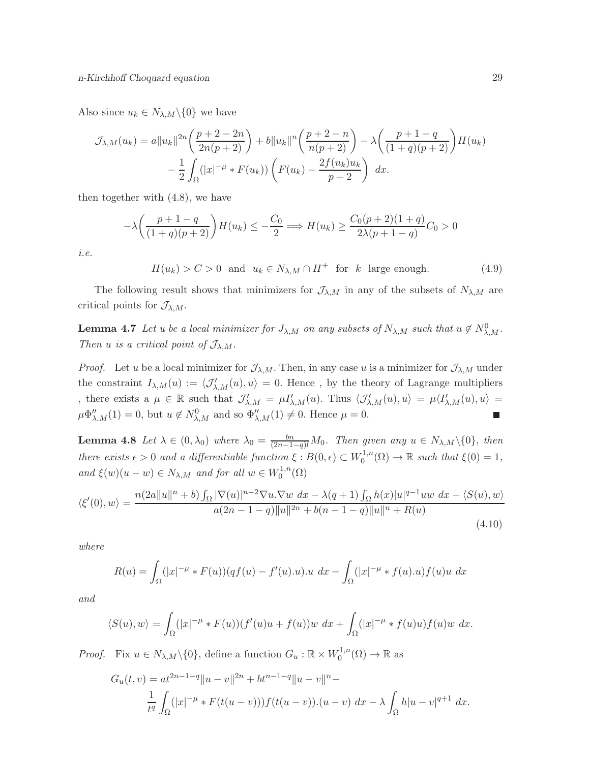Also since  $u_k \in N_{\lambda,M} \backslash \{0\}$  we have

$$
\mathcal{J}_{\lambda,M}(u_k) = a||u_k||^{2n} \left(\frac{p+2-2n}{2n(p+2)}\right) + b||u_k||^n \left(\frac{p+2-n}{n(p+2)}\right) - \lambda \left(\frac{p+1-q}{(1+q)(p+2)}\right) H(u_k) - \frac{1}{2} \int_{\Omega} (|x|^{-\mu} * F(u_k)) \left(F(u_k) - \frac{2f(u_k)u_k}{p+2}\right) dx.
$$

then together with (4.8), we have

$$
-\lambda \left(\frac{p+1-q}{(1+q)(p+2)}\right) H(u_k) \le -\frac{C_0}{2} \Longrightarrow H(u_k) \ge \frac{C_0(p+2)(1+q)}{2\lambda(p+1-q)} C_0 > 0
$$

i.e.

 $H(u_k) > C > 0$  and  $u_k \in N_{\lambda,M} \cap H^+$  for k large enough. (4.9)

The following result shows that minimizers for  $\mathcal{J}_{\lambda,M}$  in any of the subsets of  $N_{\lambda,M}$  are critical points for  $\mathcal{J}_{\lambda,M}$ .

**Lemma 4.7** Let u be a local minimizer for  $J_{\lambda,M}$  on any subsets of  $N_{\lambda,M}$  such that  $u \notin N_{\lambda,M}^0$ . Then u is a critical point of  $\mathcal{J}_{\lambda,M}$ .

*Proof.* Let u be a local minimizer for  $\mathcal{J}_{\lambda,M}$ . Then, in any case u is a minimizer for  $\mathcal{J}_{\lambda,M}$  under the constraint  $I_{\lambda,M}(u) := \langle \mathcal{J}'_{\lambda,M}(u), u \rangle = 0$ . Hence, by the theory of Lagrange multipliers , there exists a  $\mu \in \mathbb{R}$  such that  $\mathcal{J}'_{\lambda,M} = \mu I'_{\lambda,M}(u)$ . Thus  $\langle \mathcal{J}'_{\lambda,M}(u), u \rangle = \mu \langle I'_{\lambda,M}(u), u \rangle =$  $\mu \Phi_{\lambda,M}''(1) = 0$ , but  $u \notin N_{\lambda,M}^0$  and so  $\Phi_{\lambda,M}''(1) \neq 0$ . Hence  $\mu = 0$ .

**Lemma 4.8** Let  $\lambda \in (0, \lambda_0)$  where  $\lambda_0 = \frac{bn}{(2n-1-q)l}M_0$ . Then given any  $u \in N_{\lambda,M}\setminus\{0\}$ , then there exists  $\epsilon > 0$  and a differentiable function  $\xi : B(0, \epsilon) \subset W_0^{1,n}$  $t_0^{1,n}(\Omega) \to \mathbb{R}$  such that  $\xi(0) = 1$ , and  $\xi(w)(u - w) \in N_{\lambda,M}$  and for all  $w \in W_0^{1,n}$  $\zeta_0^{1,n}(\Omega)$ 

$$
\langle \xi'(0), w \rangle = \frac{n(2a||u||^n + b) \int_{\Omega} |\nabla(u)|^{n-2} \nabla u \cdot \nabla w \, dx - \lambda(q+1) \int_{\Omega} h(x)|u|^{q-1}uw \, dx - \langle S(u), w \rangle}{a(2n - 1 - q)||u||^{2n} + b(n - 1 - q)||u||^n + R(u)}
$$
\n(4.10)

where

$$
R(u) = \int_{\Omega} (|x|^{-\mu} * F(u))(qf(u) - f'(u).u).u \ dx - \int_{\Omega} (|x|^{-\mu} * f(u).u) f(u)u \ dx
$$

and

$$
\langle S(u), w \rangle = \int_{\Omega} (|x|^{-\mu} * F(u))(f'(u)u + f(u))w \, dx + \int_{\Omega} (|x|^{-\mu} * f(u)u) f(u)w \, dx.
$$

*Proof.* Fix  $u \in N_{\lambda,M} \setminus \{0\}$ , define a function  $G_u : \mathbb{R} \times W_0^{1,n}$  $t_0^{1,n}(\Omega) \to \mathbb{R}$  as

$$
G_u(t, v) = at^{2n-1-q} \|u - v\|^{2n} + bt^{n-1-q} \|u - v\|^{n} -
$$
  

$$
\frac{1}{t^q} \int_{\Omega} (|x|^{-\mu} * F(t(u - v))) f(t(u - v)) \cdot (u - v) \ dx - \lambda \int_{\Omega} h|u - v|^{q+1} \ dx.
$$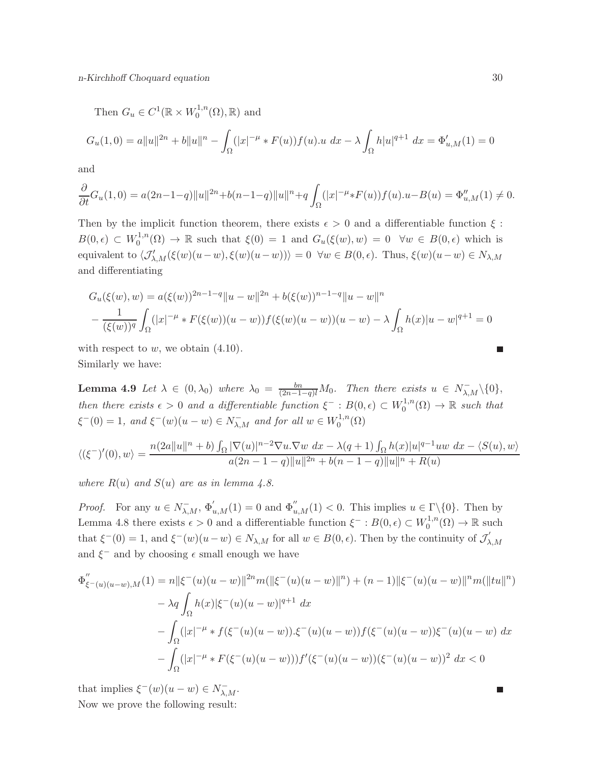Then  $G_u \in C^1(\mathbb{R} \times W_0^{1,n})$  $t_0^{1,n}(\Omega), \mathbb{R}$  and

$$
G_u(1,0) = a||u||^{2n} + b||u||^n - \int_{\Omega} (|x|^{-\mu} * F(u))f(u) \cdot u \, dx - \lambda \int_{\Omega} h|u|^{q+1} \, dx = \Phi'_{u,M}(1) = 0
$$

and

$$
\frac{\partial}{\partial t}G_u(1,0) = a(2n-1-q)||u||^{2n} + b(n-1-q)||u||^n + q \int_{\Omega} (|x|^{-\mu} * F(u))f(u) \cdot u - B(u) = \Phi_{u,M}''(1) \neq 0.
$$

Then by the implicit function theorem, there exists  $\epsilon > 0$  and a differentiable function  $\xi$ :  $B(0, \epsilon) \subset W_0^{1,n}$  $C_0^{1,n}(\Omega) \to \mathbb{R}$  such that  $\xi(0) = 1$  and  $G_u(\xi(w), w) = 0 \quad \forall w \in B(0, \epsilon)$  which is equivalent to  $\langle \mathcal{J}'_{\lambda,M}(\xi(w)(u-w), \xi(w)(u-w)) \rangle = 0 \ \ \forall w \in B(0, \epsilon)$ . Thus,  $\xi(w)(u-w) \in N_{\lambda,M}$ and differentiating

$$
G_u(\xi(w), w) = a(\xi(w))^{2n-1-q} \|u - w\|^{2n} + b(\xi(w))^{n-1-q} \|u - w\|^{n}
$$
  

$$
- \frac{1}{(\xi(w))^q} \int_{\Omega} (|x|^{-\mu} * F(\xi(w))(u - w)) f(\xi(w)(u - w))(u - w) - \lambda \int_{\Omega} h(x) |u - w|^{q+1} = 0
$$

with respect to  $w$ , we obtain  $(4.10)$ . Similarly we have:

**Lemma 4.9** Let  $\lambda \in (0, \lambda_0)$  where  $\lambda_0 = \frac{bn}{(2n-1-q)l}M_0$ . Then there exists  $u \in N_{\lambda,M}^{-} \setminus \{0\},$ then there exists  $\epsilon > 0$  and a differentiable function  $\xi^- : B(0, \epsilon) \subset W_0^{1,n}$  $t_0^{1,n}(\Omega) \to \mathbb{R}$  such that  $\xi^-(0) = 1$ , and  $\xi^-(w)(u - w) \in N_{\lambda,M}^-$  and for all  $w \in W_0^{1,n}$  $\mathcal{O}^{1,n}(\Omega)$ 

$$
\langle (\xi^-)'(0), w \rangle = \frac{n(2a||u||^n + b) \int_{\Omega} |\nabla(u)|^{n-2} \nabla u \cdot \nabla w \, dx - \lambda(q+1) \int_{\Omega} h(x)|u|^{q-1}uw \, dx - \langle S(u), w \rangle}{a(2n - 1 - q)||u||^{2n} + b(n - 1 - q)||u||^n + R(u)}
$$

where  $R(u)$  and  $S(u)$  are as in lemma 4.8.

*Proof.* For any  $u \in N_{\lambda,M}^-$ ,  $\Phi'_{u,M}(1) = 0$  and  $\Phi''_{u,M}(1) < 0$ . This implies  $u \in \Gamma \setminus \{0\}$ . Then by Lemma 4.8 there exists  $\epsilon > 0$  and a differentiable function  $\xi^- : B(0, \epsilon) \subset W_0^{1,n}$  $t_0^{1,n}(\Omega) \to \mathbb{R}$  such that  $\xi^-(0) = 1$ , and  $\xi^-(w)(u - w) \in N_{\lambda,M}$  for all  $w \in B(0, \epsilon)$ . Then by the continuity of  $\mathcal{J}'_{\lambda}$  $_{\lambda,M}$ and  $\xi^-$  and by choosing  $\epsilon$  small enough we have

$$
\Phi''_{\xi^-(u)(u-w),M}(1) = n||\xi^-(u)(u-w)||^{2n}m(||\xi^-(u)(u-w)||^n) + (n-1)||\xi^-(u)(u-w)||^n m(||tu||^n)
$$
  

$$
- \lambda q \int_{\Omega} h(x)|\xi^-(u)(u-w)|^{q+1} dx
$$
  

$$
- \int_{\Omega} (|x|^{-\mu} * f(\xi^-(u)(u-w)).\xi^-(u)(u-w))f(\xi^-(u)(u-w))\xi^-(u)(u-w) dx
$$
  

$$
- \int_{\Omega} (|x|^{-\mu} * F(\xi^-(u)(u-w)))f'(\xi^-(u)(u-w))(\xi^-(u)(u-w))^2 dx < 0
$$

that implies  $\xi^-(w)(u-w) \in N_{\lambda,M}^-$ .

Now we prove the following result:

 $\overline{\phantom{0}}$ 

П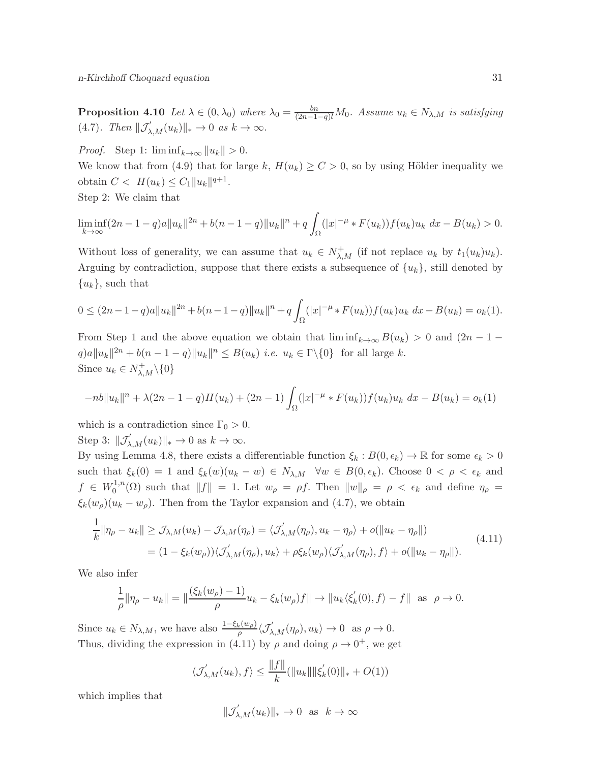**Proposition 4.10** Let  $\lambda \in (0, \lambda_0)$  where  $\lambda_0 = \frac{bn}{(2n-1-q)l}M_0$ . Assume  $u_k \in N_{\lambda,M}$  is satisfying (4.7). Then  $\|\mathcal{J}'_{\lambda,M}(u_k)\|_* \to 0$  as  $k \to \infty$ .

*Proof.* Step 1:  $\liminf_{k\to\infty} ||u_k|| > 0$ .

We know that from (4.9) that for large k,  $H(u_k) \ge C > 0$ , so by using Hölder inequality we obtain  $C < H(u_k) \leq C_1 ||u_k||^{q+1}$ .

Step 2: We claim that

$$
\liminf_{k \to \infty} (2n - 1 - q)a \|u_k\|^{2n} + b(n - 1 - q)\|u_k\|^n + q \int_{\Omega} (|x|^{-\mu} * F(u_k)) f(u_k) u_k \ dx - B(u_k) > 0.
$$

Without loss of generality, we can assume that  $u_k \in N^+_{\lambda,M}$  (if not replace  $u_k$  by  $t_1(u_k)u_k$ ). Arguing by contradiction, suppose that there exists a subsequence of  $\{u_k\}$ , still denoted by  ${u_k}$ , such that

$$
0 \le (2n-1-q)a||u_k||^{2n} + b(n-1-q)||u_k||^2 + q \int_{\Omega} (|x|^{-\mu} * F(u_k))f(u_k)u_k dx - B(u_k) = o_k(1).
$$

From Step 1 and the above equation we obtain that  $\liminf_{k\to\infty} B(u_k) > 0$  and  $(2n-1$  $q)a||u_k||^{2n} + b(n-1-q)||u_k||^n \leq B(u_k)$  *i.e.*  $u_k \in \Gamma \setminus \{0\}$  for all large k. Since  $u_k \in N^+_{\lambda,M} \backslash \{0\}$ 

$$
-nb||u_k||n + \lambda(2n - 1 - q)H(u_k) + (2n - 1)\int_{\Omega} (|x|^{-\mu} * F(u_k))f(u_k)u_k dx - B(u_k) = o_k(1)
$$

which is a contradiction since  $\Gamma_0 > 0$ .

Step 3:  $\|\mathcal{J}'_{\lambda,M}(u_k)\|_{*} \to 0$  as  $k \to \infty$ .

By using Lemma 4.8, there exists a differentiable function  $\xi_k : B(0, \epsilon_k) \to \mathbb{R}$  for some  $\epsilon_k > 0$ such that  $\xi_k(0) = 1$  and  $\xi_k(w)(u_k - w) \in N_{\lambda,M}$   $\forall w \in B(0, \epsilon_k)$ . Choose  $0 < \rho < \epsilon_k$  and  $f \in W_0^{1,n}$  $\int_0^{1,n}(\Omega)$  such that  $||f|| = 1$ . Let  $w_\rho = \rho f$ . Then  $||w||_\rho = \rho < \epsilon_k$  and define  $\eta_\rho =$  $\xi_k(w_\rho)(u_k - w_\rho)$ . Then from the Taylor expansion and (4.7), we obtain

$$
\frac{1}{k} \|\eta_{\rho} - u_k\| \ge \mathcal{J}_{\lambda,M}(u_k) - \mathcal{J}_{\lambda,M}(\eta_{\rho}) = \langle \mathcal{J}'_{\lambda,M}(\eta_{\rho}), u_k - \eta_{\rho} \rangle + o(\|u_k - \eta_{\rho}\|)
$$
\n
$$
= (1 - \xi_k(w_{\rho})) \langle \mathcal{J}'_{\lambda,M}(\eta_{\rho}), u_k \rangle + \rho \xi_k(w_{\rho}) \langle \mathcal{J}'_{\lambda,M}(\eta_{\rho}), f \rangle + o(\|u_k - \eta_{\rho}\|). \tag{4.11}
$$

We also infer

$$
\frac{1}{\rho} \|\eta_{\rho} - u_k\| = \|\frac{(\xi_k(w_{\rho}) - 1)}{\rho} u_k - \xi_k(w_{\rho})f\| \to \|u_k \langle \xi'_k(0), f \rangle - f\| \text{ as } \rho \to 0.
$$

Since  $u_k \in N_{\lambda,M}$ , we have also  $\frac{1-\xi_k(w_\rho)}{\rho} \langle \mathcal{J}'_{\lambda,M}(\eta_\rho), u_k \rangle \to 0$  as  $\rho \to 0$ . Thus, dividing the expression in (4.11) by  $\rho$  and doing  $\rho \to 0^+$ , we get

$$
\langle \mathcal{J}'_{\lambda,M}(u_k), f \rangle \le \frac{\|f\|}{k} (\|u_k\| \|\xi'_k(0)\|_* + O(1))
$$

which implies that

$$
\|\mathcal{J}'_{\lambda,M}(u_k)\|_{*} \to 0 \text{ as } k \to \infty
$$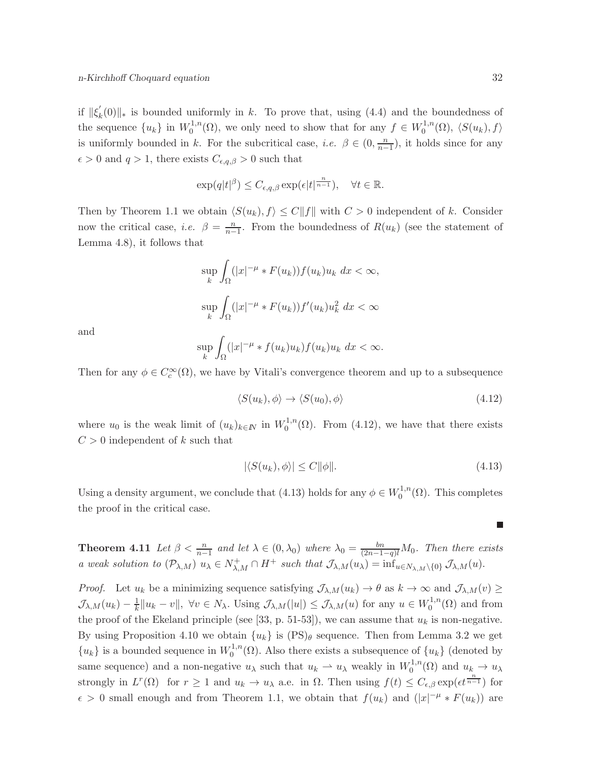if  $\|\xi'_k\|$  $k(0)\Vert_*$  is bounded uniformly in k. To prove that, using (4.4) and the boundedness of the sequence  $\{u_k\}$  in  $W_0^{1,n}$  $C_0^{1,n}(\Omega)$ , we only need to show that for any  $f \in W_0^{1,n}$  $\binom{1}{0}$ ,  $\langle S(u_k), f \rangle$ is uniformly bounded in k. For the subcritical case, *i.e.*  $\beta \in (0, \frac{n}{n-1})$ , it holds since for any  $\epsilon > 0$  and  $q > 1$ , there exists  $C_{\epsilon,q,\beta} > 0$  such that

$$
\exp(q|t|^{\beta}) \leq C_{\epsilon,q,\beta} \exp(\epsilon |t|^{\frac{n}{n-1}}), \quad \forall t \in \mathbb{R}.
$$

Then by Theorem 1.1 we obtain  $\langle S(u_k), f \rangle \leq C ||f||$  with  $C > 0$  independent of k. Consider now the critical case, *i.e.*  $\beta = \frac{n}{n-1}$ . From the boundedness of  $R(u_k)$  (see the statement of Lemma 4.8), it follows that

$$
\sup_{k} \int_{\Omega} (|x|^{-\mu} * F(u_k)) f(u_k) u_k \ dx < \infty,
$$
  

$$
\sup_{k} \int_{\Omega} (|x|^{-\mu} * F(u_k)) f'(u_k) u_k^2 \ dx < \infty
$$

and

$$
\sup_{k} \int_{\Omega} (|x|^{-\mu} * f(u_k)u_k) f(u_k)u_k \ dx < \infty.
$$

Then for any  $\phi \in C_c^{\infty}(\Omega)$ , we have by Vitali's convergence theorem and up to a subsequence

$$
\langle S(u_k), \phi \rangle \to \langle S(u_0), \phi \rangle \tag{4.12}
$$

where  $u_0$  is the weak limit of  $(u_k)_{k\in\mathbb{N}}$  in  $W_0^{1,n}$  $_0^{1,n}(\Omega)$ . From  $(4.12)$ , we have that there exists  $C > 0$  independent of k such that

$$
|\langle S(u_k), \phi \rangle| \le C \|\phi\|.\tag{4.13}
$$

Using a density argument, we conclude that (4.13) holds for any  $\phi \in W_0^{1,n}$  $\mathcal{O}^{1,n}(\Omega)$ . This completes the proof in the critical case.

**Theorem 4.11** Let  $\beta < \frac{n}{n-1}$  and let  $\lambda \in (0, \lambda_0)$  where  $\lambda_0 = \frac{bn}{(2n-1-q)l}M_0$ . Then there exists a weak solution to  $(\mathcal{P}_{\lambda,M})$   $u_{\lambda} \in N^+_{\lambda,M} \cap H^+$  such that  $\mathcal{J}_{\lambda,M}(u_{\lambda}) = \inf_{u \in N_{\lambda,M}\setminus\{0\}} \mathcal{J}_{\lambda,M}(u)$ .

*Proof.* Let  $u_k$  be a minimizing sequence satisfying  $\mathcal{J}_{\lambda,M}(u_k) \to \theta$  as  $k \to \infty$  and  $\mathcal{J}_{\lambda,M}(v) \geq$  $\mathcal{J}_{\lambda,M}(u_k)-\frac{1}{k}$  $\frac{1}{k}||u_k - v||$ ,  $\forall v \in N_\lambda$ . Using  $\mathcal{J}_{\lambda,M}(u_l) \leq \mathcal{J}_{\lambda,M}(u)$  for any  $u \in W_0^{1,n}$  $\eta_0^{1,n}(\Omega)$  and from the proof of the Ekeland principle (see [33, p. 51-53]), we can assume that  $u_k$  is non-negative. By using Proposition 4.10 we obtain  $\{u_k\}$  is  $(PS)_{\theta}$  sequence. Then from Lemma 3.2 we get  ${u_k}$  is a bounded sequence in  $W_0^{1,n}$  $\int_0^{1,n}(\Omega)$ . Also there exists a subsequence of  $\{u_k\}$  (denoted by same sequence) and a non-negative  $u_{\lambda}$  such that  $u_k \rightharpoonup u_{\lambda}$  weakly in  $W_0^{1,n}$  $u_0^{1,n}(\Omega)$  and  $u_k \to u_\lambda$ strongly in  $L^r(\Omega)$  for  $r \geq 1$  and  $u_k \to u_\lambda$  a.e. in  $\Omega$ . Then using  $f(t) \leq C_{\epsilon,\beta} \exp(\epsilon t^{\frac{n}{n-1}})$  for  $\epsilon > 0$  small enough and from Theorem 1.1, we obtain that  $f(u_k)$  and  $(|x|^{-\mu} * F(u_k))$  are

П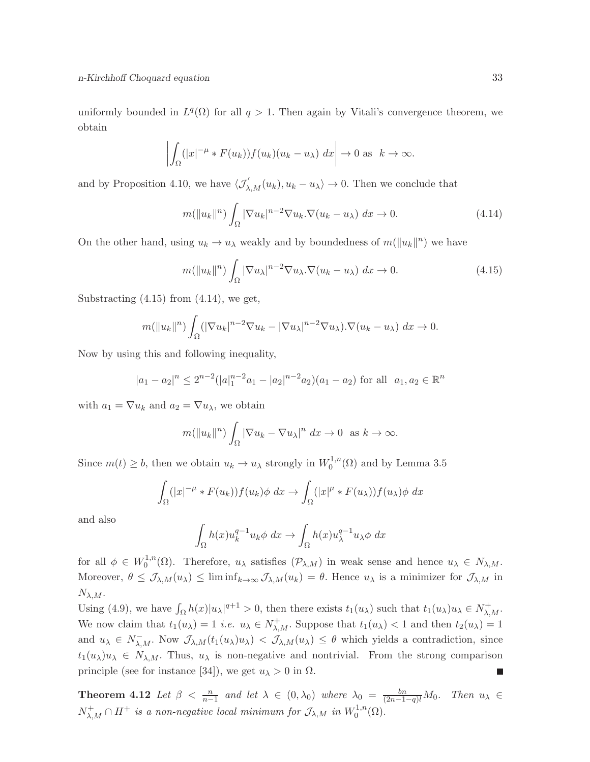uniformly bounded in  $L^q(\Omega)$  for all  $q > 1$ . Then again by Vitali's convergence theorem, we obtain

$$
\left| \int_{\Omega} (|x|^{-\mu} * F(u_k)) f(u_k)(u_k - u_\lambda) \, dx \right| \to 0 \text{ as } k \to \infty.
$$

and by Proposition 4.10, we have  $\langle \mathcal{J}_{\lambda,M}'(u_k), u_k - u_\lambda \rangle \to 0$ . Then we conclude that

$$
m(||u_k||^n) \int_{\Omega} |\nabla u_k|^{n-2} \nabla u_k \cdot \nabla (u_k - u_\lambda) dx \to 0.
$$
 (4.14)

On the other hand, using  $u_k \to u_\lambda$  weakly and by boundedness of  $m(\|u_k\|^n)$  we have

$$
m(||u_k||^n) \int_{\Omega} |\nabla u_\lambda|^{n-2} \nabla u_\lambda. \nabla (u_k - u_\lambda) dx \to 0.
$$
 (4.15)

Substracting  $(4.15)$  from  $(4.14)$ , we get,

$$
m(||u_k||^n)\int_{\Omega} (|\nabla u_k|^{n-2} \nabla u_k - |\nabla u_\lambda|^{n-2} \nabla u_\lambda).\nabla (u_k - u_\lambda) dx \to 0.
$$

Now by using this and following inequality,

$$
|a_1 - a_2|^n \le 2^{n-2} (|a|_1^{n-2} a_1 - |a_2|^{n-2} a_2)(a_1 - a_2)
$$
 for all  $a_1, a_2 \in \mathbb{R}^n$ 

with  $a_1 = \nabla u_k$  and  $a_2 = \nabla u_\lambda$ , we obtain

$$
m(||u_k||^n)\int_{\Omega} |\nabla u_k - \nabla u_\lambda|^n \ dx \to 0 \text{ as } k \to \infty.
$$

Since  $m(t) \geq b$ , then we obtain  $u_k \to u_\lambda$  strongly in  $W_0^{1,n}$  $_{0}^{\prime 1,n}(\Omega)$  and by Lemma 3.5

$$
\int_{\Omega} (|x|^{-\mu} * F(u_k)) f(u_k) \phi \ dx \to \int_{\Omega} (|x|^{ \mu} * F(u_\lambda)) f(u_\lambda) \phi \ dx
$$

and also

$$
\int_{\Omega} h(x)u_k^{q-1}u_k \phi \ dx \to \int_{\Omega} h(x)u_{\lambda}^{q-1}u_{\lambda} \phi \ dx
$$

for all  $\phi \in W_0^{1,n}$ <sup>1,n</sup>( $\Omega$ ). Therefore,  $u_{\lambda}$  satisfies  $(\mathcal{P}_{\lambda,M})$  in weak sense and hence  $u_{\lambda} \in N_{\lambda,M}$ . Moreover,  $\theta \leq \mathcal{J}_{\lambda,M}(u_{\lambda}) \leq \liminf_{k \to \infty} \mathcal{J}_{\lambda,M}(u_k) = \theta$ . Hence  $u_{\lambda}$  is a minimizer for  $\mathcal{J}_{\lambda,M}$  in  $N_{\lambda,M}.$ 

Using (4.9), we have  $\int_{\Omega} h(x)|u_{\lambda}|^{q+1} > 0$ , then there exists  $t_1(u_{\lambda})$  such that  $t_1(u_{\lambda})u_{\lambda} \in N^+_{\lambda,M}$ . We now claim that  $t_1(u_\lambda) = 1$  *i.e.*  $u_\lambda \in N^+_{\lambda,M}$ . Suppose that  $t_1(u_\lambda) < 1$  and then  $t_2(u_\lambda) = 1$ and  $u_{\lambda} \in N_{\lambda,M}^{-}$ . Now  $\mathcal{J}_{\lambda,M}(t_1(u_{\lambda})u_{\lambda}) < \mathcal{J}_{\lambda,M}(u_{\lambda}) \leq \theta$  which yields a contradiction, since  $t_1(u_\lambda)u_\lambda \in N_{\lambda,M}$ . Thus,  $u_\lambda$  is non-negative and nontrivial. From the strong comparison principle (see for instance [34]), we get  $u_{\lambda} > 0$  in  $\Omega$ . П

**Theorem 4.12** Let  $\beta < \frac{n}{n-1}$  and let  $\lambda \in (0, \lambda_0)$  where  $\lambda_0 = \frac{bn}{(2n-1-q)l}M_0$ . Then  $u_{\lambda} \in$  $N_{\lambda,M}^+ \cap H^+$  is a non-negative local minimum for  $\mathcal{J}_{\lambda,M}$  in  $W_0^{1,n}$  $\mathcal{O}^{1,n}(\Omega).$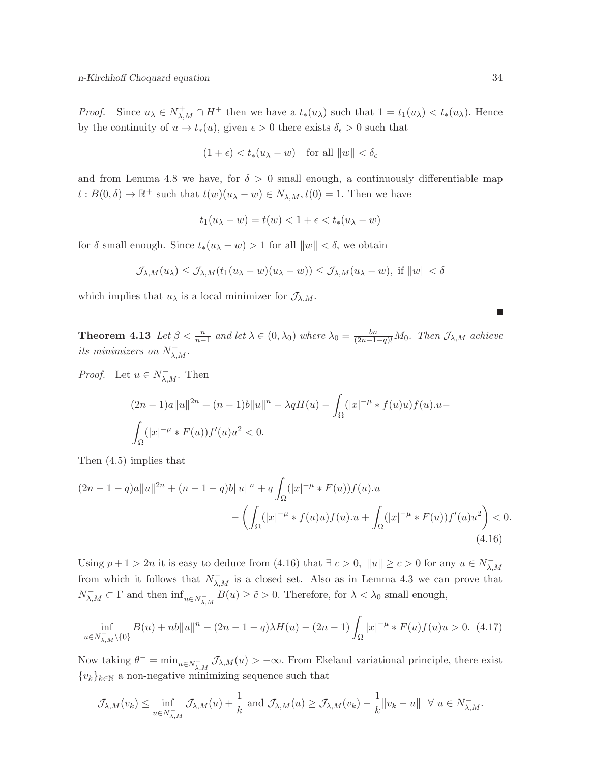*Proof.* Since  $u_{\lambda} \in N^+_{\lambda,M} \cap H^+$  then we have a  $t_*(u_{\lambda})$  such that  $1 = t_1(u_{\lambda}) < t_*(u_{\lambda})$ . Hence by the continuity of  $u \to t_*(u)$ , given  $\epsilon > 0$  there exists  $\delta_{\epsilon} > 0$  such that

$$
(1+\epsilon) < t_*(u_\lambda - w) \quad \text{for all } \|w\| < \delta_\epsilon
$$

and from Lemma 4.8 we have, for  $\delta > 0$  small enough, a continuously differentiable map  $t: B(0, \delta) \to \mathbb{R}^+$  such that  $t(w)(u_\lambda - w) \in N_{\lambda,M}, t(0) = 1$ . Then we have

$$
t_1(u_\lambda - w) = t(w) < 1 + \epsilon < t_*(u_\lambda - w)
$$

for  $\delta$  small enough. Since  $t_*(u_\lambda - w) > 1$  for all  $||w|| < \delta$ , we obtain

$$
\mathcal{J}_{\lambda,M}(u_\lambda) \leq \mathcal{J}_{\lambda,M}(t_1(u_\lambda - w)(u_\lambda - w)) \leq \mathcal{J}_{\lambda,M}(u_\lambda - w), \text{ if } \|w\| < \delta
$$

which implies that  $u_{\lambda}$  is a local minimizer for  $\mathcal{J}_{\lambda,M}$ .

**Theorem 4.13** Let  $\beta < \frac{n}{n-1}$  and let  $\lambda \in (0, \lambda_0)$  where  $\lambda_0 = \frac{bn}{(2n-1-q)l}M_0$ . Then  $\mathcal{J}_{\lambda,M}$  achieve its minimizers on  $N_{\lambda,M}^-$ .

*Proof.* Let  $u \in N_{\lambda,M}^-$ . Then

$$
(2n-1)a||u||^{2n} + (n-1)b||u||^n - \lambda qH(u) - \int_{\Omega} (|x|^{-\mu} * f(u)u) f(u) \cdot u - \int_{\Omega} (|x|^{-\mu} * F(u)) f'(u)u^2 < 0.
$$

Then (4.5) implies that

$$
(2n - 1 - q)a||u||^{2n} + (n - 1 - q)b||u||^{n} + q \int_{\Omega} (|x|^{-\mu} * F(u))f(u).u
$$

$$
- \left( \int_{\Omega} (|x|^{-\mu} * f(u)u) f(u).u + \int_{\Omega} (|x|^{-\mu} * F(u))f'(u)u^{2} \right) < 0. \tag{4.16}
$$

Using  $p + 1 > 2n$  it is easy to deduce from (4.16) that  $\exists c > 0$ ,  $||u|| \ge c > 0$  for any  $u \in N_{\lambda}^ _{\lambda,M}$ from which it follows that  $N_{\lambda,M}^-$  is a closed set. Also as in Lemma 4.3 we can prove that  $N_{\lambda,M}^- \subset \Gamma$  and then  $\inf_{u \in N_{\lambda,M}^-} B(u) \geq \tilde{c} > 0$ . Therefore, for  $\lambda < \lambda_0$  small enough,

$$
\inf_{u \in N_{\lambda,M}^- \setminus \{0\}} B(u) + nb \|u\|^n - (2n - 1 - q)\lambda H(u) - (2n - 1) \int_{\Omega} |x|^{-\mu} * F(u)f(u)u > 0. \tag{4.17}
$$

Now taking  $\theta^- = \min_{u \in N_{\lambda,M}^-} \mathcal{J}_{\lambda,M}(u) > -\infty$ . From Ekeland variational principle, there exist  ${v_k}_{k \in \mathbb{N}}$  a non-negative minimizing sequence such that

$$
\mathcal{J}_{\lambda,M}(v_k) \leq \inf_{u \in N_{\lambda,M}^-} \mathcal{J}_{\lambda,M}(u) + \frac{1}{k} \text{ and } \mathcal{J}_{\lambda,M}(u) \geq \mathcal{J}_{\lambda,M}(v_k) - \frac{1}{k} ||v_k - u|| \quad \forall \ u \in N_{\lambda,M}^-.
$$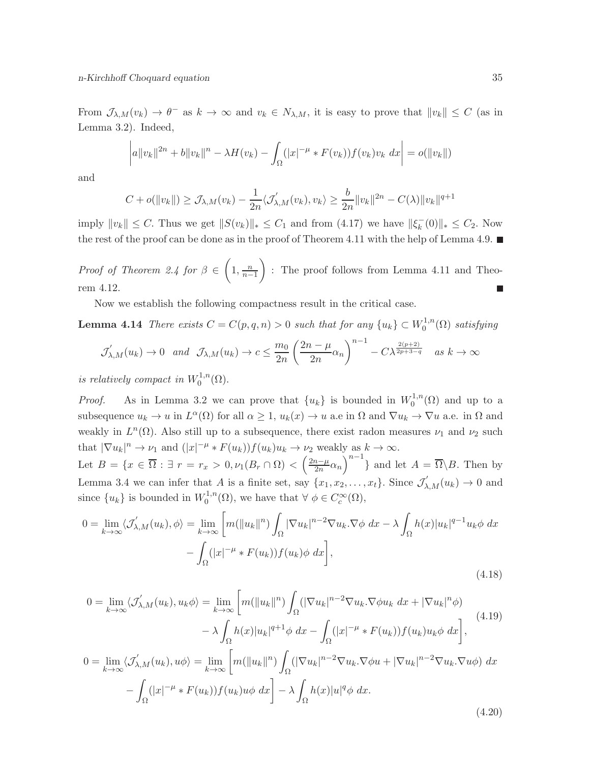From  $\mathcal{J}_{\lambda,M}(v_k) \to \theta^-$  as  $k \to \infty$  and  $v_k \in N_{\lambda,M}$ , it is easy to prove that  $||v_k|| \leq C$  (as in Lemma 3.2). Indeed,

$$
\left| a \|v_k\|^{2n} + b \|v_k\|^n - \lambda H(v_k) - \int_{\Omega} (|x|^{-\mu} * F(v_k)) f(v_k) v_k \ dx \right| = o(\|v_k\|)
$$

and

$$
C + o(||v_k||) \geq \mathcal{J}_{\lambda,M}(v_k) - \frac{1}{2n} \langle \mathcal{J}_{\lambda,M}'(v_k), v_k \rangle \geq \frac{b}{2n} ||v_k||^{2n} - C(\lambda) ||v_k||^{q+1}
$$

imply  $||v_k|| \leq C$ . Thus we get  $||S(v_k)||_* \leq C_1$  and from (4.17) we have  $||\xi_k^-||$  $_{k}^{-}(0)\|_{*} \leq C_{2}$ . Now the rest of the proof can be done as in the proof of Theorem 4.11 with the help of Lemma 4.9.  $\blacksquare$ 

*Proof of Theorem 2.4 for*  $\beta \in \left(1, \frac{n}{n-1}\right)$  : The proof follows from Lemma 4.11 and Theorem 4.12. an<br>Ma

Now we establish the following compactness result in the critical case.

**Lemma 4.14** There exists  $C = C(p, q, n) > 0$  such that for any  $\{u_k\} \subset W_0^{1,n}$  $\int_0^{1,n}$ ( $\Omega$ ) satisfying

$$
\mathcal{J}'_{\lambda,M}(u_k) \to 0 \quad \text{and} \quad \mathcal{J}_{\lambda,M}(u_k) \to c \le \frac{m_0}{2n} \left(\frac{2n-\mu}{2n}\alpha_n\right)^{n-1} - C\lambda^{\frac{2(p+2)}{2p+3-q}} \quad \text{as } k \to \infty
$$

is relatively compact in  $W_0^{1,n}$  $\mathcal{O}^{1,n}(\Omega).$ 

*Proof.* As in Lemma 3.2 we can prove that  $\{u_k\}$  is bounded in  $W_0^{1,n}$  $C_0^{1,n}(\Omega)$  and up to a subsequence  $u_k \to u$  in  $L^{\alpha}(\Omega)$  for all  $\alpha \geq 1$ ,  $u_k(x) \to u$  a.e in  $\Omega$  and  $\nabla u_k \to \nabla u$  a.e. in  $\Omega$  and weakly in  $L^{n}(\Omega)$ . Also still up to a subsequence, there exist radon measures  $\nu_1$  and  $\nu_2$  such that  $|\nabla u_k|^n \to \nu_1$  and  $(|x|^{-\mu} * F(u_k))f(u_k)u_k \to \nu_2$  weakly as  $k \to \infty$ . Let  $B = \{x \in \overline{\Omega} : \exists r = r_x > 0, \nu_1(B_r \cap \Omega) < \left(\frac{2n-\mu}{2n}\right)$  $\frac{n-\mu}{2n}\alpha_n\big)^{n-1}$  and let  $A = \overline{\Omega} \backslash B$ . Then by Lemma 3.4 we can infer that A is a finite set, say  $\{x_1, x_2, \ldots, x_t\}$ . Since  $\mathcal{J}'_{\lambda,M}(u_k) \to 0$  and

since 
$$
\{u_k\}
$$
 is bounded in  $W_0^{1,n}(\Omega)$ , we have that  $\forall \phi \in C_c^{\infty}(\Omega)$ ,  
\n
$$
0 = \lim_{k \to \infty} \langle \mathcal{J}'_{\lambda,M}(u_k), \phi \rangle = \lim_{k \to \infty} \left[ m(\|u_k\|^n) \int_{\Omega} |\nabla u_k|^{n-2} \nabla u_k \cdot \nabla \phi \, dx - \lambda \int_{\Omega} h(x) |u_k|^{q-1} u_k \phi \, dx \right. \\ \left. - \int_{\Omega} (|x|^{-\mu} * F(u_k)) f(u_k) \phi \, dx \right],
$$

$$
0 = \lim_{k \to \infty} \langle \mathcal{J}'_{\lambda,M}(u_k), u_k \phi \rangle = \lim_{k \to \infty} \left[ m(\|u_k\|^n) \int_{\Omega} (|\nabla u_k|^{n-2} \nabla u_k \cdot \nabla \phi u_k \, dx + |\nabla u_k|^n \phi) - \lambda \int_{\Omega} h(x) |u_k|^{q+1} \phi \, dx - \int_{\Omega} (|x|^{-\mu} * F(u_k)) f(u_k) u_k \phi \, dx \right],
$$
\n
$$
0 = \lim_{k \to \infty} \langle \mathcal{J}'_{\lambda,M}(u_k), u\phi \rangle = \lim_{k \to \infty} \left[ m(\|u_k\|^n) \int_{\Omega} (|\nabla u_k|^{n-2} \nabla u_k \cdot \nabla \phi u + |\nabla u_k|^{n-2} \nabla u_k \cdot \nabla u \phi) \, dx - \int_{\Omega} (|x|^{-\mu} * F(u_k)) f(u_k) u \phi \, dx \right] - \lambda \int_{\Omega} h(x) |u|^q \phi \, dx.
$$
\n(4.20)

(4.18)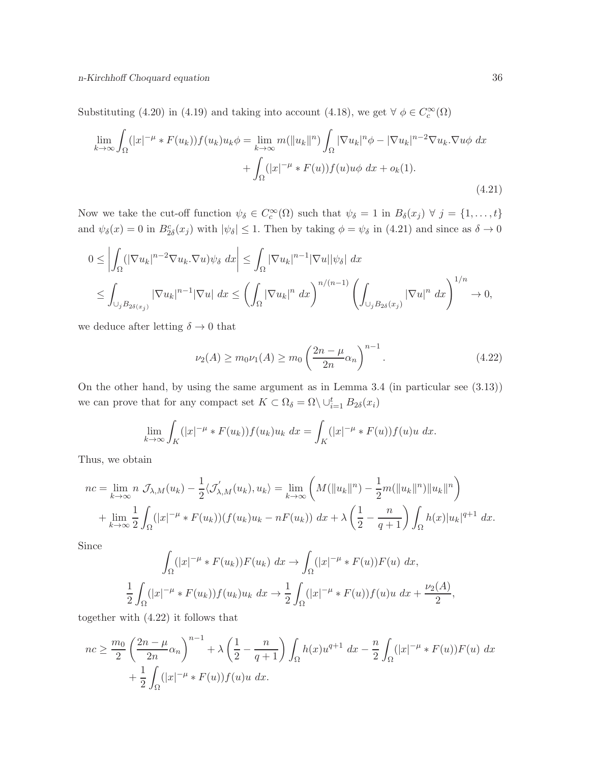Substituting (4.20) in (4.19) and taking into account (4.18), we get  $\forall \phi \in C_c^{\infty}(\Omega)$ 

$$
\lim_{k \to \infty} \int_{\Omega} (|x|^{-\mu} * F(u_k)) f(u_k) u_k \phi = \lim_{k \to \infty} m(||u_k||^n) \int_{\Omega} |\nabla u_k|^n \phi - |\nabla u_k|^{n-2} \nabla u_k . \nabla u \phi \, dx
$$

$$
+ \int_{\Omega} (|x|^{-\mu} * F(u)) f(u) u \phi \, dx + o_k(1).
$$
\n(4.21)

Now we take the cut-off function  $\psi_{\delta} \in C_c^{\infty}(\Omega)$  such that  $\psi_{\delta} = 1$  in  $B_{\delta}(x_j) \ \forall \ j = \{1, ..., t\}$ and  $\psi_{\delta}(x) = 0$  in  $B_{2\delta}^c(x_j)$  with  $|\psi_{\delta}| \leq 1$ . Then by taking  $\phi = \psi_{\delta}$  in (4.21) and since as  $\delta \to 0$ 

$$
0 \leq \left| \int_{\Omega} (|\nabla u_k|^{n-2} \nabla u_k \cdot \nabla u) \psi_{\delta} \ dx \right| \leq \int_{\Omega} |\nabla u_k|^{n-1} |\nabla u| |\psi_{\delta}| \ dx
$$
  

$$
\leq \int_{\cup_j B_{2\delta(x_j)}} |\nabla u_k|^{n-1} |\nabla u| \ dx \leq \left( \int_{\Omega} |\nabla u_k|^{n} \ dx \right)^{n/(n-1)} \left( \int_{\cup_j B_{2\delta}(x_j)} |\nabla u|^{n} \ dx \right)^{1/n} \to 0,
$$

we deduce after letting  $\delta \to 0$  that

$$
\nu_2(A) \ge m_0 \nu_1(A) \ge m_0 \left(\frac{2n - \mu}{2n} \alpha_n\right)^{n-1}.
$$
\n(4.22)

On the other hand, by using the same argument as in Lemma 3.4 (in particular see (3.13)) we can prove that for any compact set  $K \subset \Omega_{\delta} = \Omega \setminus \cup_{i=1}^{t} B_{2\delta}(x_i)$ 

$$
\lim_{k \to \infty} \int_{K} (|x|^{-\mu} * F(u_k)) f(u_k) u_k \, dx = \int_{K} (|x|^{-\mu} * F(u)) f(u) u \, dx.
$$

Thus, we obtain

$$
nc = \lim_{k \to \infty} n \mathcal{J}_{\lambda,M}(u_k) - \frac{1}{2} \langle \mathcal{J}'_{\lambda,M}(u_k), u_k \rangle = \lim_{k \to \infty} \left( M(\|u_k\|^n) - \frac{1}{2} m(\|u_k\|^n) \|u_k\|^n \right) + \lim_{k \to \infty} \frac{1}{2} \int_{\Omega} (|x|^{-\mu} * F(u_k)) (f(u_k)u_k - nF(u_k)) \, dx + \lambda \left( \frac{1}{2} - \frac{n}{q+1} \right) \int_{\Omega} h(x) |u_k|^{q+1} \, dx.
$$

Since

$$
\int_{\Omega} (|x|^{-\mu} * F(u_k)) F(u_k) \, dx \to \int_{\Omega} (|x|^{-\mu} * F(u)) F(u) \, dx,
$$
  

$$
\frac{1}{2} \int_{\Omega} (|x|^{-\mu} * F(u_k)) f(u_k) u_k \, dx \to \frac{1}{2} \int_{\Omega} (|x|^{-\mu} * F(u)) f(u) u \, dx + \frac{\nu_2(A)}{2},
$$

together with (4.22) it follows that

$$
nc \ge \frac{m_0}{2} \left(\frac{2n - \mu}{2n} \alpha_n\right)^{n-1} + \lambda \left(\frac{1}{2} - \frac{n}{q+1}\right) \int_{\Omega} h(x) u^{q+1} dx - \frac{n}{2} \int_{\Omega} (|x|^{-\mu} * F(u)) F(u) dx + \frac{1}{2} \int_{\Omega} (|x|^{-\mu} * F(u)) f(u) u dx.
$$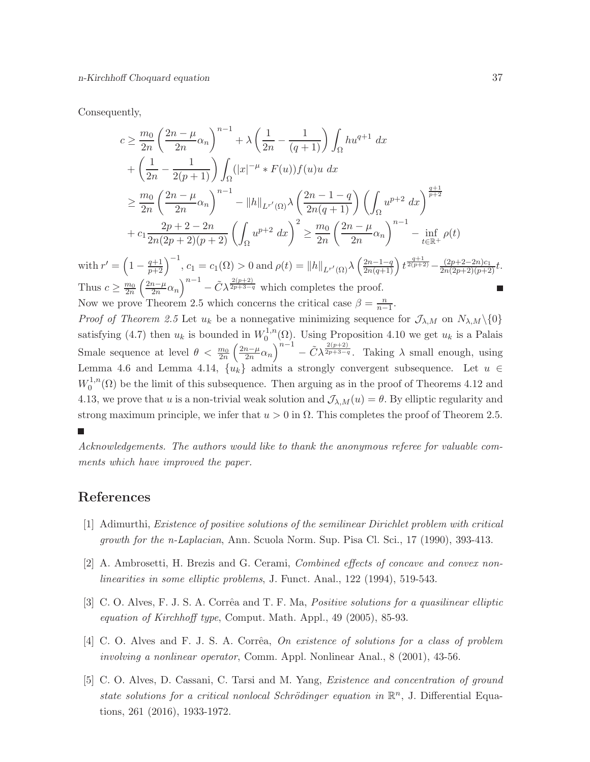Consequently,

Thu

0

$$
c \geq \frac{m_0}{2n} \left(\frac{2n-\mu}{2n}\alpha_n\right)^{n-1} + \lambda \left(\frac{1}{2n} - \frac{1}{(q+1)}\right) \int_{\Omega} hu^{q+1} dx
$$
  
+  $\left(\frac{1}{2n} - \frac{1}{2(p+1)}\right) \int_{\Omega} (|x|^{-\mu} * F(u)) f(u) u dx$   
 $\geq \frac{m_0}{2n} \left(\frac{2n-\mu}{2n}\alpha_n\right)^{n-1} - ||h||_{L^{r'}(\Omega)} \lambda \left(\frac{2n-1-q}{2n(q+1)}\right) \left(\int_{\Omega} u^{p+2} dx\right)^{\frac{q+1}{p+2}}$   
+  $c_1 \frac{2p+2-2n}{2n(2p+2)(p+2)} \left(\int_{\Omega} u^{p+2} dx\right)^2 \geq \frac{m_0}{2n} \left(\frac{2n-\mu}{2n}\alpha_n\right)^{n-1} - \inf_{t \in \mathbb{R}^+} \rho(t)$   
with  $r' = \left(1 - \frac{q+1}{p+2}\right)^{-1}$ ,  $c_1 = c_1(\Omega) > 0$  and  $\rho(t) = ||h||_{L^{r'}(\Omega)} \lambda \left(\frac{2n-1-q}{2n(q+1)}\right) t^{\frac{q+1}{2(p+2)} - \frac{(2p+2-2n)c_1}{2n(2p+2)(p+2)}t$ .  
Thus  $c \geq \frac{m_0}{2n} \left(\frac{2n-\mu}{2n}\alpha_n\right)^{n-1} - \tilde{C} \lambda^{\frac{2(p+2)}{2p+3-q}}$  which completes the proof.  
Now we prove Theorem 2.5 which concerns the critical case  $\beta = \frac{n}{n-1}$ .  
Proof of Theorem 2.5 Let  $u_k$  be a nonnegative minimizing sequence for  $\mathcal{J}_{\lambda,M}$  on  $N_{\lambda,M}\setminus\{0\}$  satisfying (4.7) then  $u_k$  is bounded in  $W_0^{1,n}(\Omega)$ . Using Proposition 4.10 we get  $u_k$  is a Palais  
Smale sequence at level  $\theta < \frac{m_0}{2n} \left(\frac{2n-\mu}{2n}\alpha_n\right)^{n-1} - \tilde{C} \lambda^{\frac{2(p$ 

strong maximum principle, we infer that  $u > 0$  in  $\Omega$ . This completes the proof of Theorem 2.5. Acknowledgements. The authors would like to thank the anonymous referee for valuable com-

4.13, we prove that u is a non-trivial weak solution and  $\mathcal{J}_{\lambda,M}(u) = \theta$ . By elliptic regularity and

ments which have improved the paper.

# References

- [1] Adimurthi, Existence of positive solutions of the semilinear Dirichlet problem with critical growth for the n-Laplacian, Ann. Scuola Norm. Sup. Pisa Cl. Sci., 17 (1990), 393-413.
- [2] A. Ambrosetti, H. Brezis and G. Cerami, Combined effects of concave and convex nonlinearities in some elliptic problems, J. Funct. Anal., 122 (1994), 519-543.
- [3] C. O. Alves, F. J. S. A. Corrêa and T. F. Ma, *Positive solutions for a quasilinear elliptic* equation of Kirchhoff type, Comput. Math. Appl., 49 (2005), 85-93.
- [4] C. O. Alves and F. J. S. A. Corrêa, On existence of solutions for a class of problem involving a nonlinear operator, Comm. Appl. Nonlinear Anal., 8 (2001), 43-56.
- [5] C. O. Alves, D. Cassani, C. Tarsi and M. Yang, Existence and concentration of ground state solutions for a critical nonlocal Schrödinger equation in  $\mathbb{R}^n$ , J. Differential Equations, 261 (2016), 1933-1972.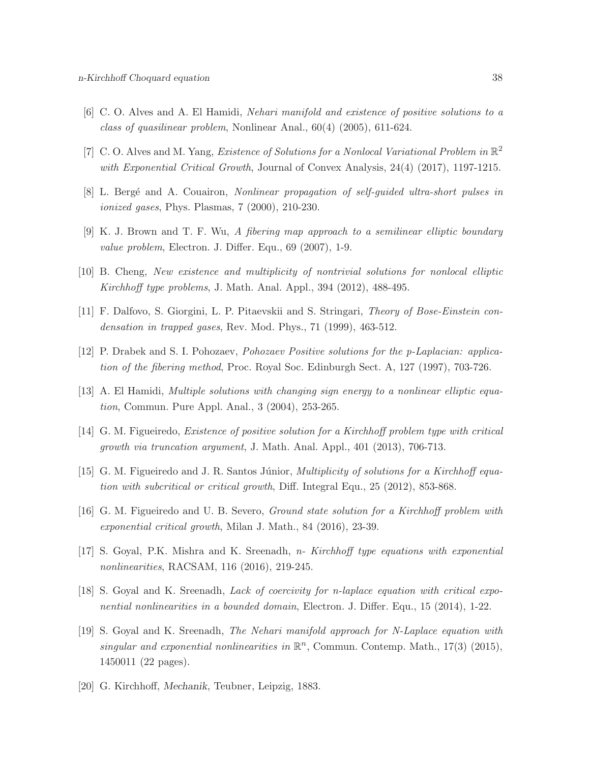- [6] C. O. Alves and A. El Hamidi, Nehari manifold and existence of positive solutions to a class of quasilinear problem, Nonlinear Anal., 60(4) (2005), 611-624.
- [7] C. O. Alves and M. Yang, *Existence of Solutions for a Nonlocal Variational Problem in*  $\mathbb{R}^2$ with Exponential Critical Growth, Journal of Convex Analysis, 24(4) (2017), 1197-1215.
- [8] L. Bergé and A. Couairon, Nonlinear propagation of self-quided ultra-short pulses in ionized gases, Phys. Plasmas, 7 (2000), 210-230.
- [9] K. J. Brown and T. F. Wu, A fibering map approach to a semilinear elliptic boundary value problem, Electron. J. Differ. Equ., 69 (2007), 1-9.
- [10] B. Cheng, New existence and multiplicity of nontrivial solutions for nonlocal elliptic Kirchhoff type problems, J. Math. Anal. Appl., 394 (2012), 488-495.
- [11] F. Dalfovo, S. Giorgini, L. P. Pitaevskii and S. Stringari, Theory of Bose-Einstein condensation in trapped gases, Rev. Mod. Phys., 71 (1999), 463-512.
- [12] P. Drabek and S. I. Pohozaev, Pohozaev Positive solutions for the p-Laplacian: application of the fibering method, Proc. Royal Soc. Edinburgh Sect. A, 127 (1997), 703-726.
- [13] A. El Hamidi, Multiple solutions with changing sign energy to a nonlinear elliptic equation, Commun. Pure Appl. Anal., 3 (2004), 253-265.
- [14] G. M. Figueiredo, Existence of positive solution for a Kirchhoff problem type with critical growth via truncation argument, J. Math. Anal. Appl., 401 (2013), 706-713.
- [15] G. M. Figueiredo and J. R. Santos Júnior, *Multiplicity of solutions for a Kirchhoff equa*tion with subcritical or critical growth, Diff. Integral Equ., 25 (2012), 853-868.
- [16] G. M. Figueiredo and U. B. Severo, Ground state solution for a Kirchhoff problem with exponential critical growth, Milan J. Math., 84 (2016), 23-39.
- [17] S. Goyal, P.K. Mishra and K. Sreenadh, n- Kirchhoff type equations with exponential nonlinearities, RACSAM, 116 (2016), 219-245.
- [18] S. Goyal and K. Sreenadh, Lack of coercivity for n-laplace equation with critical exponential nonlinearities in a bounded domain, Electron. J. Differ. Equ., 15 (2014), 1-22.
- [19] S. Goyal and K. Sreenadh, The Nehari manifold approach for N-Laplace equation with singular and exponential nonlinearities in  $\mathbb{R}^n$ , Commun. Contemp. Math., 17(3) (2015), 1450011 (22 pages).
- [20] G. Kirchhoff, Mechanik, Teubner, Leipzig, 1883.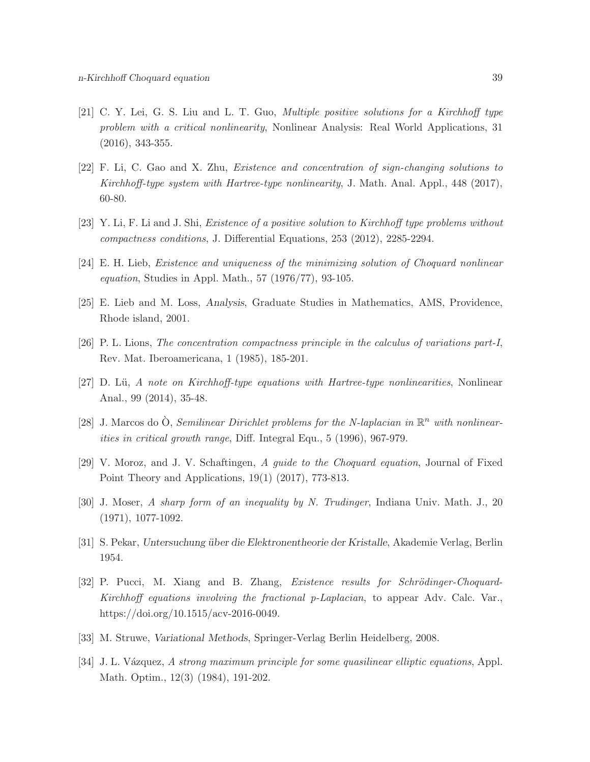- [21] C. Y. Lei, G. S. Liu and L. T. Guo, Multiple positive solutions for a Kirchhoff type problem with a critical nonlinearity, Nonlinear Analysis: Real World Applications, 31 (2016), 343-355.
- [22] F. Li, C. Gao and X. Zhu, Existence and concentration of sign-changing solutions to Kirchhoff-type system with Hartree-type nonlinearity, J. Math. Anal. Appl., 448 (2017), 60-80.
- [23] Y. Li, F. Li and J. Shi, Existence of a positive solution to Kirchhoff type problems without compactness conditions, J. Differential Equations, 253 (2012), 2285-2294.
- [24] E. H. Lieb, Existence and uniqueness of the minimizing solution of Choquard nonlinear equation, Studies in Appl. Math., 57 (1976/77), 93-105.
- [25] E. Lieb and M. Loss, Analysis, Graduate Studies in Mathematics, AMS, Providence, Rhode island, 2001.
- [26] P. L. Lions, The concentration compactness principle in the calculus of variations part-I, Rev. Mat. Iberoamericana, 1 (1985), 185-201.
- [27] D. Lü, A note on Kirchhoff-type equations with Hartree-type nonlinearities, Nonlinear Anal., 99 (2014), 35-48.
- [28] J. Marcos do  $\hat{O}$ , Semilinear Dirichlet problems for the N-laplacian in  $\mathbb{R}^n$  with nonlinearities in critical growth range, Diff. Integral Equ., 5 (1996), 967-979.
- [29] V. Moroz, and J. V. Schaftingen, A guide to the Choquard equation, Journal of Fixed Point Theory and Applications, 19(1) (2017), 773-813.
- [30] J. Moser, A sharp form of an inequality by N. Trudinger, Indiana Univ. Math. J., 20 (1971), 1077-1092.
- [31] S. Pekar, Untersuchung über die Elektronentheorie der Kristalle, Akademie Verlag, Berlin 1954.
- [32] P. Pucci, M. Xiang and B. Zhang, *Existence results for Schrödinger-Choquard-*Kirchhoff equations involving the fractional p-Laplacian, to appear Adv. Calc. Var., https://doi.org/10.1515/acv-2016-0049.
- [33] M. Struwe, Variational Methods, Springer-Verlag Berlin Heidelberg, 2008.
- [34] J. L. Vázquez, A strong maximum principle for some quasilinear elliptic equations, Appl. Math. Optim., 12(3) (1984), 191-202.